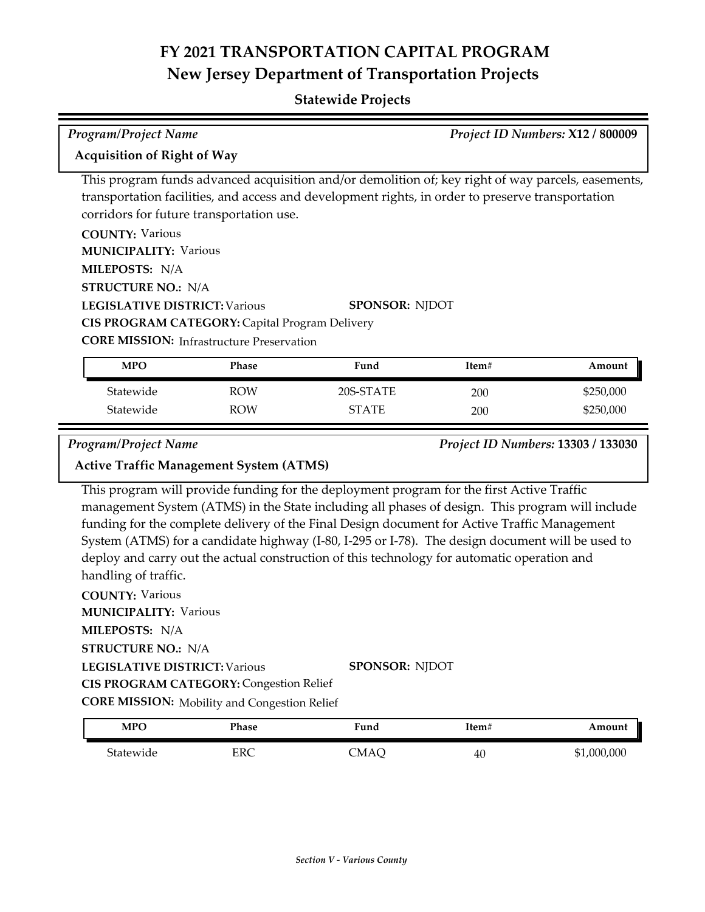| Project ID Numbers: X12 / 800009<br><b>Program/Project Name</b>                                                                                                                                                                                                                                                                                                                                                                                                                                                                                                                                                                                |                                                                                                                |                                                                                                                                                                                                                                  |       |             |
|------------------------------------------------------------------------------------------------------------------------------------------------------------------------------------------------------------------------------------------------------------------------------------------------------------------------------------------------------------------------------------------------------------------------------------------------------------------------------------------------------------------------------------------------------------------------------------------------------------------------------------------------|----------------------------------------------------------------------------------------------------------------|----------------------------------------------------------------------------------------------------------------------------------------------------------------------------------------------------------------------------------|-------|-------------|
| <b>Acquisition of Right of Way</b>                                                                                                                                                                                                                                                                                                                                                                                                                                                                                                                                                                                                             |                                                                                                                |                                                                                                                                                                                                                                  |       |             |
| <b>COUNTY: Various</b><br><b>MUNICIPALITY: Various</b><br>MILEPOSTS: N/A<br><b>STRUCTURE NO.: N/A</b><br><b>LEGISLATIVE DISTRICT: Various</b>                                                                                                                                                                                                                                                                                                                                                                                                                                                                                                  | corridors for future transportation use.                                                                       | This program funds advanced acquisition and/or demolition of; key right of way parcels, easements,<br>transportation facilities, and access and development rights, in order to preserve transportation<br><b>SPONSOR: NJDOT</b> |       |             |
|                                                                                                                                                                                                                                                                                                                                                                                                                                                                                                                                                                                                                                                | CIS PROGRAM CATEGORY: Capital Program Delivery                                                                 |                                                                                                                                                                                                                                  |       |             |
|                                                                                                                                                                                                                                                                                                                                                                                                                                                                                                                                                                                                                                                | <b>CORE MISSION:</b> Infrastructure Preservation                                                               |                                                                                                                                                                                                                                  |       |             |
| <b>MPO</b>                                                                                                                                                                                                                                                                                                                                                                                                                                                                                                                                                                                                                                     | <b>Phase</b>                                                                                                   | Fund                                                                                                                                                                                                                             | Item# | Amount      |
| Statewide                                                                                                                                                                                                                                                                                                                                                                                                                                                                                                                                                                                                                                      | <b>ROW</b>                                                                                                     | 20S-STATE                                                                                                                                                                                                                        | 200   | \$250,000   |
| Statewide                                                                                                                                                                                                                                                                                                                                                                                                                                                                                                                                                                                                                                      | <b>ROW</b>                                                                                                     | <b>STATE</b>                                                                                                                                                                                                                     | 200   | \$250,000   |
| <b>Program/Project Name</b><br>Project ID Numbers: 13303 / 133030<br><b>Active Traffic Management System (ATMS)</b><br>This program will provide funding for the deployment program for the first Active Traffic<br>management System (ATMS) in the State including all phases of design. This program will include<br>funding for the complete delivery of the Final Design document for Active Traffic Management<br>System (ATMS) for a candidate highway (I-80, I-295 or I-78). The design document will be used to<br>deploy and carry out the actual construction of this technology for automatic operation and<br>handling of traffic. |                                                                                                                |                                                                                                                                                                                                                                  |       |             |
| <b>COUNTY: Various</b><br><b>MUNICIPALITY: Various</b><br>MILEPOSTS: N/A<br><b>STRUCTURE NO.: N/A</b><br><b>LEGISLATIVE DISTRICT: Various</b><br><b>MPO</b>                                                                                                                                                                                                                                                                                                                                                                                                                                                                                    | <b>CIS PROGRAM CATEGORY: Congestion Relief</b><br><b>CORE MISSION:</b> Mobility and Congestion Relief<br>Phase | <b>SPONSOR: NJDOT</b><br>Fund                                                                                                                                                                                                    | Item# | Amount      |
| Statewide                                                                                                                                                                                                                                                                                                                                                                                                                                                                                                                                                                                                                                      | <b>ERC</b>                                                                                                     | <b>CMAQ</b>                                                                                                                                                                                                                      | 40    | \$1,000,000 |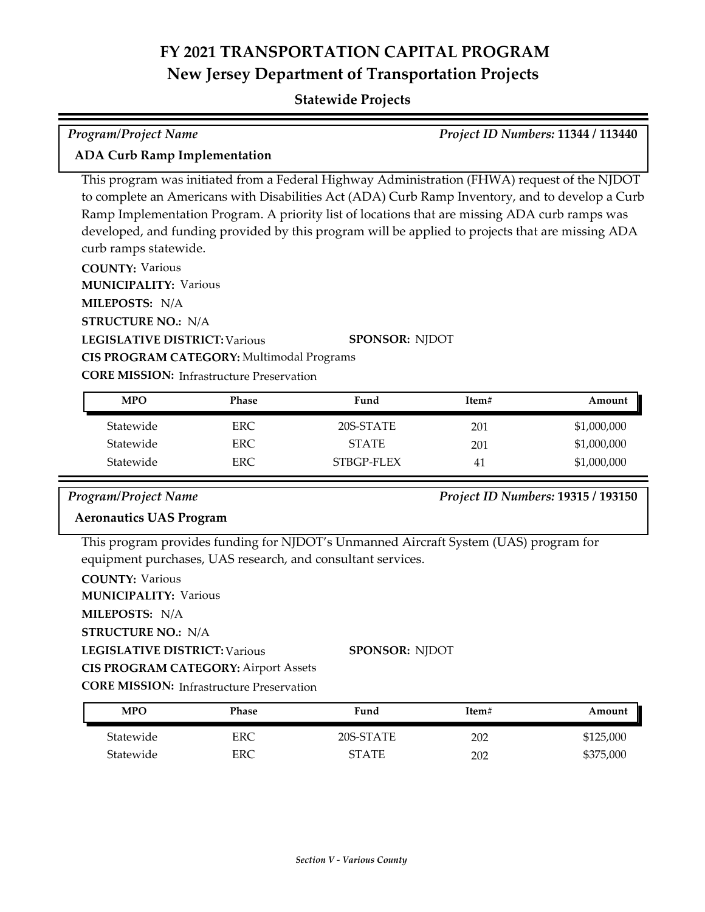### **Statewide Projects**

# *Program/Project Name Project ID Numbers:* **11344 / 113440**

### **ADA Curb Ramp Implementation**

This program was initiated from a Federal Highway Administration (FHWA) request of the NJDOT to complete an Americans with Disabilities Act (ADA) Curb Ramp Inventory, and to develop a Curb Ramp Implementation Program. A priority list of locations that are missing ADA curb ramps was developed, and funding provided by this program will be applied to projects that are missing ADA curb ramps statewide.

**COUNTY:** Various **LEGISLATIVE DISTRICT:** Various **MILEPOSTS:** N/A **STRUCTURE NO.:** N/A **MUNICIPALITY: Various CORE MISSION: Infrastructure Preservation SPONSOR:** NJDOT **CIS PROGRAM CATEGORY:** Multimodal Programs

| <b>MPO</b> | <b>Phase</b> | Fund         | Item#          | Amount      |
|------------|--------------|--------------|----------------|-------------|
| Statewide  | ERC          | 20S-STATE    | 201            | \$1,000,000 |
| Statewide  | ERC          | <b>STATE</b> | 201            | \$1,000,000 |
| Statewide  | ERC          | STBGP-FLEX   | 4 <sub>1</sub> | \$1,000,000 |

### *Program/Project Name Project ID Numbers:* **19315 / 193150**

## **Aeronautics UAS Program**

This program provides funding for NJDOT's Unmanned Aircraft System (UAS) program for equipment purchases, UAS research, and consultant services.

**COUNTY:** Various **LEGISLATIVE DISTRICT:** Various **MILEPOSTS:** N/A **STRUCTURE NO.:** N/A **MUNICIPALITY: Various CORE MISSION:** Infrastructure Preservation **SPONSOR:** NJDOT **CIS PROGRAM CATEGORY:** Airport Assets

Statewide ERC 20S-STATE 202 \$125,000 Statewide ERC ERC STATE 202 \$375,000 **MPO Phase Fund Item# Amount**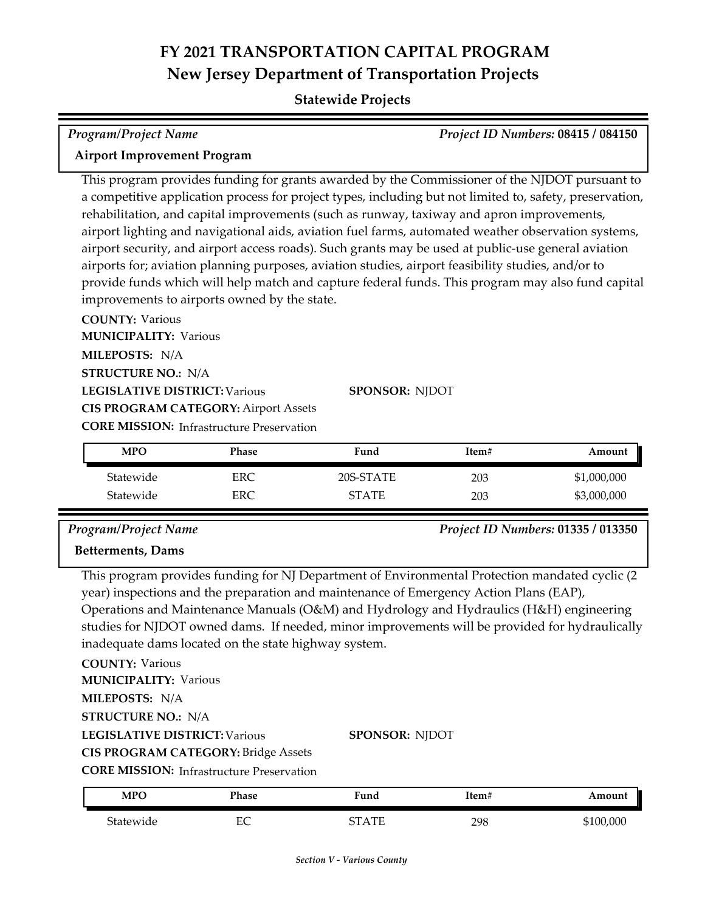### **Statewide Projects**

# *Program/Project Name Project ID Numbers:* **08415 / 084150 Airport Improvement Program**

This program provides funding for grants awarded by the Commissioner of the NJDOT pursuant to a competitive application process for project types, including but not limited to, safety, preservation, rehabilitation, and capital improvements (such as runway, taxiway and apron improvements, airport lighting and navigational aids, aviation fuel farms, automated weather observation systems, airport security, and airport access roads). Such grants may be used at public‐use general aviation airports for; aviation planning purposes, aviation studies, airport feasibility studies, and/or to provide funds which will help match and capture federal funds. This program may also fund capital improvements to airports owned by the state.

**COUNTY:** Various **LEGISLATIVE DISTRICT:** Various **MILEPOSTS:** N/A **STRUCTURE NO.:** N/A **MUNICIPALITY: Various CORE MISSION:** Infrastructure Preservation **SPONSOR:** NJDOT **CIS PROGRAM CATEGORY:** Airport Assets

| <b>MPO</b> | Phase | Fund      | Item# | Amount      |
|------------|-------|-----------|-------|-------------|
| Statewide  | ERC   | 20S-STATE | 203   | \$1,000,000 |
| Statewide  | ERC   | STATE     | 203   | \$3,000,000 |

*Program/Project Name Project ID Numbers:* **01335 / 013350**

### **Betterments, Dams**

This program provides funding for NJ Department of Environmental Protection mandated cyclic (2 year) inspections and the preparation and maintenance of Emergency Action Plans (EAP), Operations and Maintenance Manuals (O&M) and Hydrology and Hydraulics (H&H) engineering studies for NJDOT owned dams. If needed, minor improvements will be provided for hydraulically inadequate dams located on the state highway system.

**COUNTY:** Various **LEGISLATIVE DISTRICT:** Various **MILEPOSTS:** N/A **STRUCTURE NO.:** N/A **MUNICIPALITY: Various** 

**SPONSOR:** NJDOT

**CIS PROGRAM CATEGORY:** Bridge Assets

**CORE MISSION:** Infrastructure Preservation

| <b>MPO</b> | Phase    | ∀und                            | !tem# | Amount  |
|------------|----------|---------------------------------|-------|---------|
| Statewide  | EΩ<br>ĿĆ | $\Lambda$ T <sub>D</sub><br>חרי | 298   | 100,000 |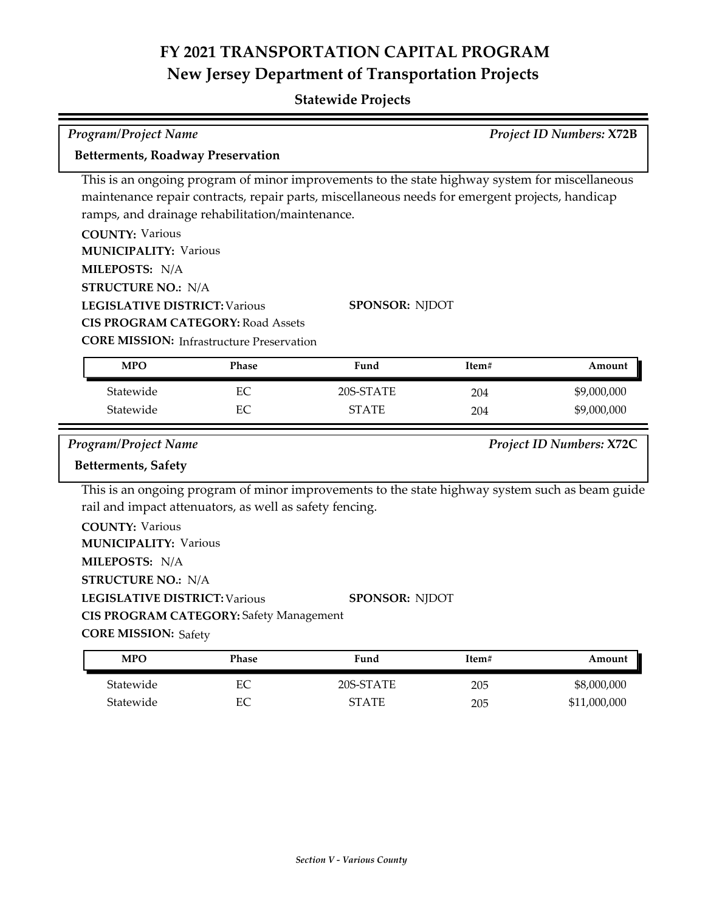## **Statewide Projects**

| Program/Project Name<br>Project ID Numbers: X72B                                                                                                                             |                                                                                                                                                 |                                                                                                                                                                                                                            |       |                          |
|------------------------------------------------------------------------------------------------------------------------------------------------------------------------------|-------------------------------------------------------------------------------------------------------------------------------------------------|----------------------------------------------------------------------------------------------------------------------------------------------------------------------------------------------------------------------------|-------|--------------------------|
| <b>Betterments, Roadway Preservation</b>                                                                                                                                     |                                                                                                                                                 |                                                                                                                                                                                                                            |       |                          |
| <b>COUNTY: Various</b><br><b>MUNICIPALITY: Various</b><br>MILEPOSTS: N/A<br><b>STRUCTURE NO.: N/A</b><br><b>LEGISLATIVE DISTRICT: Various</b>                                | ramps, and drainage rehabilitation/maintenance.<br><b>CIS PROGRAM CATEGORY: Road Assets</b><br><b>CORE MISSION:</b> Infrastructure Preservation | This is an ongoing program of minor improvements to the state highway system for miscellaneous<br>maintenance repair contracts, repair parts, miscellaneous needs for emergent projects, handicap<br><b>SPONSOR: NJDOT</b> |       |                          |
| <b>MPO</b>                                                                                                                                                                   | Phase                                                                                                                                           | Fund                                                                                                                                                                                                                       | Item# | Amount                   |
| Statewide                                                                                                                                                                    | EC                                                                                                                                              | 20S-STATE                                                                                                                                                                                                                  | 204   | \$9,000,000              |
| Statewide                                                                                                                                                                    | EC                                                                                                                                              | <b>STATE</b>                                                                                                                                                                                                               | 204   | \$9,000,000              |
|                                                                                                                                                                              |                                                                                                                                                 |                                                                                                                                                                                                                            |       |                          |
| <b>Program/Project Name</b>                                                                                                                                                  |                                                                                                                                                 |                                                                                                                                                                                                                            |       | Project ID Numbers: X72C |
| <b>Betterments, Safety</b>                                                                                                                                                   |                                                                                                                                                 |                                                                                                                                                                                                                            |       |                          |
| <b>COUNTY: Various</b><br><b>MUNICIPALITY: Various</b><br>MILEPOSTS: N/A<br><b>STRUCTURE NO.: N/A</b><br><b>LEGISLATIVE DISTRICT: Various</b><br><b>CORE MISSION: Safety</b> | rail and impact attenuators, as well as safety fencing.<br><b>CIS PROGRAM CATEGORY: Safety Management</b>                                       | This is an ongoing program of minor improvements to the state highway system such as beam guide<br>SPONSOR: NJDOT                                                                                                          |       |                          |
| <b>MPO</b>                                                                                                                                                                   | Phase                                                                                                                                           | Fund                                                                                                                                                                                                                       | Item# | Amount                   |

Statewide EC STATE 205 \$11,000,000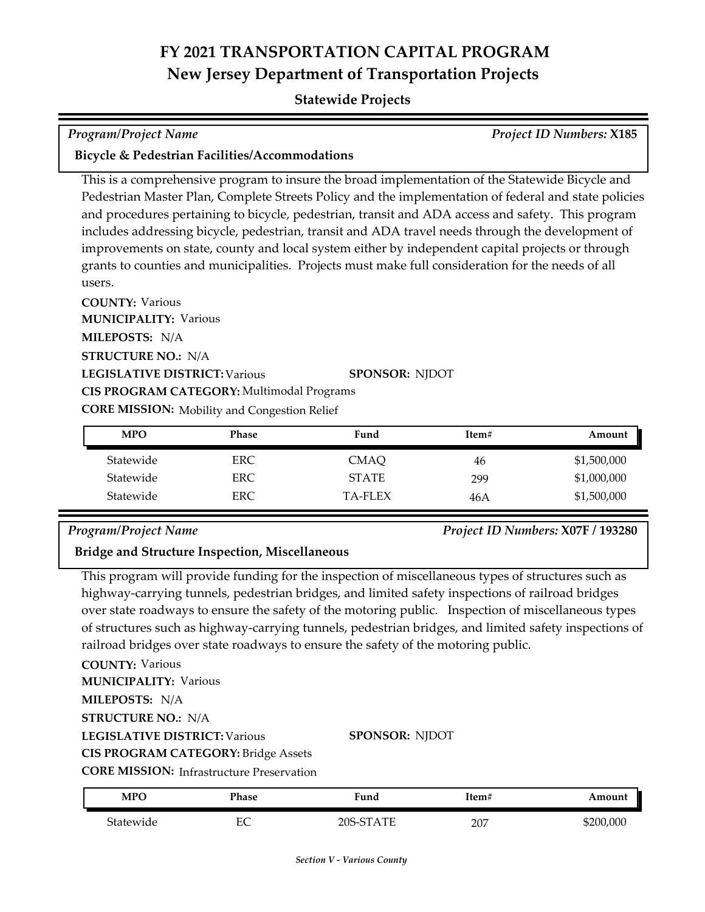### **Statewide Projects**

## *Program/Project Name Project ID Numbers:* **X185**

### **Bicycle & Pedestrian Facilities/Accommodations**

This is a comprehensive program to insure the broad implementation of the Statewide Bicycle and Pedestrian Master Plan, Complete Streets Policy and the implementation of federal and state policies and procedures pertaining to bicycle, pedestrian, transit and ADA access and safety. This program includes addressing bicycle, pedestrian, transit and ADA travel needs through the development of improvements on state, county and local system either by independent capital projects or through grants to counties and municipalities. Projects must make full consideration for the needs of all users.

**COUNTY:** Various **LEGISLATIVE DISTRICT:** Various **MILEPOSTS:** N/A **STRUCTURE NO.:** N/A **MUNICIPALITY: Various CORE MISSION:** Mobility and Congestion Relief **SPONSOR:** NJDOT **CIS PROGRAM CATEGORY:** Multimodal Programs

| <b>MPO</b> | <b>Phase</b> | Fund         | Item# | Amount      |
|------------|--------------|--------------|-------|-------------|
| Statewide  | ERC.         | CMAO         | 46    | \$1,500,000 |
| Statewide  | ERC.         | <b>STATE</b> | 299   | \$1,000,000 |
| Statewide  | ERC.         | TA-FLEX      | 46 A  | \$1,500,000 |

### *Program/Project Name Project ID Numbers:* **X07F / 193280**

### **Bridge and Structure Inspection, Miscellaneous**

This program will provide funding for the inspection of miscellaneous types of structures such as highway-carrying tunnels, pedestrian bridges, and limited safety inspections of railroad bridges over state roadways to ensure the safety of the motoring public. Inspection of miscellaneous types of structures such as highway-carrying tunnels, pedestrian bridges, and limited safety inspections of railroad bridges over state roadways to ensure the safety of the motoring public.

**COUNTY:** Various **LEGISLATIVE DISTRICT:** Various **MILEPOSTS:** N/A **STRUCTURE NO.:** N/A **MUNICIPALITY: Various CIS PROGRAM CATEGORY:** Bridge Assets

### **SPONSOR:** NJDOT

**CORE MISSION:** Infrastructure Preservation

| <b>MPC</b> | Phase      | Fund          | Item# | Amount    |
|------------|------------|---------------|-------|-----------|
| Statewide  | гΩ<br>حانا | STATE<br>20S. | 207   | \$200,000 |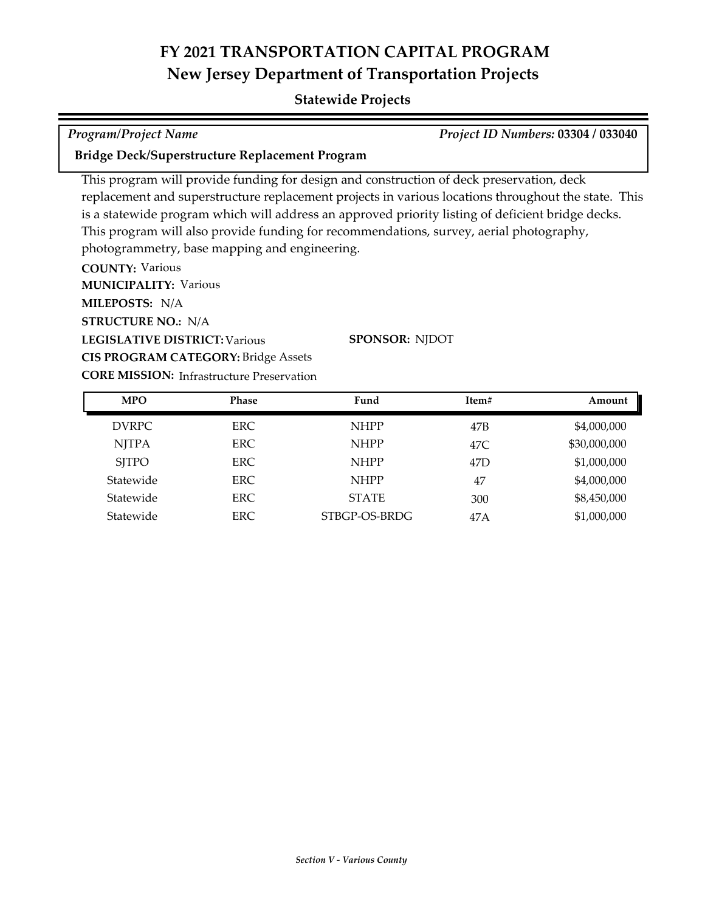## **Statewide Projects**

*Program/Project Name Project ID Numbers:* **03304 / 033040**

### **Bridge Deck/Superstructure Replacement Program**

This program will provide funding for design and construction of deck preservation, deck replacement and superstructure replacement projects in various locations throughout the state. This is a statewide program which will address an approved priority listing of deficient bridge decks. This program will also provide funding for recommendations, survey, aerial photography, photogrammetry, base mapping and engineering.

**COUNTY:** Various **LEGISLATIVE DISTRICT:** Various **MILEPOSTS:** N/A **STRUCTURE NO.:** N/A **MUNICIPALITY: Various CIS PROGRAM CATEGORY:** Bridge Assets

**SPONSOR:** NJDOT

| <b>MPO</b>   | <b>Phase</b> | Fund          | Item#           | Amount       |
|--------------|--------------|---------------|-----------------|--------------|
| <b>DVRPC</b> | ERC.         | <b>NHPP</b>   | 47B             | \$4,000,000  |
| <b>NJTPA</b> | ERC.         | <b>NHPP</b>   | 47C             | \$30,000,000 |
| <b>SJTPO</b> | ERC.         | <b>NHPP</b>   | 47 <sub>D</sub> | \$1,000,000  |
| Statewide    | ERC.         | <b>NHPP</b>   | 47              | \$4,000,000  |
| Statewide    | ERC.         | <b>STATE</b>  | 300             | \$8,450,000  |
| Statewide    | ERC          | STBGP-OS-BRDG | 47A             | \$1,000,000  |

**CORE MISSION: Infrastructure Preservation**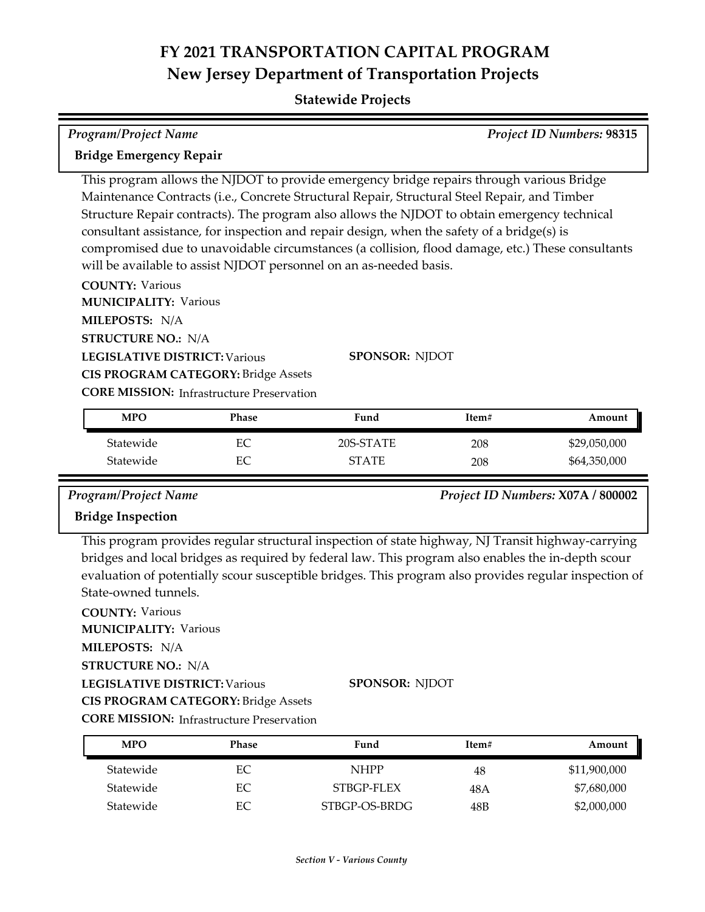### **Statewide Projects**

| <b>Program/Project Name</b>                                                                      |                       |       | <b>Project ID Numbers: 98315</b> |  |
|--------------------------------------------------------------------------------------------------|-----------------------|-------|----------------------------------|--|
| <b>Bridge Emergency Repair</b>                                                                   |                       |       |                                  |  |
| This program allows the NJDOT to provide emergency bridge repairs through various Bridge         |                       |       |                                  |  |
| Maintenance Contracts (i.e., Concrete Structural Repair, Structural Steel Repair, and Timber     |                       |       |                                  |  |
| Structure Repair contracts). The program also allows the NJDOT to obtain emergency technical     |                       |       |                                  |  |
| consultant assistance, for inspection and repair design, when the safety of a bridge(s) is       |                       |       |                                  |  |
| compromised due to unavoidable circumstances (a collision, flood damage, etc.) These consultants |                       |       |                                  |  |
| will be available to assist NJDOT personnel on an as-needed basis.                               |                       |       |                                  |  |
| <b>COUNTY: Various</b>                                                                           |                       |       |                                  |  |
| <b>MUNICIPALITY: Various</b>                                                                     |                       |       |                                  |  |
| <b>MILEPOSTS: N/A</b>                                                                            |                       |       |                                  |  |
| <b>STRUCTURE NO.: N/A</b>                                                                        |                       |       |                                  |  |
| <b>LEGISLATIVE DISTRICT: Various</b>                                                             | <b>SPONSOR: NJDOT</b> |       |                                  |  |
| <b>CIS PROGRAM CATEGORY: Bridge Assets</b>                                                       |                       |       |                                  |  |
| <b>CORE MISSION:</b> Infrastructure Preservation                                                 |                       |       |                                  |  |
| <b>MPO</b><br><b>Phase</b>                                                                       | Fund                  | Item# | Amount                           |  |

| MPO       | Phase | Fund         | Item# | Amount       |
|-----------|-------|--------------|-------|--------------|
| Statewide | EС    | 20S-STATE    | 208   | \$29,050,000 |
| Statewide | EС    | <b>STATE</b> | 208   | \$64,350,000 |

*Program/Project Name Project ID Numbers:* **X07A / 800002**

### **Bridge Inspection**

This program provides regular structural inspection of state highway, NJ Transit highway-carrying bridges and local bridges as required by federal law. This program also enables the in-depth scour evaluation of potentially scour susceptible bridges. This program also provides regular inspection of State-owned tunnels.

**COUNTY:** Various **LEGISLATIVE DISTRICT:** Various **MILEPOSTS:** N/A **STRUCTURE NO.:** N/A **MUNICIPALITY: Various CORE MISSION:** Infrastructure Preservation **SPONSOR:** NJDOT **CIS PROGRAM CATEGORY:** Bridge Assets

Statewide EC NHPP 48 \$11,900,000 Statewide EC STBGP-FLEX 48A \$7,680,000 Statewide EC STBGP-OS-BRDG 48B \$2,000,000 **MPO Phase Fund Item# Amount**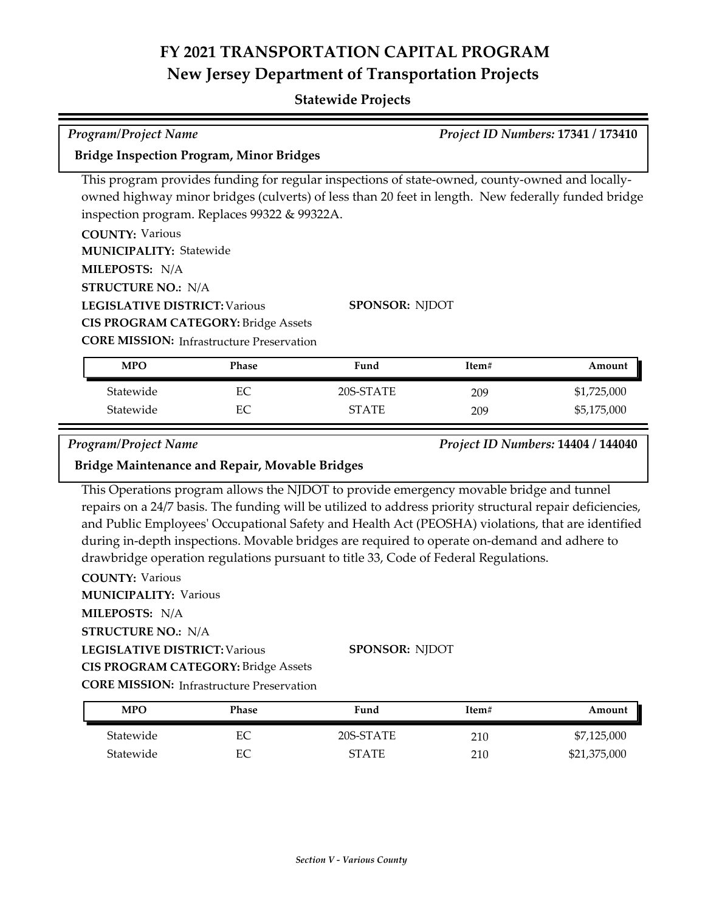## **Statewide Projects**

| <b>Program/Project Name</b>                                                                                                                                                                  |              |                                                                                                                                                                                                       |            | Project ID Numbers: 17341 / 173410 |
|----------------------------------------------------------------------------------------------------------------------------------------------------------------------------------------------|--------------|-------------------------------------------------------------------------------------------------------------------------------------------------------------------------------------------------------|------------|------------------------------------|
| <b>Bridge Inspection Program, Minor Bridges</b>                                                                                                                                              |              |                                                                                                                                                                                                       |            |                                    |
| inspection program. Replaces 99322 & 99322A.<br><b>COUNTY: Various</b>                                                                                                                       |              | This program provides funding for regular inspections of state-owned, county-owned and locally-<br>owned highway minor bridges (culverts) of less than 20 feet in length. New federally funded bridge |            |                                    |
| <b>MUNICIPALITY: Statewide</b><br>MILEPOSTS: N/A                                                                                                                                             |              |                                                                                                                                                                                                       |            |                                    |
| <b>STRUCTURE NO.: N/A</b><br><b>LEGISLATIVE DISTRICT: Various</b><br><b>SPONSOR: NJDOT</b><br><b>CIS PROGRAM CATEGORY: Bridge Assets</b><br><b>CORE MISSION:</b> Infrastructure Preservation |              |                                                                                                                                                                                                       |            |                                    |
| <b>MPO</b>                                                                                                                                                                                   | <b>Phase</b> | Fund                                                                                                                                                                                                  | Item#      | Amount                             |
| Statewide<br>Statewide                                                                                                                                                                       | EC<br>EC     | 20S-STATE<br><b>STATE</b>                                                                                                                                                                             | 209<br>209 | \$1,725,000<br>\$5,175,000         |
| <b>Program/Project Name</b><br><b>Bridge Maintenance and Repair, Movable Bridges</b>                                                                                                         |              |                                                                                                                                                                                                       |            | Project ID Numbers: 14404 / 144040 |

E

This Operations program allows the NJDOT to provide emergency movable bridge and tunnel repairs on a 24/7 basis. The funding will be utilized to address priority structural repair deficiencies, and Public Employees' Occupational Safety and Health Act (PEOSHA) violations, that are identified during in‐depth inspections. Movable bridges are required to operate on-demand and adhere to drawbridge operation regulations pursuant to title 33, Code of Federal Regulations.

**COUNTY:** Various **LEGISLATIVE DISTRICT:** Various **MILEPOSTS:** N/A **STRUCTURE NO.:** N/A **MUNICIPALITY: Various CORE MISSION: Infrastructure Preservation SPONSOR:** NJDOT **CIS PROGRAM CATEGORY:** Bridge Assets

| <b>MPO</b> | Phase | Fund      | Item# | Amount       |
|------------|-------|-----------|-------|--------------|
| Statewide  | EС    | 20S-STATE | 210   | \$7,125,000  |
| Statewide  | EС    | STATE     | 210   | \$21,375,000 |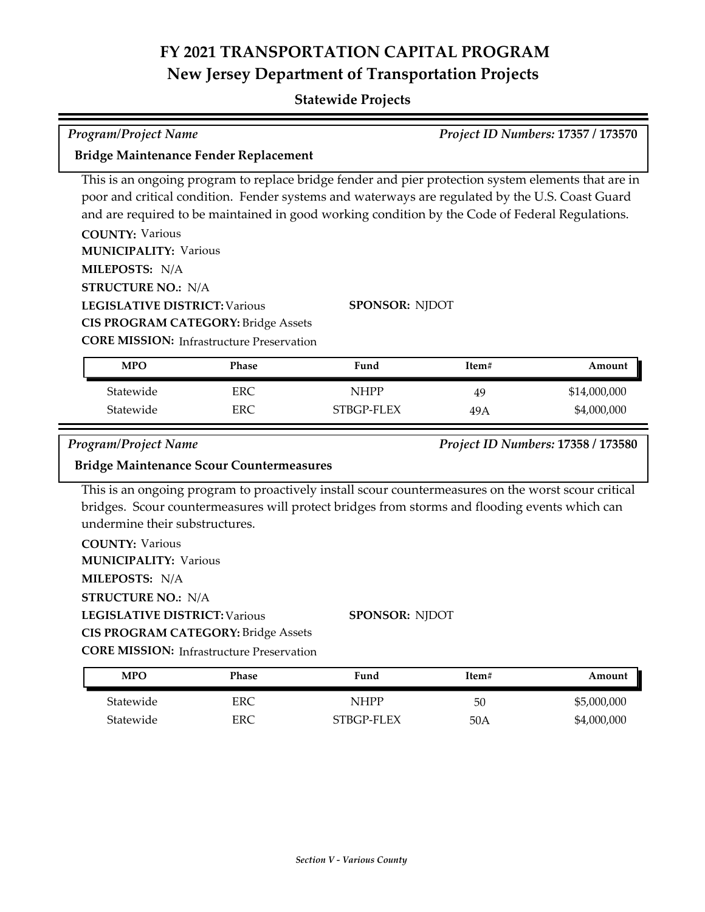| <b>Program/Project Name</b>                                                                                                                                                                                                   |            |                                                                                                                                                                                                                                                                                                           |       | Project ID Numbers: 17357 / 173570 |
|-------------------------------------------------------------------------------------------------------------------------------------------------------------------------------------------------------------------------------|------------|-----------------------------------------------------------------------------------------------------------------------------------------------------------------------------------------------------------------------------------------------------------------------------------------------------------|-------|------------------------------------|
| Bridge Maintenance Fender Replacement                                                                                                                                                                                         |            |                                                                                                                                                                                                                                                                                                           |       |                                    |
| <b>COUNTY: Various</b>                                                                                                                                                                                                        |            | This is an ongoing program to replace bridge fender and pier protection system elements that are in<br>poor and critical condition. Fender systems and waterways are regulated by the U.S. Coast Guard<br>and are required to be maintained in good working condition by the Code of Federal Regulations. |       |                                    |
| <b>MUNICIPALITY: Various</b>                                                                                                                                                                                                  |            |                                                                                                                                                                                                                                                                                                           |       |                                    |
| MILEPOSTS: N/A                                                                                                                                                                                                                |            |                                                                                                                                                                                                                                                                                                           |       |                                    |
| <b>STRUCTURE NO.: N/A</b>                                                                                                                                                                                                     |            |                                                                                                                                                                                                                                                                                                           |       |                                    |
| <b>LEGISLATIVE DISTRICT: Various</b>                                                                                                                                                                                          |            | <b>SPONSOR: NJDOT</b>                                                                                                                                                                                                                                                                                     |       |                                    |
| <b>CIS PROGRAM CATEGORY: Bridge Assets</b>                                                                                                                                                                                    |            |                                                                                                                                                                                                                                                                                                           |       |                                    |
| <b>CORE MISSION:</b> Infrastructure Preservation                                                                                                                                                                              |            |                                                                                                                                                                                                                                                                                                           |       |                                    |
| <b>MPO</b>                                                                                                                                                                                                                    | Phase      | Fund                                                                                                                                                                                                                                                                                                      | Item# | Amount                             |
| Statewide                                                                                                                                                                                                                     | <b>ERC</b> | <b>NHPP</b>                                                                                                                                                                                                                                                                                               | 49    | \$14,000,000                       |
| Statewide                                                                                                                                                                                                                     | <b>ERC</b> | STBGP-FLEX                                                                                                                                                                                                                                                                                                | 49A   | \$4,000,000                        |
| <b>Program/Project Name</b>                                                                                                                                                                                                   |            |                                                                                                                                                                                                                                                                                                           |       | Project ID Numbers: 17358 / 173580 |
| <b>Bridge Maintenance Scour Countermeasures</b>                                                                                                                                                                               |            |                                                                                                                                                                                                                                                                                                           |       |                                    |
| undermine their substructures.<br><b>COUNTY: Various</b><br><b>MUNICIPALITY: Various</b><br>MILEPOSTS: N/A<br><b>STRUCTURE NO.: N/A</b><br><b>LEGISLATIVE DISTRICT: Various</b><br><b>CIS PROGRAM CATEGORY: Bridge Assets</b> |            | This is an ongoing program to proactively install scour countermeasures on the worst scour critical<br>bridges. Scour countermeasures will protect bridges from storms and flooding events which can<br><b>SPONSOR: NJDOT</b>                                                                             |       |                                    |
| <b>CORE MISSION:</b> Infrastructure Preservation                                                                                                                                                                              |            |                                                                                                                                                                                                                                                                                                           |       |                                    |
| <b>MPO</b>                                                                                                                                                                                                                    | Phase      | Fund                                                                                                                                                                                                                                                                                                      | Item# | Amount                             |
| Statewide                                                                                                                                                                                                                     | <b>ERC</b> | <b>NHPP</b>                                                                                                                                                                                                                                                                                               | 50    | \$5,000,000                        |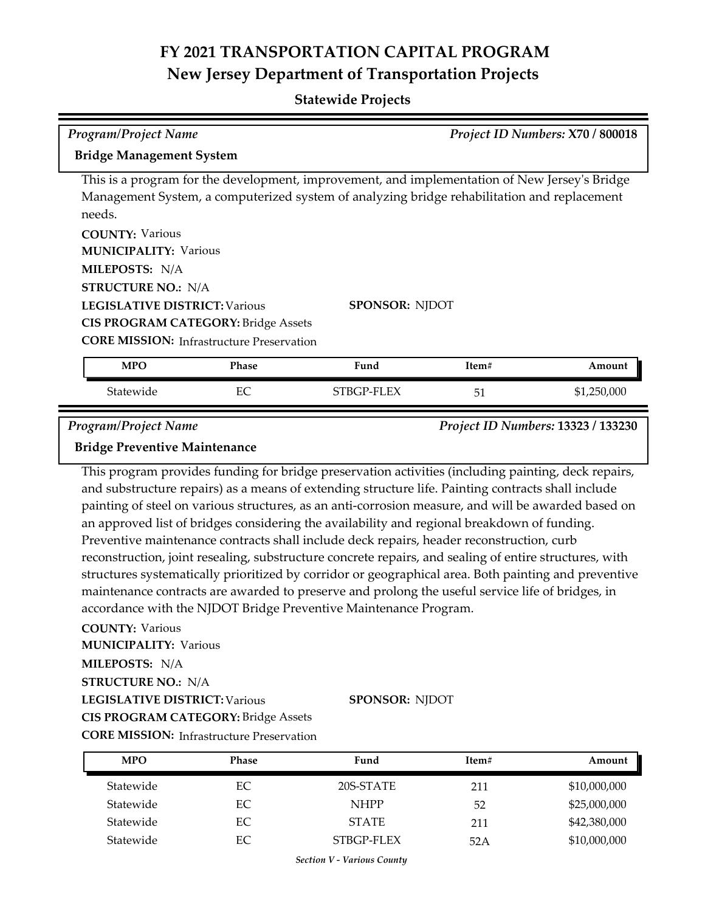## **Statewide Projects**

| <b>Program/Project Name</b>                                                                            |              |                                                                                                      |       | Project ID Numbers: X70 / 800018   |
|--------------------------------------------------------------------------------------------------------|--------------|------------------------------------------------------------------------------------------------------|-------|------------------------------------|
| <b>Bridge Management System</b>                                                                        |              |                                                                                                      |       |                                    |
|                                                                                                        |              |                                                                                                      |       |                                    |
|                                                                                                        |              | This is a program for the development, improvement, and implementation of New Jersey's Bridge        |       |                                    |
| needs.                                                                                                 |              | Management System, a computerized system of analyzing bridge rehabilitation and replacement          |       |                                    |
| <b>COUNTY: Various</b>                                                                                 |              |                                                                                                      |       |                                    |
| <b>MUNICIPALITY: Various</b>                                                                           |              |                                                                                                      |       |                                    |
| MILEPOSTS: N/A                                                                                         |              |                                                                                                      |       |                                    |
| <b>STRUCTURE NO.: N/A</b>                                                                              |              |                                                                                                      |       |                                    |
| <b>LEGISLATIVE DISTRICT: Various</b>                                                                   |              | <b>SPONSOR: NJDOT</b>                                                                                |       |                                    |
| <b>CIS PROGRAM CATEGORY: Bridge Assets</b>                                                             |              |                                                                                                      |       |                                    |
| <b>CORE MISSION:</b> Infrastructure Preservation                                                       |              |                                                                                                      |       |                                    |
| <b>MPO</b>                                                                                             | <b>Phase</b> | Fund                                                                                                 | Item# | Amount                             |
| Statewide                                                                                              | EC           | STBGP-FLEX                                                                                           | 51    | \$1,250,000                        |
| <b>Program/Project Name</b>                                                                            |              |                                                                                                      |       | Project ID Numbers: 13323 / 133230 |
| <b>Bridge Preventive Maintenance</b>                                                                   |              |                                                                                                      |       |                                    |
|                                                                                                        |              | This program provides funding for bridge preservation activities (including painting, deck repairs,  |       |                                    |
|                                                                                                        |              | and substructure repairs) as a means of extending structure life. Painting contracts shall include   |       |                                    |
|                                                                                                        |              | painting of steel on various structures, as an anti-corrosion measure, and will be awarded based on  |       |                                    |
|                                                                                                        |              | an approved list of bridges considering the availability and regional breakdown of funding.          |       |                                    |
| Preventive maintenance contracts shall include deck repairs, header reconstruction, curb               |              |                                                                                                      |       |                                    |
| reconstruction, joint resealing, substructure concrete repairs, and sealing of entire structures, with |              |                                                                                                      |       |                                    |
|                                                                                                        |              | structures systematically prioritized by corridor or geographical area. Both painting and preventive |       |                                    |
|                                                                                                        |              | maintenance contracts are awarded to preserve and prolong the useful service life of bridges, in     |       |                                    |
|                                                                                                        |              | accordance with the NJDOT Bridge Preventive Maintenance Program.                                     |       |                                    |
| <b>COUNTY: Various</b>                                                                                 |              |                                                                                                      |       |                                    |

**LEGISLATIVE DISTRICT:** Various **MILEPOSTS:** N/A **STRUCTURE NO.:** N/A **MUNICIPALITY: Various CIS PROGRAM CATEGORY:** Bridge Assets

**SPONSOR:** NJDOT

**CORE MISSION: Infrastructure Preservation** 

| <b>MPO</b> | <b>Phase</b> | Fund         | Item# | Amount       |
|------------|--------------|--------------|-------|--------------|
| Statewide  | EС           | 20S-STATE    | 211   | \$10,000,000 |
| Statewide  | EC           | <b>NHPP</b>  | 52    | \$25,000,000 |
| Statewide  | EС           | <b>STATE</b> | 211   | \$42,380,000 |
| Statewide  | EС           | STBGP-FLEX   | 52A   | \$10,000,000 |

*Section V - Various County*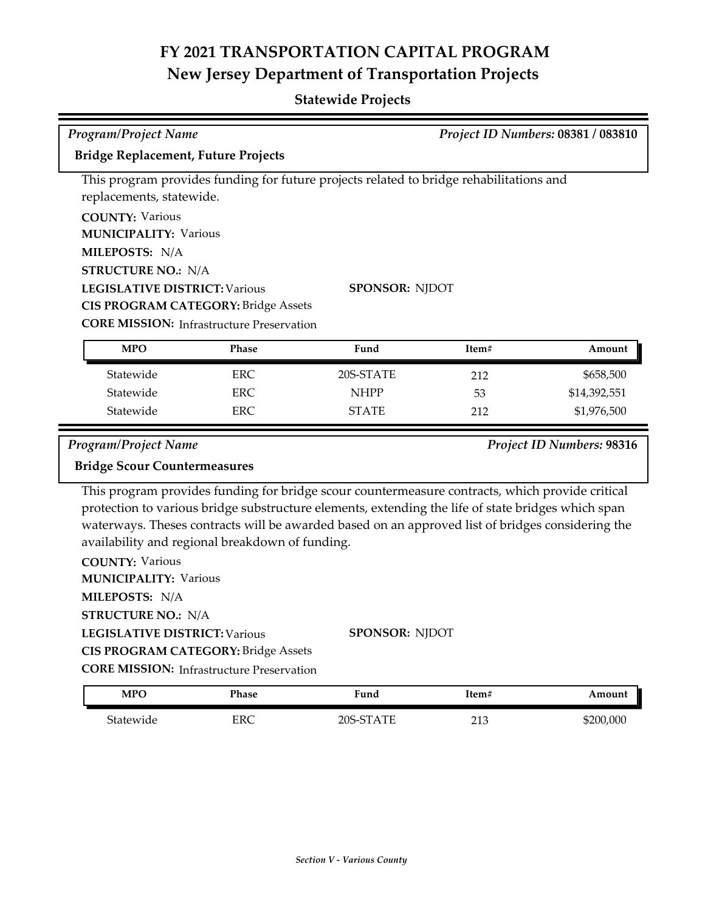| <b>Program/Project Name</b>                      |            |                                                                                                    |       | Project ID Numbers: 08381 / 083810 |
|--------------------------------------------------|------------|----------------------------------------------------------------------------------------------------|-------|------------------------------------|
| Bridge Replacement, Future Projects              |            |                                                                                                    |       |                                    |
|                                                  |            | This program provides funding for future projects related to bridge rehabilitations and            |       |                                    |
| replacements, statewide.                         |            |                                                                                                    |       |                                    |
| <b>COUNTY: Various</b>                           |            |                                                                                                    |       |                                    |
| <b>MUNICIPALITY: Various</b>                     |            |                                                                                                    |       |                                    |
| MILEPOSTS: N/A                                   |            |                                                                                                    |       |                                    |
| <b>STRUCTURE NO.: N/A</b>                        |            |                                                                                                    |       |                                    |
| <b>LEGISLATIVE DISTRICT: Various</b>             |            | SPONSOR: NJDOT                                                                                     |       |                                    |
| <b>CIS PROGRAM CATEGORY: Bridge Assets</b>       |            |                                                                                                    |       |                                    |
| <b>CORE MISSION:</b> Infrastructure Preservation |            |                                                                                                    |       |                                    |
| <b>MPO</b>                                       | Phase      | Fund                                                                                               | Item# | Amount                             |
| Statewide                                        | <b>ERC</b> | 20S-STATE                                                                                          | 212   | \$658,500                          |
| Statewide                                        | <b>ERC</b> | <b>NHPP</b>                                                                                        | 53    | \$14,392,551                       |
| Statewide                                        | ERC        | <b>STATE</b>                                                                                       | 212   | \$1,976,500                        |
| Program/Project Name                             |            |                                                                                                    |       | Project ID Numbers: 98316          |
| <b>Bridge Scour Countermeasures</b>              |            |                                                                                                    |       |                                    |
|                                                  |            | This program provides funding for bridge scour countermeasure contracts, which provide critical    |       |                                    |
|                                                  |            | protection to various bridge substructure elements, extending the life of state bridges which span |       |                                    |
|                                                  |            | waterways. Theses contracts will be awarded based on an approved list of bridges considering the   |       |                                    |
| availability and regional breakdown of funding.  |            |                                                                                                    |       |                                    |
| <b>COUNTY: Various</b>                           |            |                                                                                                    |       |                                    |
| <b>MUNICIPALITY: Various</b>                     |            |                                                                                                    |       |                                    |
| MILEPOSTS: N/A                                   |            |                                                                                                    |       |                                    |
| <b>STRUCTURE NO.: N/A</b>                        |            |                                                                                                    |       |                                    |
| <b>LEGISLATIVE DISTRICT: Various</b>             |            | SPONSOR: NJDOT                                                                                     |       |                                    |
| CIS PROGRAM CATEGORY: Bridge Assets              |            |                                                                                                    |       |                                    |
| <b>CORE MISSION:</b> Infrastructure Preservation |            |                                                                                                    |       |                                    |
| <b>MPO</b>                                       | Phase      | Fund                                                                                               | Item# | Amount                             |

| <b>MPO</b>     | Phase | $F$ una   | Item#                  | Amount    |
|----------------|-------|-----------|------------------------|-----------|
| .<br>btatewide | ERC   | TE<br>∋∩כ | $\sim$ 1 $\sim$<br>∠⊥∪ | \$200,000 |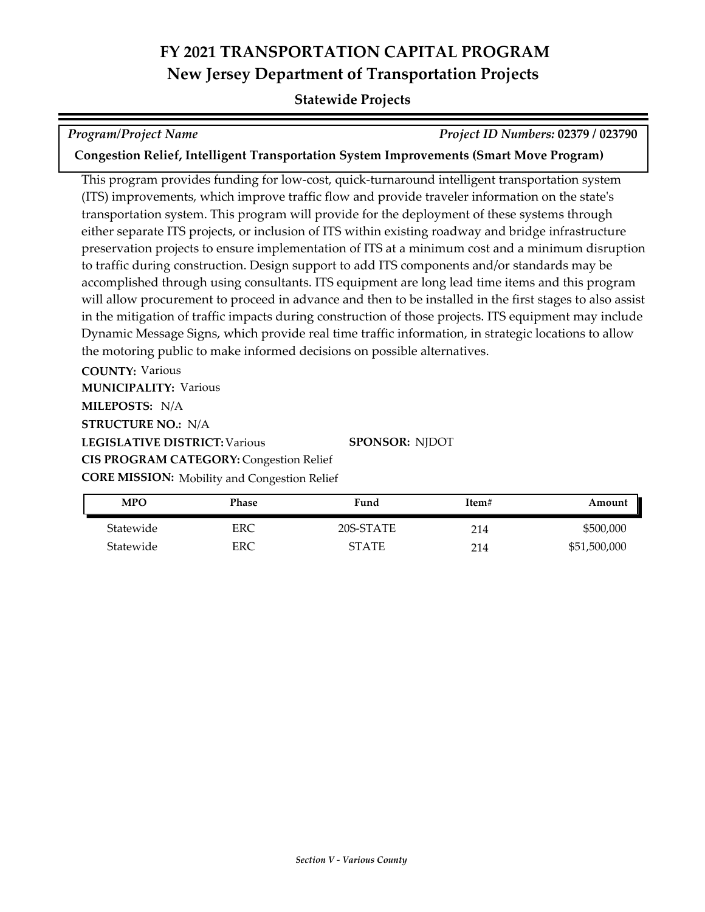### **Statewide Projects**

*Program/Project Name Project ID Numbers:* **02379 / 023790**

**Congestion Relief, Intelligent Transportation System Improvements (Smart Move Program)**

This program provides funding for low‐cost, quick‐turnaround intelligent transportation system (ITS) improvements, which improve traffic flow and provide traveler information on the state's transportation system. This program will provide for the deployment of these systems through either separate ITS projects, or inclusion of ITS within existing roadway and bridge infrastructure preservation projects to ensure implementation of ITS at a minimum cost and a minimum disruption to traffic during construction. Design support to add ITS components and/or standards may be accomplished through using consultants. ITS equipment are long lead time items and this program will allow procurement to proceed in advance and then to be installed in the first stages to also assist in the mitigation of traffic impacts during construction of those projects. ITS equipment may include Dynamic Message Signs, which provide real time traffic information, in strategic locations to allow the motoring public to make informed decisions on possible alternatives.

**COUNTY:** Various

**MUNICIPALITY: Various** 

**MILEPOSTS:** N/A

**STRUCTURE NO.:** N/A

**LEGISLATIVE DISTRICT:** Various

**CIS PROGRAM CATEGORY:** Congestion Relief

**CORE MISSION:** Mobility and Congestion Relief

| <b>MPO</b> | Phase | Fund         | Item# | Amount       |
|------------|-------|--------------|-------|--------------|
| Statewide  | ERC   | 20S-STATE    | 214   | \$500,000    |
| Statewide  | ERC   | <b>STATE</b> | 214   | \$51,500,000 |

**SPONSOR:** NJDOT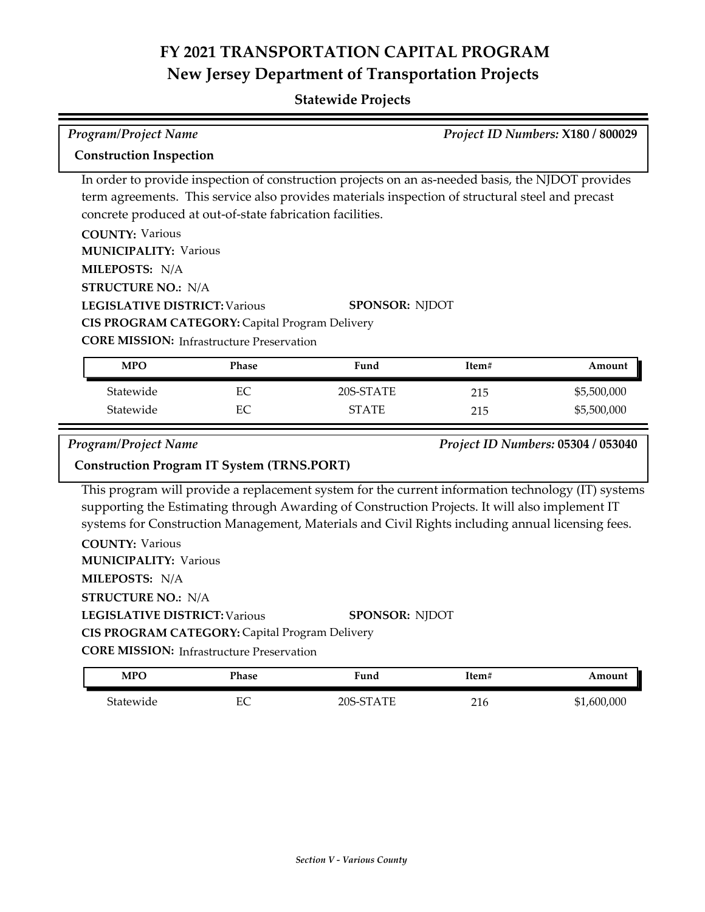## **Statewide Projects**

| Program/Project Name                                                                                                                                                                                                                                                                                             |          |                                                                                                                                                                                                                                                                                                          |            | Project ID Numbers: X180 / 800029  |
|------------------------------------------------------------------------------------------------------------------------------------------------------------------------------------------------------------------------------------------------------------------------------------------------------------------|----------|----------------------------------------------------------------------------------------------------------------------------------------------------------------------------------------------------------------------------------------------------------------------------------------------------------|------------|------------------------------------|
| <b>Construction Inspection</b>                                                                                                                                                                                                                                                                                   |          |                                                                                                                                                                                                                                                                                                          |            |                                    |
| concrete produced at out-of-state fabrication facilities.<br><b>COUNTY: Various</b><br><b>MUNICIPALITY: Various</b><br>MILEPOSTS: N/A<br><b>STRUCTURE NO.: N/A</b><br><b>LEGISLATIVE DISTRICT: Various</b><br>CIS PROGRAM CATEGORY: Capital Program Delivery<br><b>CORE MISSION:</b> Infrastructure Preservation |          | In order to provide inspection of construction projects on an as-needed basis, the NJDOT provides<br>term agreements. This service also provides materials inspection of structural steel and precast<br><b>SPONSOR: NJDOT</b>                                                                           |            |                                    |
| <b>MPO</b>                                                                                                                                                                                                                                                                                                       | Phase    | Fund                                                                                                                                                                                                                                                                                                     | Item#      | Amount                             |
| Statewide<br>Statewide                                                                                                                                                                                                                                                                                           | EC<br>EC | 20S-STATE<br><b>STATE</b>                                                                                                                                                                                                                                                                                | 215<br>215 | \$5,500,000<br>\$5,500,000         |
| <b>Program/Project Name</b><br><b>Construction Program IT System (TRNS.PORT)</b>                                                                                                                                                                                                                                 |          |                                                                                                                                                                                                                                                                                                          |            | Project ID Numbers: 05304 / 053040 |
| <b>COUNTY: Various</b><br><b>MUNICIPALITY: Various</b><br>MILEPOSTS: N/A<br><b>STRUCTURE NO.: N/A</b>                                                                                                                                                                                                            |          | This program will provide a replacement system for the current information technology (IT) systems<br>supporting the Estimating through Awarding of Construction Projects. It will also implement IT<br>systems for Construction Management, Materials and Civil Rights including annual licensing fees. |            |                                    |
| <b>LEGISLATIVE DISTRICT: Various</b><br>CIS PROGRAM CATEGORY: Capital Program Delivery<br><b>CORE MISSION: Infrastructure Preservation</b>                                                                                                                                                                       |          | <b>SPONSOR: NJDOT</b>                                                                                                                                                                                                                                                                                    |            |                                    |
| <b>MPO</b>                                                                                                                                                                                                                                                                                                       | Phase    | Fund                                                                                                                                                                                                                                                                                                     | Item#      | Amount                             |

Statewide EC 20S-STATE 216 \$1,600,000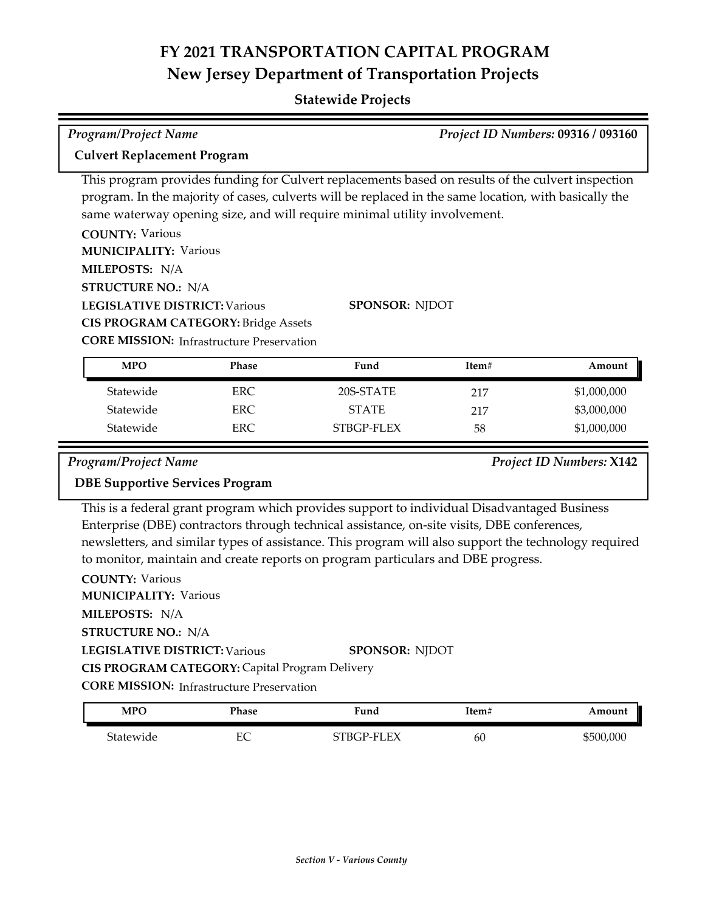## **Statewide Projects**

| <b>Program/Project Name</b>                                                                           | Project ID Numbers: 09316 / 093160 |
|-------------------------------------------------------------------------------------------------------|------------------------------------|
| <b>Culvert Replacement Program</b>                                                                    |                                    |
| This program provides funding for Culvert replacements based on results of the culvert inspection     |                                    |
| program. In the majority of cases, culverts will be replaced in the same location, with basically the |                                    |
| same waterway opening size, and will require minimal utility involvement.                             |                                    |
| <b>COUNTY: Various</b>                                                                                |                                    |
| <b>MUNICIPALITY: Various</b>                                                                          |                                    |
| MILEPOSTS: N/A                                                                                        |                                    |
| <b>STRUCTURE NO.: N/A</b>                                                                             |                                    |

**LEGISLATIVE DISTRICT:** Various

**CIS PROGRAM CATEGORY:** Bridge Assets

**SPONSOR:** NJDOT

**CORE MISSION:** Infrastructure Preservation

| <b>MPO</b> | Phase | Fund         | Item# | Amount      |
|------------|-------|--------------|-------|-------------|
| Statewide  | ERC.  | 20S-STATE    | 217   | \$1,000,000 |
| Statewide  | ERC.  | <b>STATE</b> | 217   | \$3,000,000 |
| Statewide  | ERC.  | STBGP-FLEX   | 58    | \$1,000,000 |

*Program/Project Name Project ID Numbers:* **X142**

### **DBE Supportive Services Program**

This is a federal grant program which provides support to individual Disadvantaged Business Enterprise (DBE) contractors through technical assistance, on-site visits, DBE conferences, newsletters, and similar types of assistance. This program will also support the technology required to monitor, maintain and create reports on program particulars and DBE progress.

| <b>COUNTY: Various</b>                           |                       |
|--------------------------------------------------|-----------------------|
| <b>MUNICIPALITY: Various</b>                     |                       |
| MILEPOSTS: N/A                                   |                       |
| <b>STRUCTURE NO.: N/A</b>                        |                       |
| <b>LEGISLATIVE DISTRICT: Various</b>             | <b>SPONSOR: NIDOT</b> |
| CIS PROGRAM CATEGORY: Capital Program Delivery   |                       |
| <b>CORE MISSION: Infrastructure Preservation</b> |                       |
|                                                  |                       |

| MPO       | Phase | Fund       | Item# | Amount    |
|-----------|-------|------------|-------|-----------|
| Statewide | ЕC    | STBGP-FLEX | 60    | \$500,000 |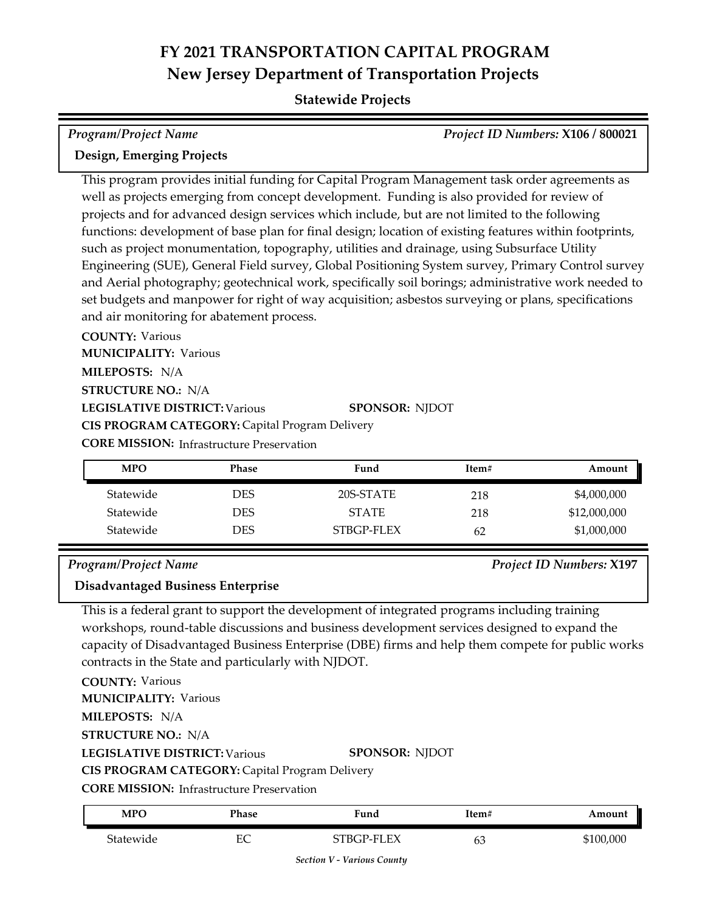## **Statewide Projects**

| Program/Project Name      | Project ID Numbers: X106 / 800021 |
|---------------------------|-----------------------------------|
| Design, Emerging Projects |                                   |

This program provides initial funding for Capital Program Management task order agreements as well as projects emerging from concept development. Funding is also provided for review of projects and for advanced design services which include, but are not limited to the following functions: development of base plan for final design; location of existing features within footprints, such as project monumentation, topography, utilities and drainage, using Subsurface Utility Engineering (SUE), General Field survey, Global Positioning System survey, Primary Control survey and Aerial photography; geotechnical work, specifically soil borings; administrative work needed to set budgets and manpower for right of way acquisition; asbestos surveying or plans, specifications and air monitoring for abatement process.

**COUNTY:** Various **LEGISLATIVE DISTRICT:** Various **MILEPOSTS:** N/A **STRUCTURE NO.:** N/A **MUNICIPALITY: Various CORE MISSION: Infrastructure Preservation SPONSOR:** NJDOT **CIS PROGRAM CATEGORY:** Capital Program Delivery

| <b>MPO</b> | <b>Phase</b> | Fund         | Item# | Amount       |
|------------|--------------|--------------|-------|--------------|
| Statewide  | DES          | 20S-STATE    | 218   | \$4,000,000  |
| Statewide  | DES          | <b>STATE</b> | 218   | \$12,000,000 |
| Statewide  | DES          | STBGP-FLEX   | 62    | \$1,000,000  |

### *Program/Project Name Project ID Numbers:* **X197**

# **Disadvantaged Business Enterprise**

This is a federal grant to support the development of integrated programs including training workshops, round-table discussions and business development services designed to expand the capacity of Disadvantaged Business Enterprise (DBE) firms and help them compete for public works contracts in the State and particularly with NJDOT.

| <b>COUNTY: Various</b>                                |                       |
|-------------------------------------------------------|-----------------------|
| <b>MUNICIPALITY: Various</b>                          |                       |
| <b>MILEPOSTS: N/A</b>                                 |                       |
| <b>STRUCTURE NO.: N/A</b>                             |                       |
| <b>LEGISLATIVE DISTRICT: Various</b>                  | <b>SPONSOR: NIDOT</b> |
| <b>CIS PROGRAM CATEGORY: Capital Program Delivery</b> |                       |
| <b>CORE MISSION:</b> Infrastructure Preservation      |                       |
|                                                       |                       |

| <b>MPO</b> | Phase | Fund       | Item# | Amount    |
|------------|-------|------------|-------|-----------|
| Statewide  | EС    | STBGP-FLEX | 63    | \$100,000 |

*Section V - Various County*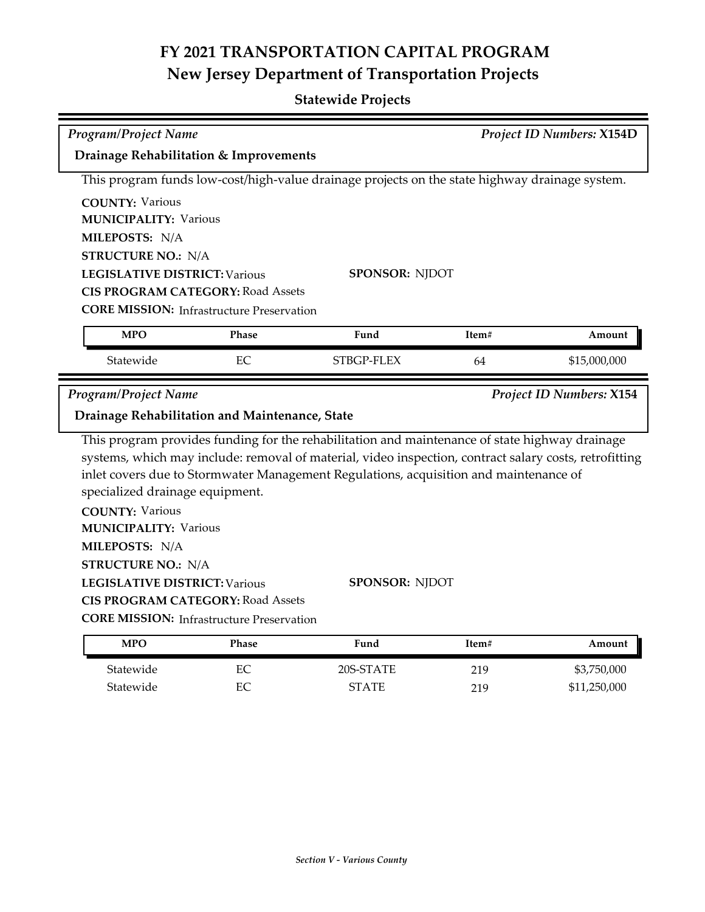## **Statewide Projects**

| Program/Project Name                                                                                                |                                                           |                                                                                                                                                                                                                                                                                                   |       | Project ID Numbers: X154D |
|---------------------------------------------------------------------------------------------------------------------|-----------------------------------------------------------|---------------------------------------------------------------------------------------------------------------------------------------------------------------------------------------------------------------------------------------------------------------------------------------------------|-------|---------------------------|
| Drainage Rehabilitation & Improvements                                                                              |                                                           |                                                                                                                                                                                                                                                                                                   |       |                           |
|                                                                                                                     |                                                           | This program funds low-cost/high-value drainage projects on the state highway drainage system.                                                                                                                                                                                                    |       |                           |
| <b>COUNTY: Various</b>                                                                                              |                                                           |                                                                                                                                                                                                                                                                                                   |       |                           |
| <b>MUNICIPALITY: Various</b>                                                                                        |                                                           |                                                                                                                                                                                                                                                                                                   |       |                           |
| MILEPOSTS: N/A                                                                                                      |                                                           |                                                                                                                                                                                                                                                                                                   |       |                           |
| <b>STRUCTURE NO.: N/A</b>                                                                                           |                                                           |                                                                                                                                                                                                                                                                                                   |       |                           |
| <b>LEGISLATIVE DISTRICT: Various</b>                                                                                |                                                           | <b>SPONSOR: NJDOT</b>                                                                                                                                                                                                                                                                             |       |                           |
|                                                                                                                     | <b>CIS PROGRAM CATEGORY: Road Assets</b>                  |                                                                                                                                                                                                                                                                                                   |       |                           |
|                                                                                                                     | <b>CORE MISSION:</b> Infrastructure Preservation          |                                                                                                                                                                                                                                                                                                   |       |                           |
| <b>MPO</b>                                                                                                          | Phase                                                     | Fund                                                                                                                                                                                                                                                                                              | Item# | Amount                    |
| Statewide                                                                                                           | EC                                                        | STBGP-FLEX                                                                                                                                                                                                                                                                                        | 64    | \$15,000,000              |
|                                                                                                                     |                                                           |                                                                                                                                                                                                                                                                                                   |       |                           |
| <b>Program/Project Name</b>                                                                                         |                                                           |                                                                                                                                                                                                                                                                                                   |       | Project ID Numbers: X154  |
| Drainage Rehabilitation and Maintenance, State                                                                      |                                                           |                                                                                                                                                                                                                                                                                                   |       |                           |
| specialized drainage equipment.<br><b>COUNTY: Various</b>                                                           |                                                           | This program provides funding for the rehabilitation and maintenance of state highway drainage<br>systems, which may include: removal of material, video inspection, contract salary costs, retrofitting<br>inlet covers due to Stormwater Management Regulations, acquisition and maintenance of |       |                           |
| <b>MUNICIPALITY: Various</b><br>MILEPOSTS: N/A<br><b>STRUCTURE NO.: N/A</b><br><b>LEGISLATIVE DISTRICT: Various</b> | <b>CIS PROGRAM CATEGORY: Road Assets</b>                  | <b>SPONSOR: NJDOT</b>                                                                                                                                                                                                                                                                             |       |                           |
| <b>MPO</b>                                                                                                          | <b>CORE MISSION: Infrastructure Preservation</b><br>Phase | Fund                                                                                                                                                                                                                                                                                              | Item# | Amount                    |

Statewide EC STATE 219 \$11,250,000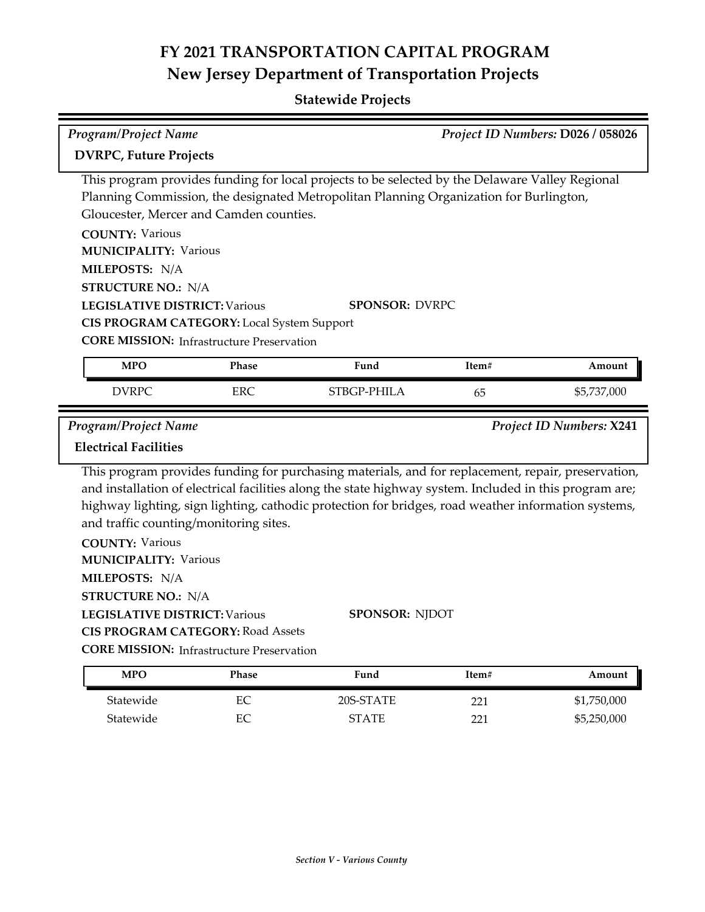| <b>Program/Project Name</b>                                                                                                                   |                                                                                                                                           | Project ID Numbers: D026 / 058026                                                                                                                                                                                  |            |                            |
|-----------------------------------------------------------------------------------------------------------------------------------------------|-------------------------------------------------------------------------------------------------------------------------------------------|--------------------------------------------------------------------------------------------------------------------------------------------------------------------------------------------------------------------|------------|----------------------------|
| <b>DVRPC, Future Projects</b>                                                                                                                 |                                                                                                                                           |                                                                                                                                                                                                                    |            |                            |
| <b>COUNTY: Various</b><br><b>MUNICIPALITY: Various</b><br>MILEPOSTS: N/A<br><b>STRUCTURE NO.: N/A</b><br><b>LEGISLATIVE DISTRICT: Various</b> | Gloucester, Mercer and Camden counties.<br>CIS PROGRAM CATEGORY: Local System Support<br><b>CORE MISSION:</b> Infrastructure Preservation | This program provides funding for local projects to be selected by the Delaware Valley Regional<br>Planning Commission, the designated Metropolitan Planning Organization for Burlington,<br><b>SPONSOR: DVRPC</b> |            |                            |
| <b>MPO</b>                                                                                                                                    | Phase                                                                                                                                     | Fund                                                                                                                                                                                                               | Item#      | Amount                     |
| <b>DVRPC</b>                                                                                                                                  | <b>ERC</b>                                                                                                                                | STBGP-PHILA                                                                                                                                                                                                        | 65         | \$5,737,000                |
| <b>Program/Project Name</b><br><b>Electrical Facilities</b>                                                                                   |                                                                                                                                           | This program provides funding for purchasing materials, and for replacement, repair, preservation,                                                                                                                 |            | Project ID Numbers: X241   |
| <b>COUNTY: Various</b><br><b>MUNICIPALITY: Various</b>                                                                                        | and traffic counting/monitoring sites.                                                                                                    | and installation of electrical facilities along the state highway system. Included in this program are;<br>highway lighting, sign lighting, cathodic protection for bridges, road weather information systems,     |            |                            |
| MILEPOSTS: N/A<br><b>STRUCTURE NO.: N/A</b><br><b>LEGISLATIVE DISTRICT: Various</b>                                                           |                                                                                                                                           | <b>SPONSOR: NJDOT</b>                                                                                                                                                                                              |            |                            |
|                                                                                                                                               | <b>CIS PROGRAM CATEGORY: Road Assets</b><br><b>CORE MISSION:</b> Infrastructure Preservation                                              |                                                                                                                                                                                                                    |            |                            |
| <b>MPO</b>                                                                                                                                    | Phase                                                                                                                                     | Fund                                                                                                                                                                                                               | Item#      | Amount                     |
| Statewide<br>Statewide                                                                                                                        | $\rm EC$<br>$\rm EC$                                                                                                                      | 20S-STATE<br><b>STATE</b>                                                                                                                                                                                          | 221<br>221 | \$1,750,000<br>\$5,250,000 |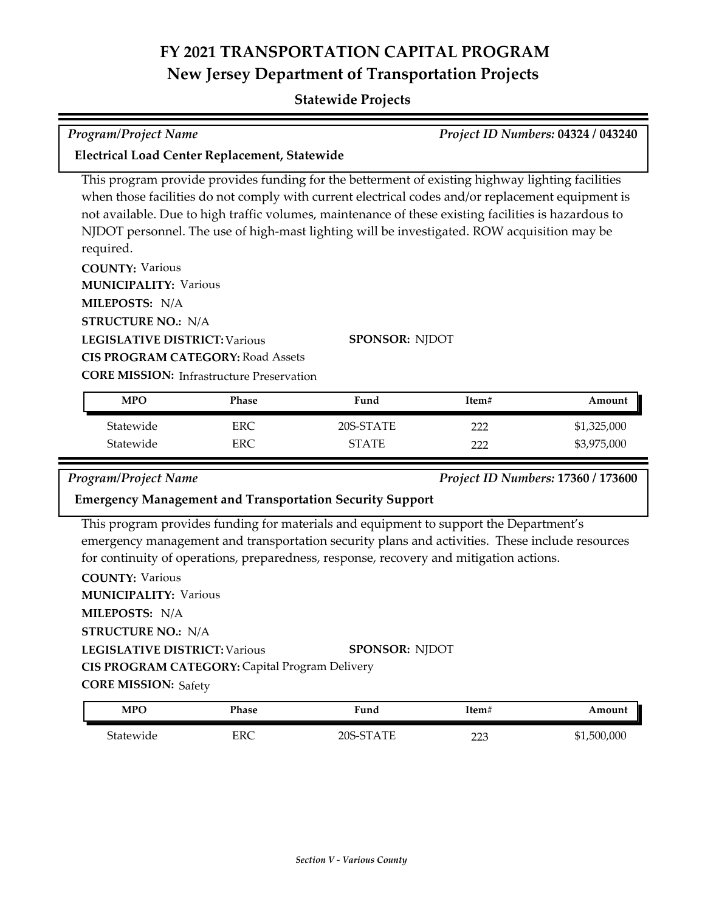## **Statewide Projects**

## *Program/Project Name Project ID Numbers:* **04324 / 043240**

**Electrical Load Center Replacement, Statewide**

This program provide provides funding for the betterment of existing highway lighting facilities when those facilities do not comply with current electrical codes and/or replacement equipment is not available. Due to high traffic volumes, maintenance of these existing facilities is hazardous to NJDOT personnel. The use of high‐mast lighting will be investigated. ROW acquisition may be required.

**COUNTY:** Various **LEGISLATIVE DISTRICT:** Various **MILEPOSTS:** N/A **STRUCTURE NO.:** N/A **MUNICIPALITY: Various CIS PROGRAM CATEGORY:** Road Assets

**SPONSOR:** NJDOT

**CORE MISSION: Infrastructure Preservation** 

| <b>MPO</b> | Phase      | Fund         | Item# | Amount      |
|------------|------------|--------------|-------|-------------|
| Statewide  | <b>ERC</b> | 20S-STATE    | າາາ   | \$1,325,000 |
| Statewide  | <b>ERC</b> | <b>STATE</b> | ררר   | \$3,975,000 |

### *Program/Project Name Project ID Numbers:* **17360 / 173600**

### **Emergency Management and Transportation Security Support**

This program provides funding for materials and equipment to support the Department's emergency management and transportation security plans and activities. These include resources for continuity of operations, preparedness, response, recovery and mitigation actions.

| <b>COUNTY: Various</b>                                |                       |
|-------------------------------------------------------|-----------------------|
| <b>MUNICIPALITY: Various</b>                          |                       |
| <b>MILEPOSTS: N/A</b>                                 |                       |
| <b>STRUCTURE NO.: N/A</b>                             |                       |
| <b>LEGISLATIVE DISTRICT: Various</b>                  | <b>SPONSOR: NIDOT</b> |
| <b>CIS PROGRAM CATEGORY: Capital Program Delivery</b> |                       |
| <b>CORE MISSION: Safety</b>                           |                       |
|                                                       |                       |

| MPO       | Phase | Fund         | Item#      | Amount      |
|-----------|-------|--------------|------------|-------------|
| Statewide | ERC   | $20S$ -STATE | ר ר<br>سكك | \$1,500,000 |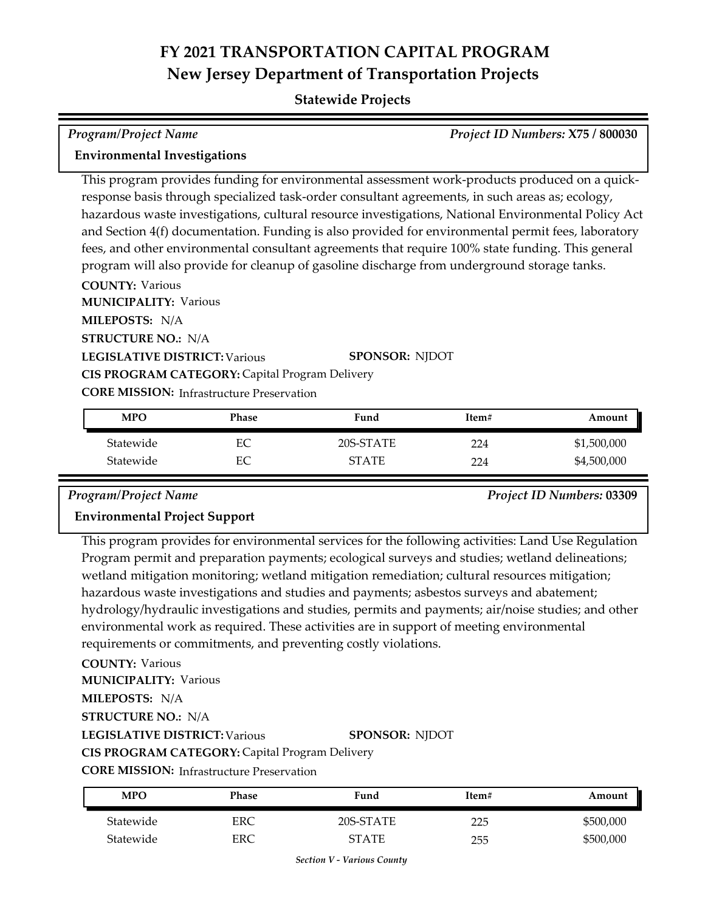### **Statewide Projects**

# *Program/Project Name Project ID Numbers:* **X75 / 800030**

## **Environmental Investigations**

This program provides funding for environmental assessment work-products produced on a quick‐ response basis through specialized task-order consultant agreements, in such areas as; ecology, hazardous waste investigations, cultural resource investigations, National Environmental Policy Act and Section 4(f) documentation. Funding is also provided for environmental permit fees, laboratory fees, and other environmental consultant agreements that require 100% state funding. This general program will also provide for cleanup of gasoline discharge from underground storage tanks.

**COUNTY:** Various

**LEGISLATIVE DISTRICT:** Various **MILEPOSTS:** N/A **STRUCTURE NO.:** N/A **MUNICIPALITY: Various CORE MISSION:** Infrastructure Preservation **SPONSOR:** NJDOT **CIS PROGRAM CATEGORY:** Capital Program Delivery

| MPO       | Phase | Fund         | Item# | Amount      |
|-----------|-------|--------------|-------|-------------|
| Statewide | EС    | 20S-STATE    | 224   | \$1,500,000 |
| Statewide | EС    | <b>STATE</b> | 224   | \$4,500,000 |

*Program/Project Name Project ID Numbers:* **03309**

## **Environmental Project Support**

This program provides for environmental services for the following activities: Land Use Regulation Program permit and preparation payments; ecological surveys and studies; wetland delineations; wetland mitigation monitoring; wetland mitigation remediation; cultural resources mitigation; hazardous waste investigations and studies and payments; asbestos surveys and abatement; hydrology/hydraulic investigations and studies, permits and payments; air/noise studies; and other environmental work as required. These activities are in support of meeting environmental requirements or commitments, and preventing costly violations.

**COUNTY:** Various

**MUNICIPALITY: Various** 

**MILEPOSTS:** N/A

**STRUCTURE NO.:** N/A

**LEGISLATIVE DISTRICT:** Various

**SPONSOR:** NJDOT

**CIS PROGRAM CATEGORY:** Capital Program Delivery

**CORE MISSION: Infrastructure Preservation** 

| MPO       | Phase | Fund      | Item# | Amount    |
|-----------|-------|-----------|-------|-----------|
| Statewide | ERC   | 20S-STATE | つつち   | \$500,000 |
| Statewide | ERC   | STATE     | 255   | \$500,000 |

*Section V - Various County*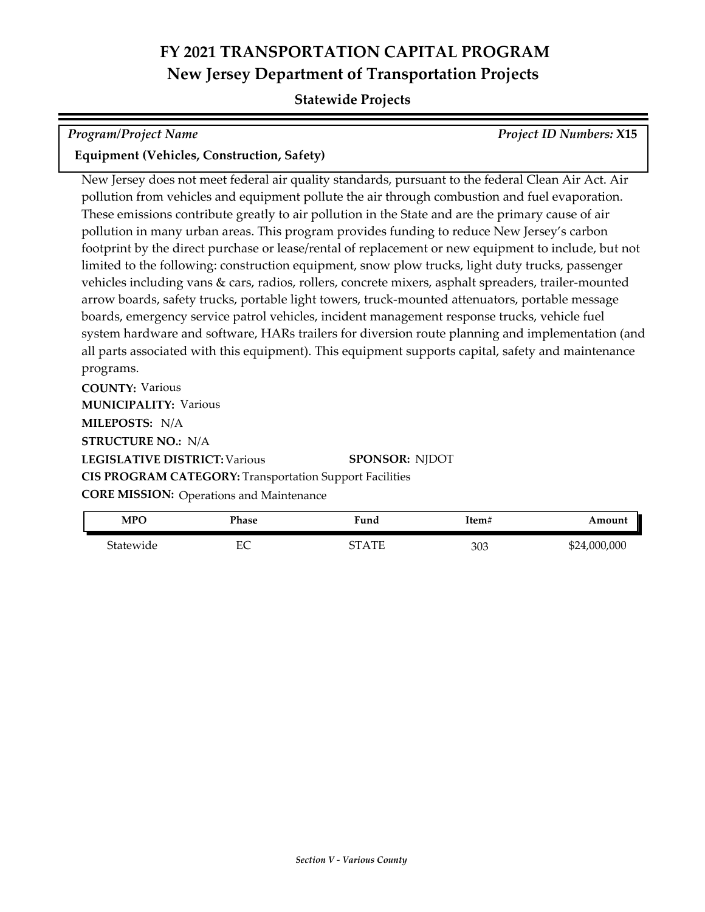### **Statewide Projects**

# *Program/Project Name Project ID Numbers:* **X15**

### **Equipment (Vehicles, Construction, Safety)**

New Jersey does not meet federal air quality standards, pursuant to the federal Clean Air Act. Air pollution from vehicles and equipment pollute the air through combustion and fuel evaporation. These emissions contribute greatly to air pollution in the State and are the primary cause of air pollution in many urban areas. This program provides funding to reduce New Jersey's carbon footprint by the direct purchase or lease/rental of replacement or new equipment to include, but not limited to the following: construction equipment, snow plow trucks, light duty trucks, passenger vehicles including vans & cars, radios, rollers, concrete mixers, asphalt spreaders, trailer-mounted arrow boards, safety trucks, portable light towers, truck-mounted attenuators, portable message boards, emergency service patrol vehicles, incident management response trucks, vehicle fuel system hardware and software, HARs trailers for diversion route planning and implementation (and all parts associated with this equipment). This equipment supports capital, safety and maintenance programs.

**COUNTY:** Various **LEGISLATIVE DISTRICT:** Various **MILEPOSTS:** N/A **STRUCTURE NO.:** N/A **MUNICIPALITY: Various SPONSOR:** NJDOT **CIS PROGRAM CATEGORY:** Transportation Support Facilities **CORE MISSION:**

| <b>CORE MISSION:</b> Operations and Maintenance |  |
|-------------------------------------------------|--|
|-------------------------------------------------|--|

| MPO       | Phase   | Fund    | Item# | Amount       |
|-----------|---------|---------|-------|--------------|
| Statewide | ᄄ<br>ĿĆ | CT A TE | 303   | \$24,000,000 |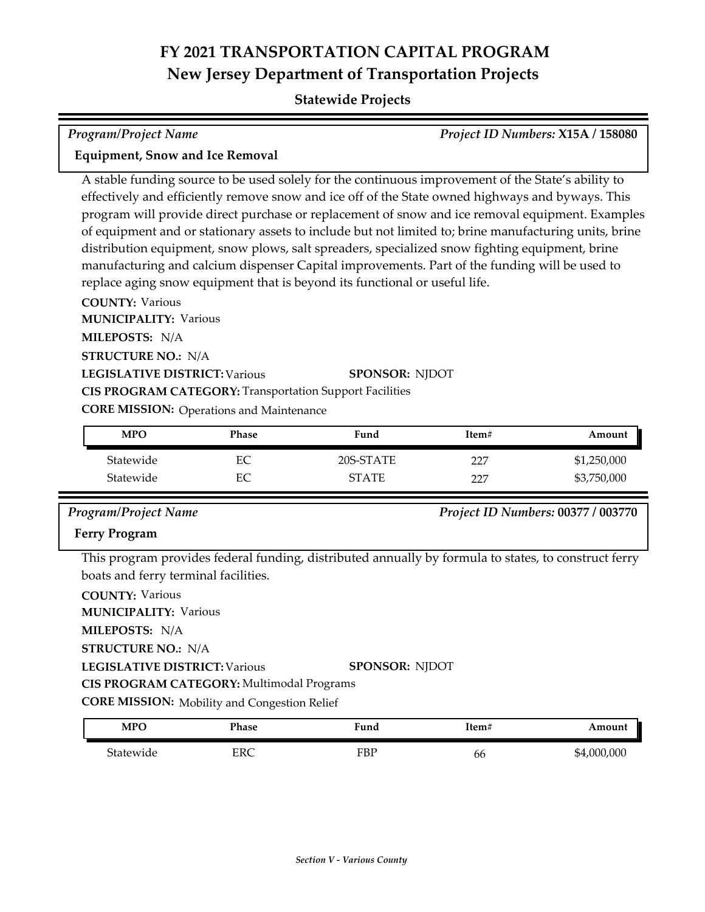### **Statewide Projects**

# *Program/Project Name Project ID Numbers:* **X15A / 158080**

### **Equipment, Snow and Ice Removal**

A stable funding source to be used solely for the continuous improvement of the State's ability to effectively and efficiently remove snow and ice off of the State owned highways and byways. This program will provide direct purchase or replacement of snow and ice removal equipment. Examples of equipment and or stationary assets to include but not limited to; brine manufacturing units, brine distribution equipment, snow plows, salt spreaders, specialized snow fighting equipment, brine manufacturing and calcium dispenser Capital improvements. Part of the funding will be used to replace aging snow equipment that is beyond its functional or useful life.

**COUNTY:** Various

**MUNICIPALITY: Various** 

**MILEPOSTS:** N/A

**STRUCTURE NO.:** N/A

### **LEGISLATIVE DISTRICT:** Various **SPONSOR:** NJDOT

**CIS PROGRAM CATEGORY:** Transportation Support Facilities

**CORE MISSION: Operations and Maintenance** 

| <b>MPO</b> | Phase | Fund         | Item# | Amount      |
|------------|-------|--------------|-------|-------------|
| Statewide  | ЕC    | 20S-STATE    | 227   | \$1,250,000 |
| Statewide  | ЕC    | <b>STATE</b> | フフワ   | \$3,750,000 |

*Program/Project Name Project ID Numbers:* **00377 / 003770**

### **Ferry Program**

This program provides federal funding, distributed annually by formula to states, to construct ferry boats and ferry terminal facilities.

**COUNTY:** Various **LEGISLATIVE DISTRICT:** Various **MILEPOSTS:** N/A **STRUCTURE NO.:** N/A **MUNICIPALITY: Various SPONSOR:** NJDOT **CIS PROGRAM CATEGORY:** Multimodal Programs

**CORE MISSION:** Mobility and Congestion Relief

| <b>MPO</b>          | Phase | $\blacksquare$<br>Fund | 1tem# | Amount      |
|---------------------|-------|------------------------|-------|-------------|
| $\sim$<br>5tatewide | ERC   | FBP                    | bb    | \$4,000,000 |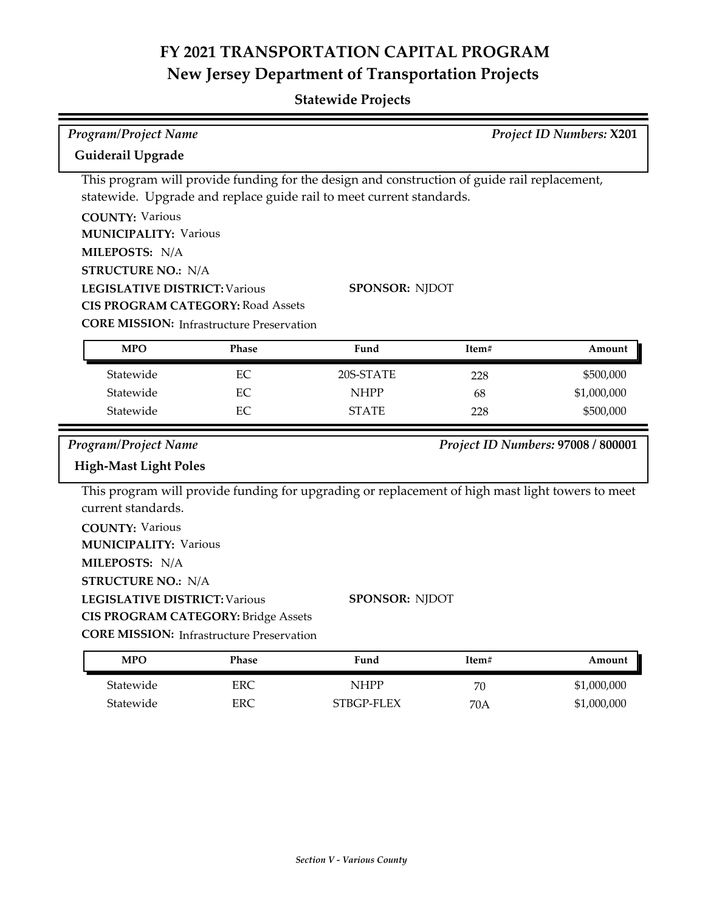| <b>Program/Project Name</b>                                                                                                 |                                                                                                                                                                                                                                                          |                       |       | Project ID Numbers: X201           |
|-----------------------------------------------------------------------------------------------------------------------------|----------------------------------------------------------------------------------------------------------------------------------------------------------------------------------------------------------------------------------------------------------|-----------------------|-------|------------------------------------|
| Guiderail Upgrade                                                                                                           |                                                                                                                                                                                                                                                          |                       |       |                                    |
| <b>COUNTY: Various</b><br><b>MUNICIPALITY: Various</b><br>MILEPOSTS: N/A<br><b>STRUCTURE NO.: N/A</b>                       | This program will provide funding for the design and construction of guide rail replacement,<br>statewide. Upgrade and replace guide rail to meet current standards.<br><b>LEGISLATIVE DISTRICT: Various</b><br><b>CIS PROGRAM CATEGORY: Road Assets</b> | SPONSOR: NJDOT        |       |                                    |
| <b>MPO</b>                                                                                                                  | <b>CORE MISSION: Infrastructure Preservation</b><br>Phase                                                                                                                                                                                                | Fund                  | Item# | Amount                             |
| Statewide                                                                                                                   | EC                                                                                                                                                                                                                                                       | 20S-STATE             | 228   | \$500,000                          |
| Statewide                                                                                                                   | EC                                                                                                                                                                                                                                                       | <b>NHPP</b>           | 68    | \$1,000,000                        |
| Statewide                                                                                                                   | EС                                                                                                                                                                                                                                                       | <b>STATE</b>          | 228   | \$500,000                          |
| Program/Project Name<br><b>High-Mast Light Poles</b>                                                                        |                                                                                                                                                                                                                                                          |                       |       | Project ID Numbers: 97008 / 800001 |
| current standards.<br><b>COUNTY: Various</b><br><b>MUNICIPALITY: Various</b><br>MILEPOSTS: N/A<br><b>STRUCTURE NO.: N/A</b> | This program will provide funding for upgrading or replacement of high mast light towers to meet<br><b>LEGISLATIVE DISTRICT: Various</b><br><b>CIS PROGRAM CATEGORY: Bridge Assets</b><br><b>CORE MISSION:</b> Infrastructure Preservation               | <b>SPONSOR: NJDOT</b> |       |                                    |
| <b>MPO</b>                                                                                                                  | <b>Phase</b>                                                                                                                                                                                                                                             | Fund                  | Item# | Amount                             |

|           | ------ | -------    | ------- | .           |
|-----------|--------|------------|---------|-------------|
| Statewide | ERC    | NHPP       | 70      | \$1,000,000 |
| Statewide | ERC    | STBGP-FLEX | 70A     | \$1,000,000 |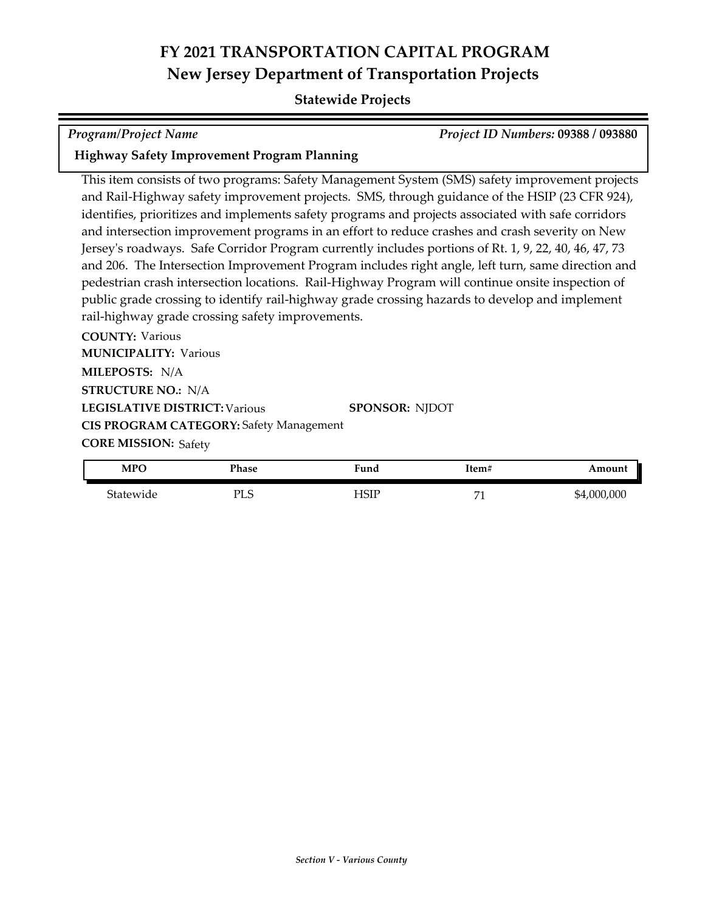### **Statewide Projects**

*Program/Project Name Project ID Numbers:* **09388 / 093880**

### **Highway Safety Improvement Program Planning**

This item consists of two programs: Safety Management System (SMS) safety improvement projects and Rail-Highway safety improvement projects. SMS, through guidance of the HSIP (23 CFR 924), identifies, prioritizes and implements safety programs and projects associated with safe corridors and intersection improvement programs in an effort to reduce crashes and crash severity on New Jersey's roadways. Safe Corridor Program currently includes portions of Rt. 1, 9, 22, 40, 46, 47, 73 and 206. The Intersection Improvement Program includes right angle, left turn, same direction and pedestrian crash intersection locations. Rail-Highway Program will continue onsite inspection of public grade crossing to identify rail-highway grade crossing hazards to develop and implement rail-highway grade crossing safety improvements.

**COUNTY:** Various **LEGISLATIVE DISTRICT:** Various **MILEPOSTS:** N/A **STRUCTURE NO.:** N/A **MUNICIPALITY: Various CORE MISSION: Safety SPONSOR:** NJDOT **CIS PROGRAM CATEGORY:** Safety Management

| <b>MPO</b> | Phase                  | ∀und | Item‡ | Amount      |
|------------|------------------------|------|-------|-------------|
| Statewide  | $\epsilon$<br>וכז<br>ப | HSIP | H.    | \$4,000,000 |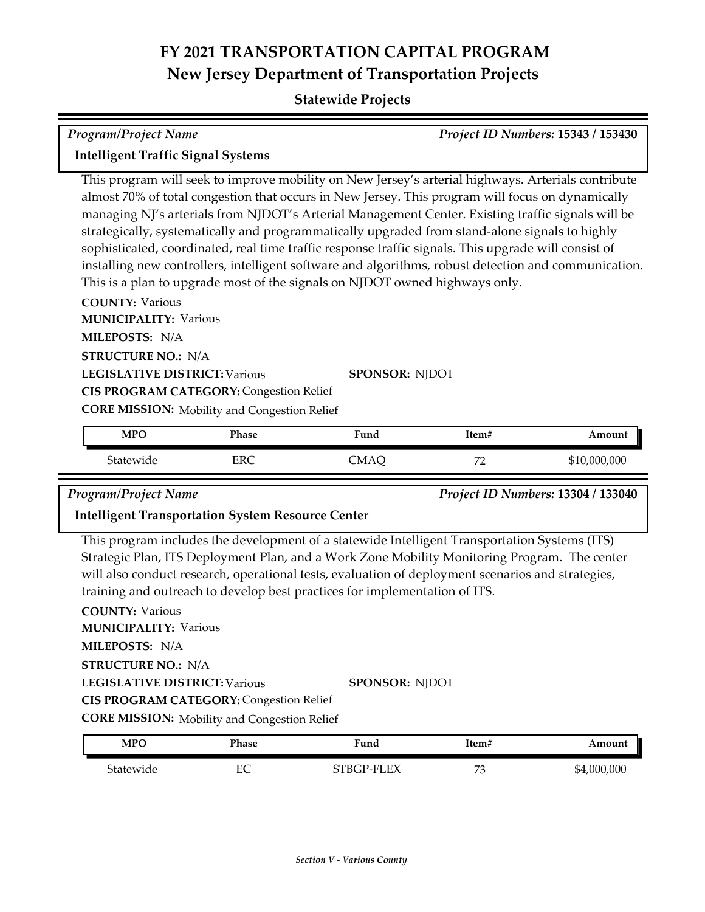### **Statewide Projects**

| <b>Program/Project Name</b>                                                                          | Project ID Numbers: 15343 / 153430 |
|------------------------------------------------------------------------------------------------------|------------------------------------|
| <b>Intelligent Traffic Signal Systems</b>                                                            |                                    |
| This program will seek to improve mobility on New Jersey's arterial highways. Arterials contribute   |                                    |
| almost 70% of total congestion that occurs in New Jersey. This program will focus on dynamically     |                                    |
| managing NJ's arterials from NJDOT's Arterial Management Center. Existing traffic signals will be    |                                    |
| strategically, systematically and programmatically upgraded from stand-alone signals to highly       |                                    |
| sophisticated, coordinated, real time traffic response traffic signals. This upgrade will consist of |                                    |
| installing new controllers, intelligent software and algorithms, robust detection and communication. |                                    |
| This is a plan to upgrade most of the signals on NJDOT owned highways only.                          |                                    |
| <b>COUNTY: Various</b>                                                                               |                                    |
| <b>MUNICIPALITY: Various</b>                                                                         |                                    |
| <b>MILEPOSTS: N/A</b>                                                                                |                                    |
| <b>STRUCTURE NO.: N/A</b>                                                                            |                                    |

## **LEGISLATIVE DISTRICT:** Various

**CIS PROGRAM CATEGORY:** Congestion Relief

**CORE MISSION:** Mobility and Congestion Relief

| <b>MPC</b> | Phase | Fund | Item#             | Amount       |
|------------|-------|------|-------------------|--------------|
| Statewide  | ERC   | MAO: | $H^{\prime}$<br>- | \$10,000,000 |

**SPONSOR:** NJDOT

*Program/Project Name Project ID Numbers:* **13304 / 133040**

### **Intelligent Transportation System Resource Center**

This program includes the development of a statewide Intelligent Transportation Systems (ITS) Strategic Plan, ITS Deployment Plan, and a Work Zone Mobility Monitoring Program. The center will also conduct research, operational tests, evaluation of deployment scenarios and strategies, training and outreach to develop best practices for implementation of ITS.

**COUNTY:** Various **LEGISLATIVE DISTRICT:** Various **MILEPOSTS:** N/A **STRUCTURE NO.:** N/A **MUNICIPALITY: Various CORE MISSION:** Mobility and Congestion Relief **SPONSOR:** NJDOT **CIS PROGRAM CATEGORY:** Congestion Relief

| MPO       | Phase   | Fund       | Item#        | Amount      |
|-----------|---------|------------|--------------|-------------|
| Statewide | FС<br>Ľ | STBGP-FLEX | $H^{\prime}$ | \$4,000,000 |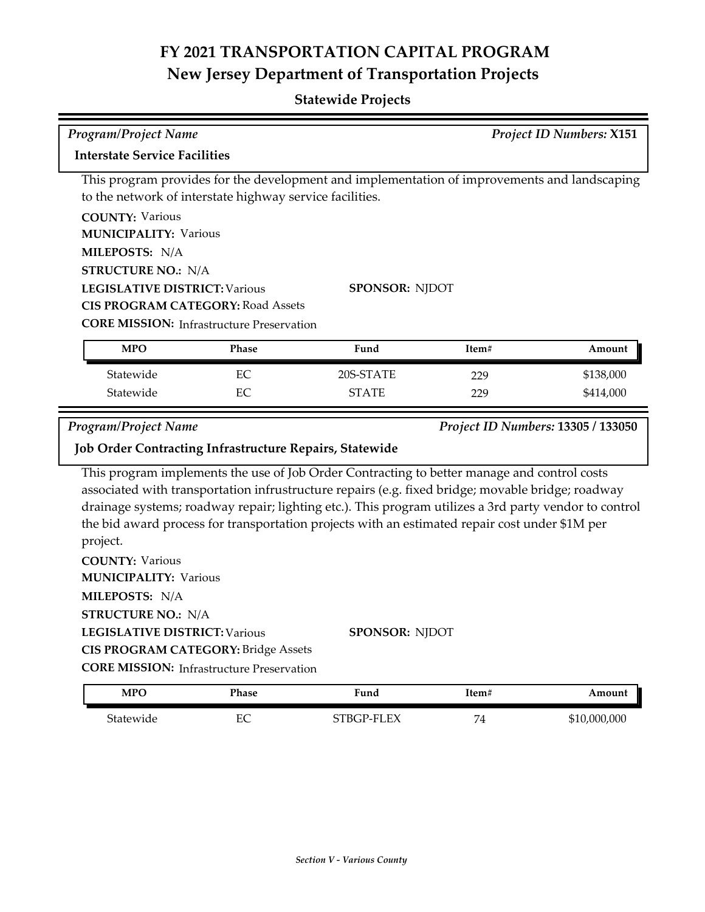| <b>Program/Project Name</b>                          |                                                                                                                                                                                                     |       | <b>Project ID Numbers: X151</b>                                                                                                                                                                                                                                                                                                                                                                                                      |       |                                    |  |
|------------------------------------------------------|-----------------------------------------------------------------------------------------------------------------------------------------------------------------------------------------------------|-------|--------------------------------------------------------------------------------------------------------------------------------------------------------------------------------------------------------------------------------------------------------------------------------------------------------------------------------------------------------------------------------------------------------------------------------------|-------|------------------------------------|--|
|                                                      | <b>Interstate Service Facilities</b>                                                                                                                                                                |       |                                                                                                                                                                                                                                                                                                                                                                                                                                      |       |                                    |  |
|                                                      |                                                                                                                                                                                                     |       | This program provides for the development and implementation of improvements and landscaping<br>to the network of interstate highway service facilities.                                                                                                                                                                                                                                                                             |       |                                    |  |
| <b>COUNTY: Various</b>                               |                                                                                                                                                                                                     |       |                                                                                                                                                                                                                                                                                                                                                                                                                                      |       |                                    |  |
|                                                      | <b>MUNICIPALITY: Various</b>                                                                                                                                                                        |       |                                                                                                                                                                                                                                                                                                                                                                                                                                      |       |                                    |  |
| MILEPOSTS: N/A                                       |                                                                                                                                                                                                     |       |                                                                                                                                                                                                                                                                                                                                                                                                                                      |       |                                    |  |
|                                                      | <b>STRUCTURE NO.: N/A</b>                                                                                                                                                                           |       |                                                                                                                                                                                                                                                                                                                                                                                                                                      |       |                                    |  |
|                                                      | <b>LEGISLATIVE DISTRICT: Various</b>                                                                                                                                                                |       | <b>SPONSOR: NJDOT</b>                                                                                                                                                                                                                                                                                                                                                                                                                |       |                                    |  |
|                                                      | <b>CIS PROGRAM CATEGORY: Road Assets</b>                                                                                                                                                            |       |                                                                                                                                                                                                                                                                                                                                                                                                                                      |       |                                    |  |
|                                                      | <b>CORE MISSION: Infrastructure Preservation</b>                                                                                                                                                    |       |                                                                                                                                                                                                                                                                                                                                                                                                                                      |       |                                    |  |
| <b>MPO</b>                                           |                                                                                                                                                                                                     | Phase | Fund                                                                                                                                                                                                                                                                                                                                                                                                                                 | Item# | Amount                             |  |
| Statewide                                            |                                                                                                                                                                                                     | EC    | 20S-STATE                                                                                                                                                                                                                                                                                                                                                                                                                            | 229   | \$138,000                          |  |
| Statewide                                            |                                                                                                                                                                                                     | EC    | <b>STATE</b>                                                                                                                                                                                                                                                                                                                                                                                                                         | 229   | \$414,000                          |  |
| <b>Program/Project Name</b>                          |                                                                                                                                                                                                     |       |                                                                                                                                                                                                                                                                                                                                                                                                                                      |       | Project ID Numbers: 13305 / 133050 |  |
|                                                      |                                                                                                                                                                                                     |       | <b>Job Order Contracting Infrastructure Repairs, Statewide</b>                                                                                                                                                                                                                                                                                                                                                                       |       |                                    |  |
| project.<br><b>COUNTY: Various</b><br>MILEPOSTS: N/A | <b>MUNICIPALITY: Various</b><br><b>STRUCTURE NO.: N/A</b><br><b>LEGISLATIVE DISTRICT: Various</b><br><b>CIS PROGRAM CATEGORY: Bridge Assets</b><br><b>CORE MISSION:</b> Infrastructure Preservation |       | This program implements the use of Job Order Contracting to better manage and control costs<br>associated with transportation infrustructure repairs (e.g. fixed bridge; movable bridge; roadway<br>drainage systems; roadway repair; lighting etc.). This program utilizes a 3rd party vendor to control<br>the bid award process for transportation projects with an estimated repair cost under \$1M per<br><b>SPONSOR: NJDOT</b> |       |                                    |  |
| <b>MPO</b>                                           |                                                                                                                                                                                                     | Phase | Fund                                                                                                                                                                                                                                                                                                                                                                                                                                 | Item# | Amount                             |  |
| Statewide                                            |                                                                                                                                                                                                     | EC    | STBGP-FLEX                                                                                                                                                                                                                                                                                                                                                                                                                           | 74    | \$10,000,000                       |  |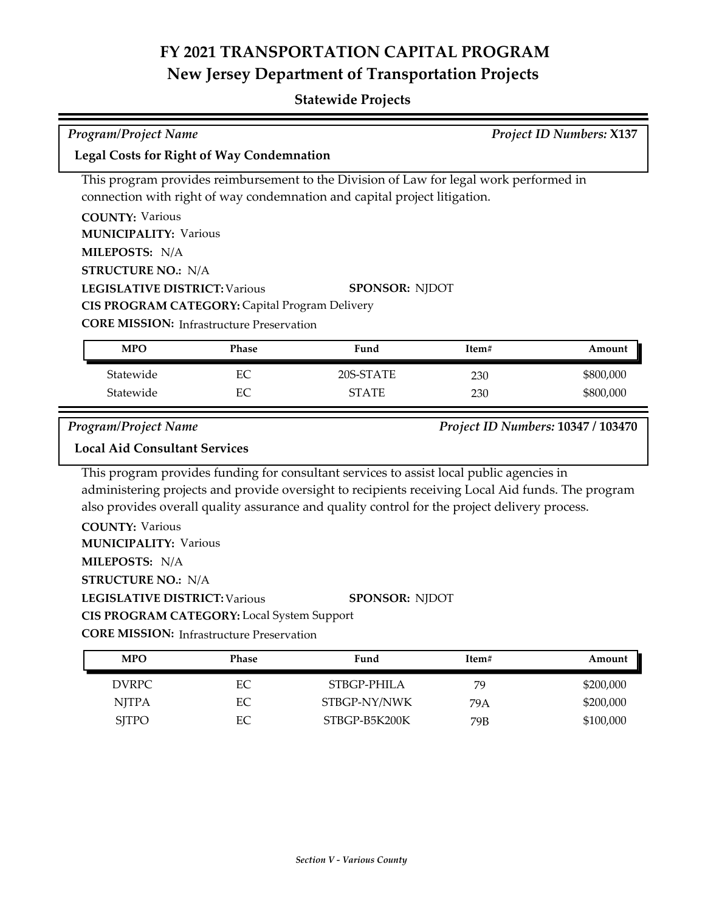## **Statewide Projects**

| <b>Program/Project Name</b><br><b>Project ID Numbers: X137</b> |                                                  |                                                                                                   |       |                                    |  |  |
|----------------------------------------------------------------|--------------------------------------------------|---------------------------------------------------------------------------------------------------|-------|------------------------------------|--|--|
| <b>Legal Costs for Right of Way Condemnation</b>               |                                                  |                                                                                                   |       |                                    |  |  |
|                                                                |                                                  | This program provides reimbursement to the Division of Law for legal work performed in            |       |                                    |  |  |
|                                                                |                                                  | connection with right of way condemnation and capital project litigation.                         |       |                                    |  |  |
| <b>COUNTY: Various</b>                                         |                                                  |                                                                                                   |       |                                    |  |  |
| <b>MUNICIPALITY: Various</b>                                   |                                                  |                                                                                                   |       |                                    |  |  |
| MILEPOSTS: N/A                                                 |                                                  |                                                                                                   |       |                                    |  |  |
| <b>STRUCTURE NO.: N/A</b>                                      |                                                  |                                                                                                   |       |                                    |  |  |
| <b>LEGISLATIVE DISTRICT: Various</b><br><b>SPONSOR: NJDOT</b>  |                                                  |                                                                                                   |       |                                    |  |  |
|                                                                | CIS PROGRAM CATEGORY: Capital Program Delivery   |                                                                                                   |       |                                    |  |  |
| <b>CORE MISSION:</b> Infrastructure Preservation               |                                                  |                                                                                                   |       |                                    |  |  |
| <b>MPO</b>                                                     | Phase                                            | Fund                                                                                              | Item# | Amount                             |  |  |
| Statewide                                                      | EC                                               | 20S-STATE                                                                                         | 230   | \$800,000                          |  |  |
| Statewide                                                      | EC                                               | <b>STATE</b>                                                                                      | 230   | \$800,000                          |  |  |
|                                                                |                                                  |                                                                                                   |       |                                    |  |  |
|                                                                |                                                  |                                                                                                   |       |                                    |  |  |
| <b>Program/Project Name</b>                                    |                                                  |                                                                                                   |       | Project ID Numbers: 10347 / 103470 |  |  |
| <b>Local Aid Consultant Services</b>                           |                                                  |                                                                                                   |       |                                    |  |  |
|                                                                |                                                  | This program provides funding for consultant services to assist local public agencies in          |       |                                    |  |  |
|                                                                |                                                  | administering projects and provide oversight to recipients receiving Local Aid funds. The program |       |                                    |  |  |
|                                                                |                                                  | also provides overall quality assurance and quality control for the project delivery process.     |       |                                    |  |  |
| <b>COUNTY: Various</b>                                         |                                                  |                                                                                                   |       |                                    |  |  |
| <b>MUNICIPALITY: Various</b>                                   |                                                  |                                                                                                   |       |                                    |  |  |
| MILEPOSTS: N/A                                                 |                                                  |                                                                                                   |       |                                    |  |  |
| <b>STRUCTURE NO.: N/A</b>                                      |                                                  |                                                                                                   |       |                                    |  |  |
| <b>LEGISLATIVE DISTRICT: Various</b>                           |                                                  | <b>SPONSOR: NJDOT</b>                                                                             |       |                                    |  |  |
|                                                                | CIS PROGRAM CATEGORY: Local System Support       |                                                                                                   |       |                                    |  |  |
|                                                                | <b>CORE MISSION: Infrastructure Preservation</b> |                                                                                                   |       |                                    |  |  |
| <b>MPO</b>                                                     | Phase                                            | Fund                                                                                              | Item# | Amount                             |  |  |

NJTPA EC STBGP-NY/NWK 79A \$200,000 SJTPO EC STBGP-B5K200K 79B \$100,000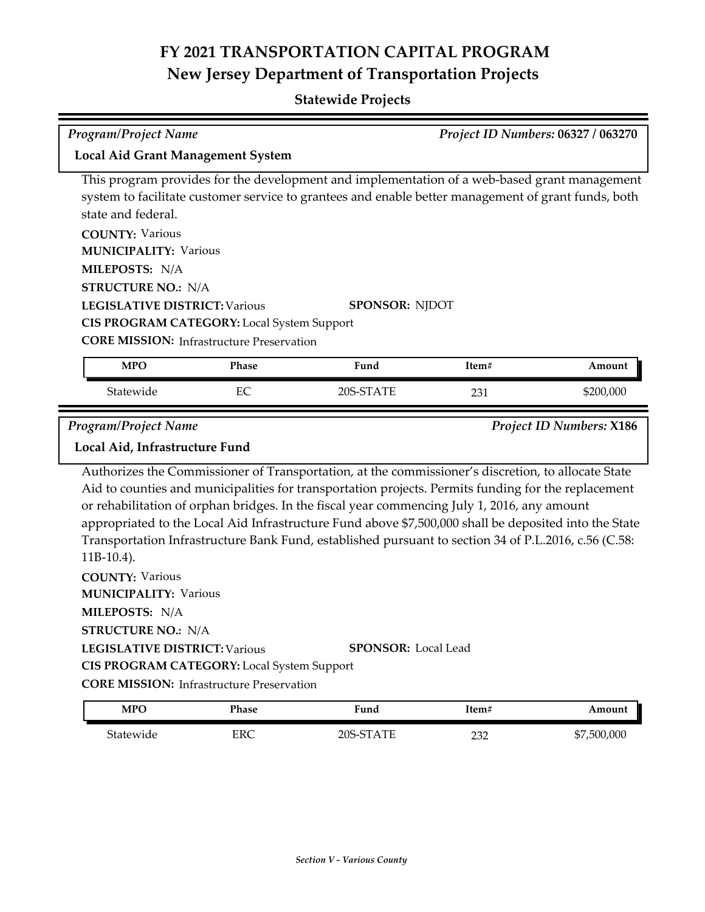| <b>Program/Project Name</b>                                                                                                                                                                                                                                                                                                                                                                                                                       |                                                                                                |                                                                                                                                                                                                                                                                                                                                                                                                                                                                                                                                                         |       | Project ID Numbers: 06327 / 063270 |  |
|---------------------------------------------------------------------------------------------------------------------------------------------------------------------------------------------------------------------------------------------------------------------------------------------------------------------------------------------------------------------------------------------------------------------------------------------------|------------------------------------------------------------------------------------------------|---------------------------------------------------------------------------------------------------------------------------------------------------------------------------------------------------------------------------------------------------------------------------------------------------------------------------------------------------------------------------------------------------------------------------------------------------------------------------------------------------------------------------------------------------------|-------|------------------------------------|--|
| <b>Local Aid Grant Management System</b>                                                                                                                                                                                                                                                                                                                                                                                                          |                                                                                                |                                                                                                                                                                                                                                                                                                                                                                                                                                                                                                                                                         |       |                                    |  |
| This program provides for the development and implementation of a web-based grant management<br>system to facilitate customer service to grantees and enable better management of grant funds, both<br>state and federal.<br><b>COUNTY: Various</b><br><b>MUNICIPALITY: Various</b><br>MILEPOSTS: N/A<br><b>STRUCTURE NO.: N/A</b><br><b>LEGISLATIVE DISTRICT: Various</b><br><b>SPONSOR: NJDOT</b><br>CIS PROGRAM CATEGORY: Local System Support |                                                                                                |                                                                                                                                                                                                                                                                                                                                                                                                                                                                                                                                                         |       |                                    |  |
| <b>CORE MISSION: Infrastructure Preservation</b><br><b>MPO</b><br>Phase<br>Fund<br>Item#<br>Amount                                                                                                                                                                                                                                                                                                                                                |                                                                                                |                                                                                                                                                                                                                                                                                                                                                                                                                                                                                                                                                         |       |                                    |  |
| Statewide                                                                                                                                                                                                                                                                                                                                                                                                                                         | EC                                                                                             | 20S-STATE                                                                                                                                                                                                                                                                                                                                                                                                                                                                                                                                               | 231   | \$200,000                          |  |
| <b>Program/Project Name</b><br>Local Aid, Infrastructure Fund<br>$11B-10.4$ ).<br><b>COUNTY: Various</b><br><b>MUNICIPALITY: Various</b><br>MILEPOSTS: N/A<br><b>STRUCTURE NO.: N/A</b><br><b>LEGISLATIVE DISTRICT: Various</b>                                                                                                                                                                                                                   | CIS PROGRAM CATEGORY: Local System Support<br><b>CORE MISSION:</b> Infrastructure Preservation | Authorizes the Commissioner of Transportation, at the commissioner's discretion, to allocate State<br>Aid to counties and municipalities for transportation projects. Permits funding for the replacement<br>or rehabilitation of orphan bridges. In the fiscal year commencing July 1, 2016, any amount<br>appropriated to the Local Aid Infrastructure Fund above \$7,500,000 shall be deposited into the State<br>Transportation Infrastructure Bank Fund, established pursuant to section 34 of P.L.2016, c.56 (C.58:<br><b>SPONSOR: Local Lead</b> |       | <b>Project ID Numbers: X186</b>    |  |
| <b>MPO</b>                                                                                                                                                                                                                                                                                                                                                                                                                                        | Phase                                                                                          | Fund                                                                                                                                                                                                                                                                                                                                                                                                                                                                                                                                                    | Item# | Amount                             |  |
| Statewide                                                                                                                                                                                                                                                                                                                                                                                                                                         | <b>ERC</b>                                                                                     | 20S-STATE                                                                                                                                                                                                                                                                                                                                                                                                                                                                                                                                               | 232   | \$7,500,000                        |  |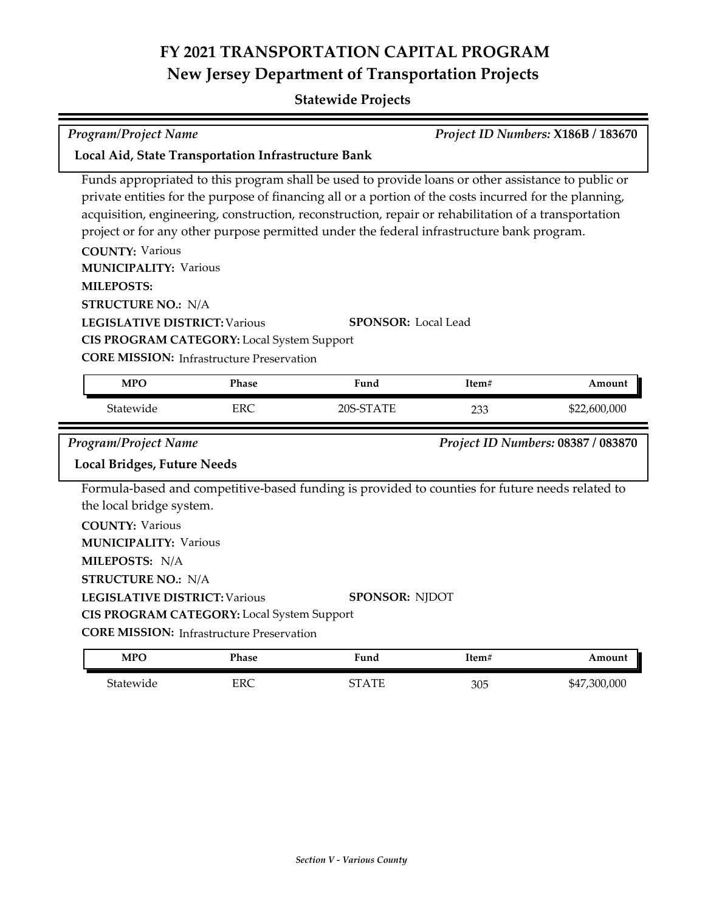## **Statewide Projects**

| <b>Program/Project Name</b><br>Local Aid, State Transportation Infrastructure Bank                                                                                                                                                                                                                                                                                                                                                                                                                                                                                                                                                                                                                    |            |                                                                                                                          |       | Project ID Numbers: X186B / 183670 |
|-------------------------------------------------------------------------------------------------------------------------------------------------------------------------------------------------------------------------------------------------------------------------------------------------------------------------------------------------------------------------------------------------------------------------------------------------------------------------------------------------------------------------------------------------------------------------------------------------------------------------------------------------------------------------------------------------------|------------|--------------------------------------------------------------------------------------------------------------------------|-------|------------------------------------|
| Funds appropriated to this program shall be used to provide loans or other assistance to public or<br>private entities for the purpose of financing all or a portion of the costs incurred for the planning,<br>acquisition, engineering, construction, reconstruction, repair or rehabilitation of a transportation<br>project or for any other purpose permitted under the federal infrastructure bank program.<br><b>COUNTY: Various</b><br><b>MUNICIPALITY: Various</b><br><b>MILEPOSTS:</b><br><b>STRUCTURE NO.: N/A</b><br><b>LEGISLATIVE DISTRICT: Various</b><br><b>SPONSOR: Local Lead</b><br>CIS PROGRAM CATEGORY: Local System Support<br><b>CORE MISSION:</b> Infrastructure Preservation |            |                                                                                                                          |       |                                    |
|                                                                                                                                                                                                                                                                                                                                                                                                                                                                                                                                                                                                                                                                                                       |            |                                                                                                                          |       |                                    |
| <b>MPO</b>                                                                                                                                                                                                                                                                                                                                                                                                                                                                                                                                                                                                                                                                                            | Phase      | Fund                                                                                                                     | Item# | Amount                             |
| Statewide                                                                                                                                                                                                                                                                                                                                                                                                                                                                                                                                                                                                                                                                                             | <b>ERC</b> | 20S-STATE                                                                                                                | 233   | \$22,600,000                       |
| <b>Program/Project Name</b><br><b>Local Bridges, Future Needs</b>                                                                                                                                                                                                                                                                                                                                                                                                                                                                                                                                                                                                                                     |            |                                                                                                                          |       | Project ID Numbers: 08387 / 083870 |
| the local bridge system.<br><b>COUNTY: Various</b><br><b>MUNICIPALITY: Various</b><br>MILEPOSTS: N/A<br><b>STRUCTURE NO.: N/A</b><br><b>LEGISLATIVE DISTRICT: Various</b><br>CIS PROGRAM CATEGORY: Local System Support<br><b>CORE MISSION:</b> Infrastructure Preservation                                                                                                                                                                                                                                                                                                                                                                                                                           |            | Formula-based and competitive-based funding is provided to counties for future needs related to<br><b>SPONSOR: NJDOT</b> |       |                                    |
| <b>MPO</b>                                                                                                                                                                                                                                                                                                                                                                                                                                                                                                                                                                                                                                                                                            | Phase      | Fund                                                                                                                     | Item# | Amount                             |

Statewide ERC STATE 305 \$47,300,000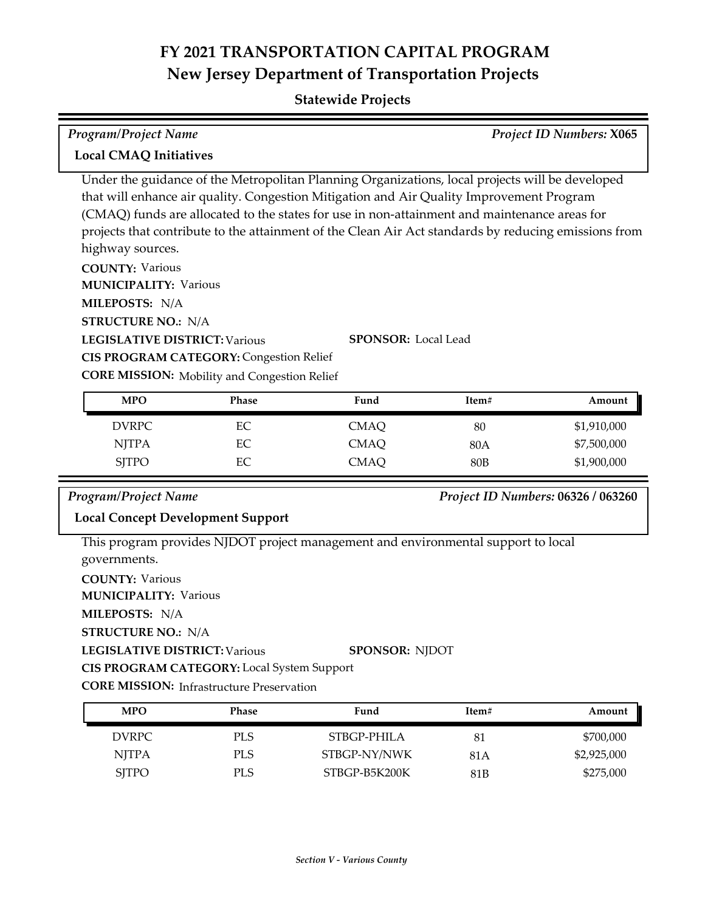## **Statewide Projects**

| <b>Program/Project Name</b><br>Project ID Numbers: X065                                                                                                           |                                                                                                |                                                                                                                                                                                                                                                                                                                                                                                                                                   |            |                                    |  |
|-------------------------------------------------------------------------------------------------------------------------------------------------------------------|------------------------------------------------------------------------------------------------|-----------------------------------------------------------------------------------------------------------------------------------------------------------------------------------------------------------------------------------------------------------------------------------------------------------------------------------------------------------------------------------------------------------------------------------|------------|------------------------------------|--|
| <b>Local CMAQ Initiatives</b>                                                                                                                                     |                                                                                                |                                                                                                                                                                                                                                                                                                                                                                                                                                   |            |                                    |  |
| highway sources.<br><b>COUNTY: Various</b><br><b>MUNICIPALITY: Various</b><br>MILEPOSTS: N/A<br><b>STRUCTURE NO.: N/A</b><br><b>LEGISLATIVE DISTRICT: Various</b> | <b>CIS PROGRAM CATEGORY: Congestion Relief</b>                                                 | Under the guidance of the Metropolitan Planning Organizations, local projects will be developed<br>that will enhance air quality. Congestion Mitigation and Air Quality Improvement Program<br>(CMAQ) funds are allocated to the states for use in non-attainment and maintenance areas for<br>projects that contribute to the attainment of the Clean Air Act standards by reducing emissions from<br><b>SPONSOR: Local Lead</b> |            |                                    |  |
| <b>MPO</b>                                                                                                                                                        | <b>CORE MISSION:</b> Mobility and Congestion Relief<br>Phase                                   | Fund                                                                                                                                                                                                                                                                                                                                                                                                                              | Item#      | Amount                             |  |
| <b>DVRPC</b>                                                                                                                                                      | EC                                                                                             |                                                                                                                                                                                                                                                                                                                                                                                                                                   |            |                                    |  |
| <b>NJTPA</b>                                                                                                                                                      | EC                                                                                             | <b>CMAQ</b><br><b>CMAQ</b>                                                                                                                                                                                                                                                                                                                                                                                                        | 80<br>80A  | \$1,910,000<br>\$7,500,000         |  |
| <b>SJTPO</b>                                                                                                                                                      | EC                                                                                             | <b>CMAQ</b>                                                                                                                                                                                                                                                                                                                                                                                                                       | <b>80B</b> | \$1,900,000                        |  |
| Program/Project Name                                                                                                                                              |                                                                                                |                                                                                                                                                                                                                                                                                                                                                                                                                                   |            | Project ID Numbers: 06326 / 063260 |  |
|                                                                                                                                                                   | <b>Local Concept Development Support</b>                                                       |                                                                                                                                                                                                                                                                                                                                                                                                                                   |            |                                    |  |
| governments.<br><b>COUNTY: Various</b><br><b>MUNICIPALITY: Various</b><br>MILEPOSTS: N/A<br><b>STRUCTURE NO.: N/A</b><br><b>LEGISLATIVE DISTRICT: Various</b>     | CIS PROGRAM CATEGORY: Local System Support<br><b>CORE MISSION:</b> Infrastructure Preservation | This program provides NJDOT project management and environmental support to local<br><b>SPONSOR: NJDOT</b>                                                                                                                                                                                                                                                                                                                        |            |                                    |  |
| <b>MPO</b>                                                                                                                                                        | Phase                                                                                          | Fund                                                                                                                                                                                                                                                                                                                                                                                                                              | Item#      | Amount                             |  |
| <b>DVRPC</b>                                                                                                                                                      | PLS                                                                                            | STBGP-PHILA                                                                                                                                                                                                                                                                                                                                                                                                                       | 81         | \$700,000                          |  |

NJTPA PLS STBGP-NY/NWK 81A \$2,925,000 SJTPO PLS STBGP-B5K200K 81B \$275,000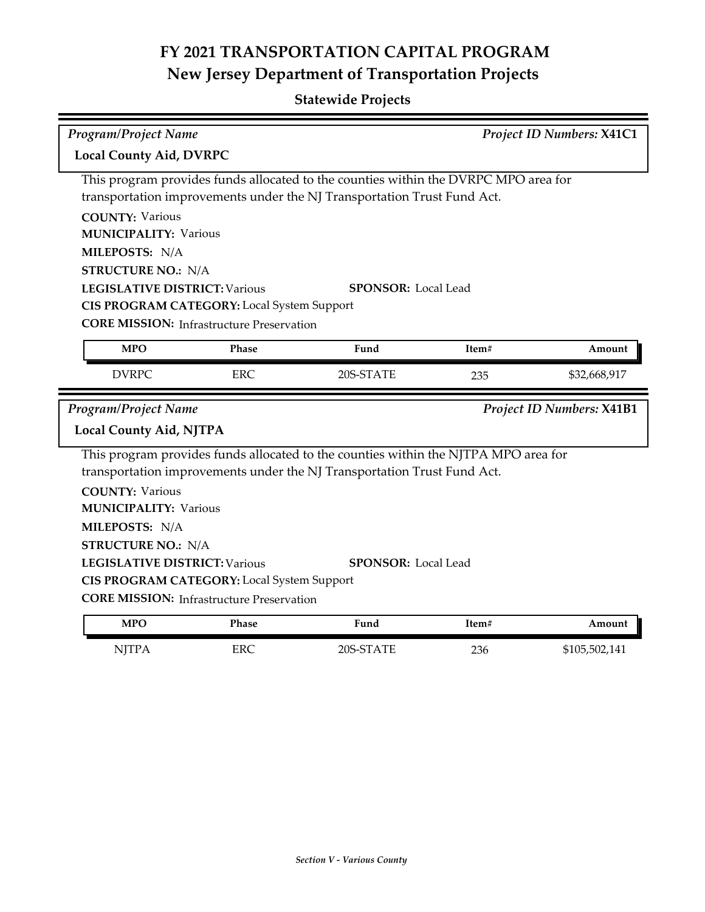| <b>Program/Project Name</b>                                                         |                                                  |                                                                                     |       | Project ID Numbers: X41C1 |  |  |
|-------------------------------------------------------------------------------------|--------------------------------------------------|-------------------------------------------------------------------------------------|-------|---------------------------|--|--|
| <b>Local County Aid, DVRPC</b>                                                      |                                                  |                                                                                     |       |                           |  |  |
| This program provides funds allocated to the counties within the DVRPC MPO area for |                                                  |                                                                                     |       |                           |  |  |
|                                                                                     |                                                  | transportation improvements under the NJ Transportation Trust Fund Act.             |       |                           |  |  |
| <b>COUNTY: Various</b>                                                              |                                                  |                                                                                     |       |                           |  |  |
| <b>MUNICIPALITY: Various</b>                                                        |                                                  |                                                                                     |       |                           |  |  |
| MILEPOSTS: N/A                                                                      |                                                  |                                                                                     |       |                           |  |  |
| <b>STRUCTURE NO.: N/A</b>                                                           |                                                  |                                                                                     |       |                           |  |  |
| <b>LEGISLATIVE DISTRICT: Various</b>                                                |                                                  | <b>SPONSOR:</b> Local Lead                                                          |       |                           |  |  |
|                                                                                     | CIS PROGRAM CATEGORY: Local System Support       |                                                                                     |       |                           |  |  |
|                                                                                     | <b>CORE MISSION:</b> Infrastructure Preservation |                                                                                     |       |                           |  |  |
| <b>MPO</b>                                                                          | Phase                                            | Fund                                                                                | Item# | Amount                    |  |  |
| <b>DVRPC</b>                                                                        | <b>ERC</b>                                       | 20S-STATE                                                                           | 235   | \$32,668,917              |  |  |
|                                                                                     |                                                  |                                                                                     |       |                           |  |  |
|                                                                                     |                                                  |                                                                                     |       |                           |  |  |
|                                                                                     |                                                  |                                                                                     |       | Project ID Numbers: X41B1 |  |  |
| <b>Local County Aid, NJTPA</b>                                                      |                                                  |                                                                                     |       |                           |  |  |
|                                                                                     |                                                  | This program provides funds allocated to the counties within the NJTPA MPO area for |       |                           |  |  |
|                                                                                     |                                                  | transportation improvements under the NJ Transportation Trust Fund Act.             |       |                           |  |  |
| <b>COUNTY: Various</b>                                                              |                                                  |                                                                                     |       |                           |  |  |
| <b>MUNICIPALITY: Various</b>                                                        |                                                  |                                                                                     |       |                           |  |  |
| MILEPOSTS: N/A                                                                      |                                                  |                                                                                     |       |                           |  |  |
| <b>STRUCTURE NO.: N/A</b>                                                           |                                                  |                                                                                     |       |                           |  |  |
| <b>LEGISLATIVE DISTRICT: Various</b>                                                |                                                  | <b>SPONSOR: Local Lead</b>                                                          |       |                           |  |  |
| <b>Program/Project Name</b>                                                         | CIS PROGRAM CATEGORY: Local System Support       |                                                                                     |       |                           |  |  |
|                                                                                     | <b>CORE MISSION:</b> Infrastructure Preservation |                                                                                     |       |                           |  |  |
| <b>MPO</b>                                                                          | Phase                                            | Fund                                                                                | Item# | Amount                    |  |  |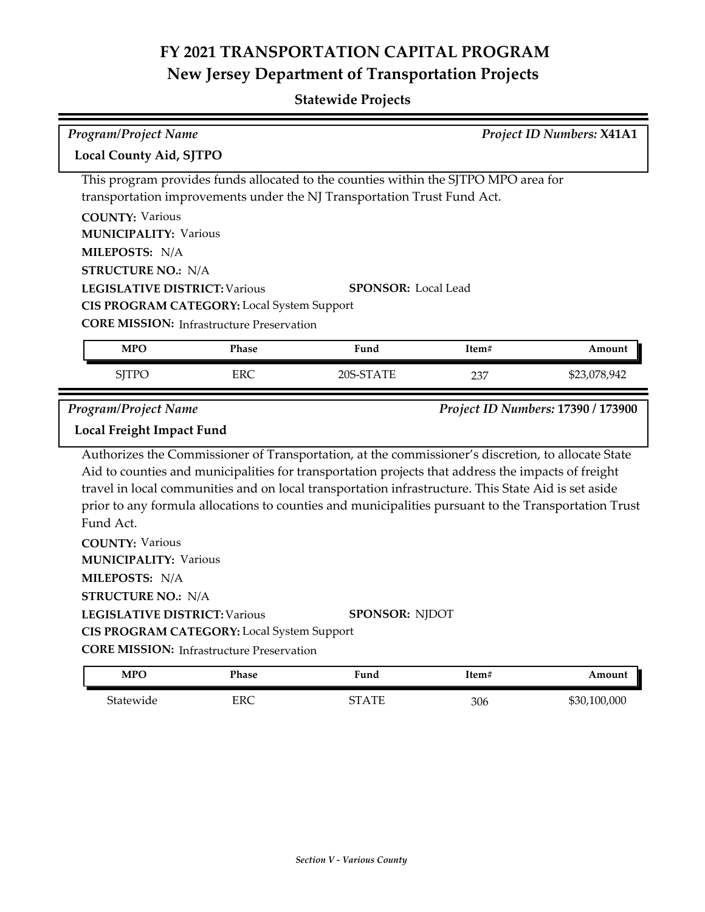## **Statewide Projects**

| <b>Program/Project Name</b><br>Project ID Numbers: X41A1 |                                                  |                                                                                                      |       |                                    |  |
|----------------------------------------------------------|--------------------------------------------------|------------------------------------------------------------------------------------------------------|-------|------------------------------------|--|
|                                                          | Local County Aid, SJTPO                          |                                                                                                      |       |                                    |  |
|                                                          |                                                  | This program provides funds allocated to the counties within the SJTPO MPO area for                  |       |                                    |  |
|                                                          |                                                  | transportation improvements under the NJ Transportation Trust Fund Act.                              |       |                                    |  |
| <b>COUNTY: Various</b>                                   |                                                  |                                                                                                      |       |                                    |  |
| <b>MUNICIPALITY: Various</b>                             |                                                  |                                                                                                      |       |                                    |  |
| MILEPOSTS: N/A                                           |                                                  |                                                                                                      |       |                                    |  |
| <b>STRUCTURE NO.: N/A</b>                                |                                                  |                                                                                                      |       |                                    |  |
| <b>LEGISLATIVE DISTRICT: Various</b>                     |                                                  | <b>SPONSOR: Local Lead</b>                                                                           |       |                                    |  |
|                                                          | CIS PROGRAM CATEGORY: Local System Support       |                                                                                                      |       |                                    |  |
|                                                          | <b>CORE MISSION:</b> Infrastructure Preservation |                                                                                                      |       |                                    |  |
| <b>MPO</b>                                               | Phase                                            | Fund                                                                                                 | Item# | Amount                             |  |
| <b>SJTPO</b>                                             | ERC                                              | 20S-STATE                                                                                            | 237   | \$23,078,942                       |  |
|                                                          |                                                  |                                                                                                      |       |                                    |  |
| <b>Program/Project Name</b>                              |                                                  |                                                                                                      |       | Project ID Numbers: 17390 / 173900 |  |
| Local Freight Impact Fund                                |                                                  |                                                                                                      |       |                                    |  |
|                                                          |                                                  | Authorizes the Commissioner of Transportation, at the commissioner's discretion, to allocate State   |       |                                    |  |
|                                                          |                                                  | Aid to counties and municipalities for transportation projects that address the impacts of freight   |       |                                    |  |
|                                                          |                                                  | travel in local communities and on local transportation infrastructure. This State Aid is set aside  |       |                                    |  |
|                                                          |                                                  | prior to any formula allocations to counties and municipalities pursuant to the Transportation Trust |       |                                    |  |
| Fund Act.                                                |                                                  |                                                                                                      |       |                                    |  |
| <b>COUNTY: Various</b>                                   |                                                  |                                                                                                      |       |                                    |  |
| <b>MUNICIPALITY: Various</b>                             |                                                  |                                                                                                      |       |                                    |  |
| MILEPOSTS: N/A                                           |                                                  |                                                                                                      |       |                                    |  |
| <b>STRUCTURE NO.: N/A</b>                                |                                                  |                                                                                                      |       |                                    |  |
| <b>LEGISLATIVE DISTRICT: Various</b>                     |                                                  | <b>SPONSOR: NJDOT</b>                                                                                |       |                                    |  |
|                                                          | CIS PROGRAM CATEGORY: Local System Support       |                                                                                                      |       |                                    |  |
|                                                          | <b>CORE MISSION:</b> Infrastructure Preservation |                                                                                                      |       |                                    |  |

Statewide ERC STATE 306 \$30,100,000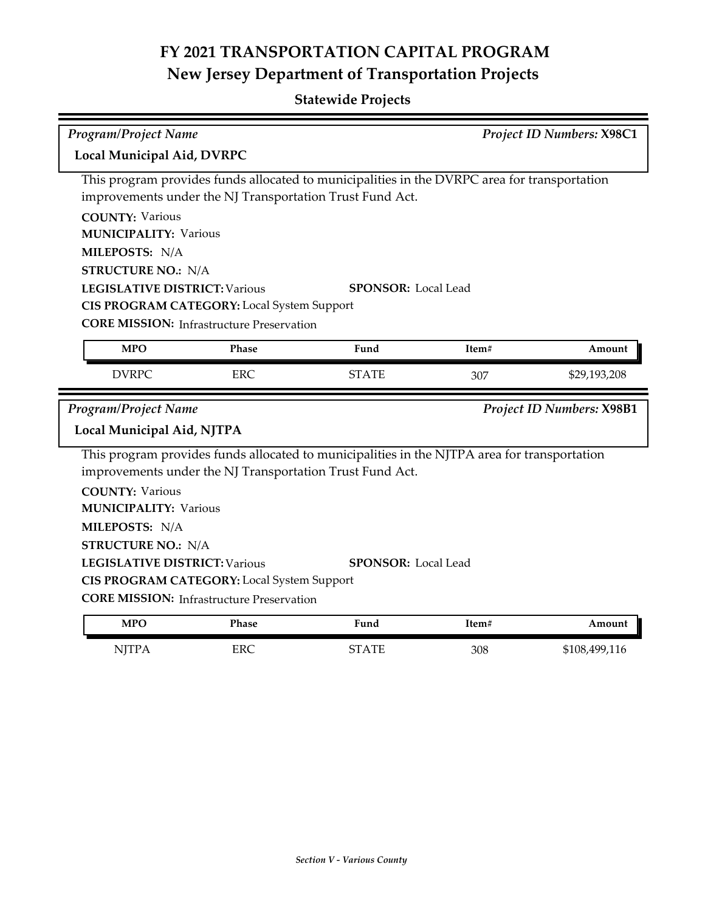| <b>Program/Project Name</b>          |                                                          |                                                                                              | Project ID Numbers: X98C1 |                           |
|--------------------------------------|----------------------------------------------------------|----------------------------------------------------------------------------------------------|---------------------------|---------------------------|
| Local Municipal Aid, DVRPC           |                                                          |                                                                                              |                           |                           |
|                                      |                                                          | This program provides funds allocated to municipalities in the DVRPC area for transportation |                           |                           |
|                                      | improvements under the NJ Transportation Trust Fund Act. |                                                                                              |                           |                           |
| <b>COUNTY: Various</b>               |                                                          |                                                                                              |                           |                           |
| <b>MUNICIPALITY: Various</b>         |                                                          |                                                                                              |                           |                           |
| MILEPOSTS: N/A                       |                                                          |                                                                                              |                           |                           |
| <b>STRUCTURE NO.: N/A</b>            |                                                          |                                                                                              |                           |                           |
| <b>LEGISLATIVE DISTRICT: Various</b> |                                                          | <b>SPONSOR: Local Lead</b>                                                                   |                           |                           |
|                                      | CIS PROGRAM CATEGORY: Local System Support               |                                                                                              |                           |                           |
|                                      | <b>CORE MISSION:</b> Infrastructure Preservation         |                                                                                              |                           |                           |
| <b>MPO</b>                           | Phase                                                    | Fund                                                                                         | Item#                     | Amount                    |
| <b>DVRPC</b>                         | ERC                                                      | <b>STATE</b>                                                                                 | 307                       | \$29,193,208              |
|                                      |                                                          |                                                                                              |                           |                           |
| <b>Program/Project Name</b>          |                                                          |                                                                                              |                           | Project ID Numbers: X98B1 |
| Local Municipal Aid, NJTPA           |                                                          |                                                                                              |                           |                           |
|                                      |                                                          | This program provides funds allocated to municipalities in the NJTPA area for transportation |                           |                           |
|                                      | improvements under the NJ Transportation Trust Fund Act. |                                                                                              |                           |                           |
| <b>COUNTY: Various</b>               |                                                          |                                                                                              |                           |                           |
| <b>MUNICIPALITY: Various</b>         |                                                          |                                                                                              |                           |                           |
| MILEPOSTS: N/A                       |                                                          |                                                                                              |                           |                           |
| <b>STRUCTURE NO.: N/A</b>            |                                                          |                                                                                              |                           |                           |
| <b>LEGISLATIVE DISTRICT: Various</b> |                                                          | <b>SPONSOR: Local Lead</b>                                                                   |                           |                           |
|                                      | <b>CIS PROGRAM CATEGORY:</b> Local System Support        |                                                                                              |                           |                           |
|                                      | <b>CORE MISSION: Infrastructure Preservation</b>         |                                                                                              |                           |                           |
| <b>MPO</b>                           | Phase                                                    | Fund                                                                                         | Item#                     | Amount                    |
| <b>NJTPA</b>                         | <b>ERC</b>                                               | <b>STATE</b>                                                                                 | 308                       | \$108,499,116             |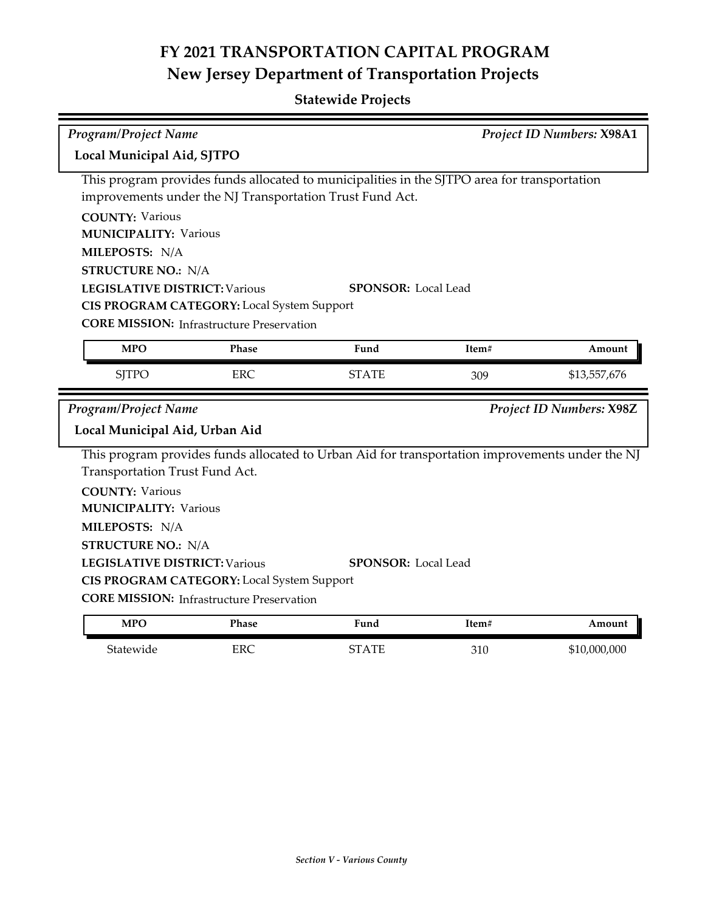| <b>Program/Project Name</b>          |                                                          |                                                                                                 |       | Project ID Numbers: X98A1 |
|--------------------------------------|----------------------------------------------------------|-------------------------------------------------------------------------------------------------|-------|---------------------------|
| Local Municipal Aid, SJTPO           |                                                          |                                                                                                 |       |                           |
|                                      |                                                          | This program provides funds allocated to municipalities in the SJTPO area for transportation    |       |                           |
|                                      | improvements under the NJ Transportation Trust Fund Act. |                                                                                                 |       |                           |
| <b>COUNTY: Various</b>               |                                                          |                                                                                                 |       |                           |
| <b>MUNICIPALITY: Various</b>         |                                                          |                                                                                                 |       |                           |
| MILEPOSTS: N/A                       |                                                          |                                                                                                 |       |                           |
| <b>STRUCTURE NO.: N/A</b>            |                                                          |                                                                                                 |       |                           |
| <b>LEGISLATIVE DISTRICT: Various</b> |                                                          | <b>SPONSOR: Local Lead</b>                                                                      |       |                           |
|                                      | CIS PROGRAM CATEGORY: Local System Support               |                                                                                                 |       |                           |
|                                      | <b>CORE MISSION:</b> Infrastructure Preservation         |                                                                                                 |       |                           |
| <b>MPO</b>                           | Phase                                                    | Fund                                                                                            | Item# | Amount                    |
| <b>SJTPO</b>                         | <b>ERC</b>                                               | <b>STATE</b>                                                                                    | 309   | \$13,557,676              |
| <b>Program/Project Name</b>          |                                                          |                                                                                                 |       | Project ID Numbers: X98Z  |
|                                      |                                                          |                                                                                                 |       |                           |
|                                      |                                                          |                                                                                                 |       |                           |
| Local Municipal Aid, Urban Aid       |                                                          |                                                                                                 |       |                           |
|                                      |                                                          | This program provides funds allocated to Urban Aid for transportation improvements under the NJ |       |                           |
| Transportation Trust Fund Act.       |                                                          |                                                                                                 |       |                           |
| <b>COUNTY: Various</b>               |                                                          |                                                                                                 |       |                           |
| <b>MUNICIPALITY: Various</b>         |                                                          |                                                                                                 |       |                           |
| MILEPOSTS: N/A                       |                                                          |                                                                                                 |       |                           |
| <b>STRUCTURE NO.: N/A</b>            |                                                          |                                                                                                 |       |                           |
| <b>LEGISLATIVE DISTRICT: Various</b> |                                                          | <b>SPONSOR: Local Lead</b>                                                                      |       |                           |
|                                      | CIS PROGRAM CATEGORY: Local System Support               |                                                                                                 |       |                           |
|                                      | <b>CORE MISSION:</b> Infrastructure Preservation         |                                                                                                 |       |                           |
| <b>MPO</b>                           | Phase                                                    | Fund                                                                                            | Item# | Amount                    |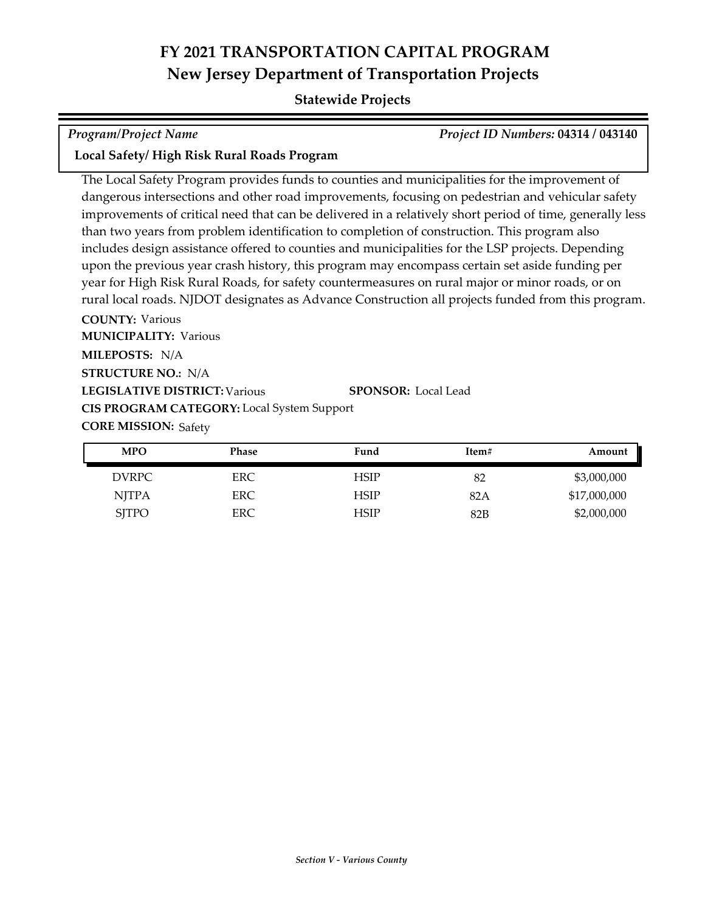## **Statewide Projects**

| Program/Project Name |  |
|----------------------|--|
|                      |  |

*Program/Project Name Project ID Numbers:* **04314 / 043140**

### **Local Safety/ High Risk Rural Roads Program**

**COUNTY:** Various The Local Safety Program provides funds to counties and municipalities for the improvement of dangerous intersections and other road improvements, focusing on pedestrian and vehicular safety improvements of critical need that can be delivered in a relatively short period of time, generally less than two years from problem identification to completion of construction. This program also includes design assistance offered to counties and municipalities for the LSP projects. Depending upon the previous year crash history, this program may encompass certain set aside funding per year for High Risk Rural Roads, for safety countermeasures on rural major or minor roads, or on rural local roads. NJDOT designates as Advance Construction all projects funded from this program.

**LEGISLATIVE DISTRICT:** Various **MILEPOSTS:** N/A **STRUCTURE NO.:** N/A **MUNICIPALITY: Various CORE MISSION: Safety SPONSOR:** Local Lead **CIS PROGRAM CATEGORY:** Local System Support

| <b>MPO</b>   | <b>Phase</b> | Fund        | Item# | Amount       |
|--------------|--------------|-------------|-------|--------------|
| DVRPC        | ERC.         | HSIP        | 82    | \$3,000,000  |
| <b>NJTPA</b> | ERC.         | <b>HSIP</b> | 82A   | \$17,000,000 |
| <b>SJTPO</b> | ERC.         | HSIP        | 82B   | \$2,000,000  |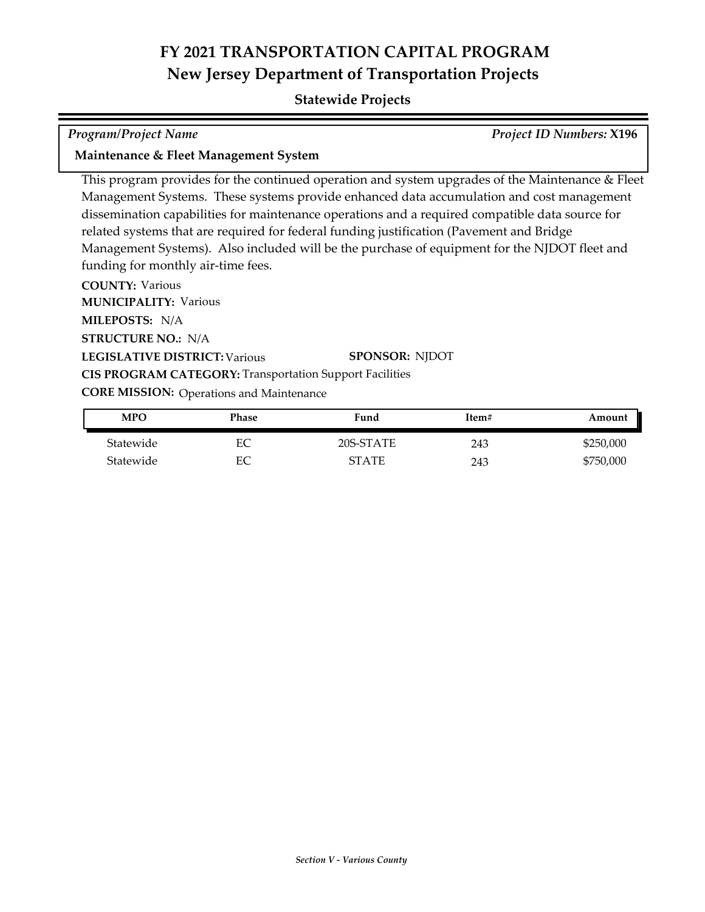### **Statewide Projects**

*Program/Project Name Project ID Numbers:* **X196**

### **Maintenance & Fleet Management System**

This program provides for the continued operation and system upgrades of the Maintenance & Fleet Management Systems. These systems provide enhanced data accumulation and cost management dissemination capabilities for maintenance operations and a required compatible data source for related systems that are required for federal funding justification (Pavement and Bridge Management Systems). Also included will be the purchase of equipment for the NJDOT fleet and funding for monthly air-time fees.

**COUNTY:** Various **LEGISLATIVE DISTRICT:** Various **MILEPOSTS:** N/A **STRUCTURE NO.:** N/A **MUNICIPALITY: Various CORE MISSION: Operations and Maintenance SPONSOR:** NJDOT **CIS PROGRAM CATEGORY:** Transportation Support Facilities

| <b>MPO</b> | Phase | Fund         | Item# | Amount    |
|------------|-------|--------------|-------|-----------|
| Statewide  | EС    | 20S-STATE    | 243   | \$250,000 |
| Statewide  | EС    | <b>STATE</b> | 243   | \$750,000 |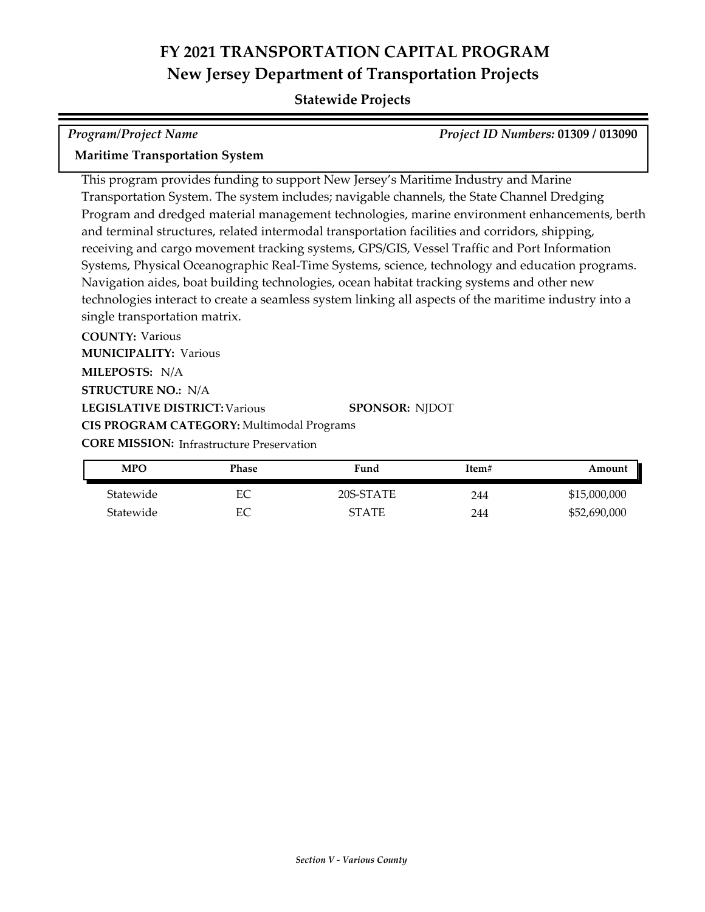## **Statewide Projects**

| <b>Program/Project Name</b>                                                                           | Project ID Numbers: 01309 / 013090 |
|-------------------------------------------------------------------------------------------------------|------------------------------------|
| <b>Maritime Transportation System</b>                                                                 |                                    |
| This program provides funding to support New Jersey's Maritime Industry and Marine                    |                                    |
| Transportation System. The system includes; navigable channels, the State Channel Dredging            |                                    |
| Program and dredged material management technologies, marine environment enhancements, berth          |                                    |
| and terminal structures, related intermodal transportation facilities and corridors, shipping,        |                                    |
| receiving and cargo movement tracking systems, GPS/GIS, Vessel Traffic and Port Information           |                                    |
| Systems, Physical Oceanographic Real-Time Systems, science, technology and education programs.        |                                    |
| Navigation aides, boat building technologies, ocean habitat tracking systems and other new            |                                    |
| technologies interact to create a seamless system linking all aspects of the maritime industry into a |                                    |
| single transportation matrix.                                                                         |                                    |
| <b>COUNTY: Various</b>                                                                                |                                    |

**LEGISLATIVE DISTRICT:** Various **MILEPOSTS:** N/A **STRUCTURE NO.:** N/A **MUNICIPALITY: Various CORE MISSION: Infrastructure Preservation SPONSOR:** NJDOT **CIS PROGRAM CATEGORY:** Multimodal Programs

| <b>MPO</b> | Phase | Fund         | Item# | Amount       |
|------------|-------|--------------|-------|--------------|
| Statewide  | EС    | 20S-STATE    | 244   | \$15,000,000 |
| Statewide  | EС    | <b>STATE</b> | 244   | \$52,690,000 |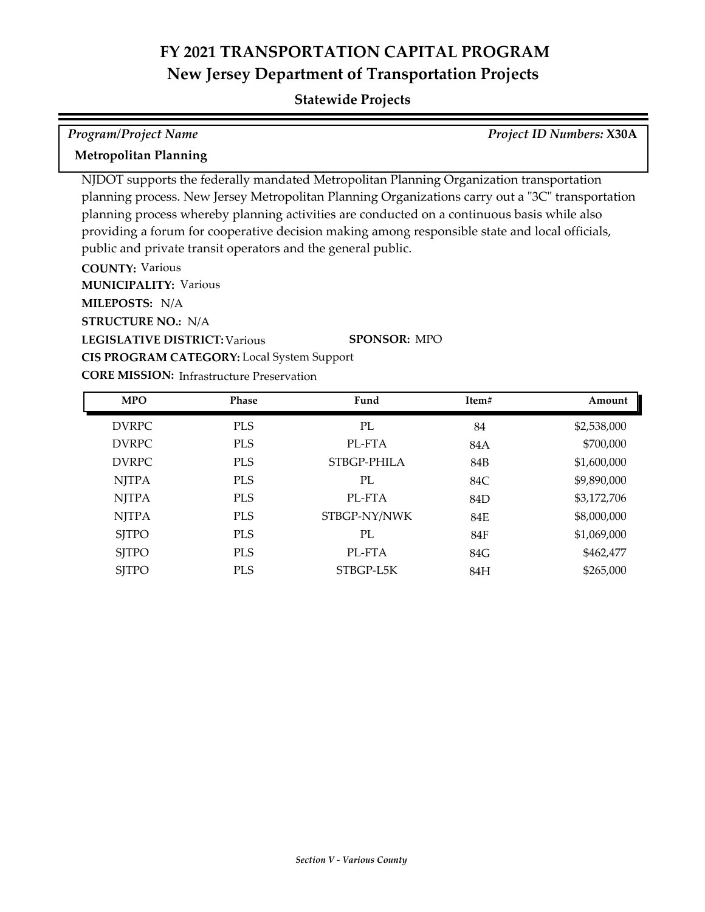| <b>Program/Project Name</b>                                                                           |                                                              |                                                                                                                                                                                                                                                                                                                                                                                              |       | <b>Project ID Numbers: X30A</b> |
|-------------------------------------------------------------------------------------------------------|--------------------------------------------------------------|----------------------------------------------------------------------------------------------------------------------------------------------------------------------------------------------------------------------------------------------------------------------------------------------------------------------------------------------------------------------------------------------|-------|---------------------------------|
| <b>Metropolitan Planning</b>                                                                          |                                                              |                                                                                                                                                                                                                                                                                                                                                                                              |       |                                 |
| <b>COUNTY: Various</b><br><b>MUNICIPALITY: Various</b><br>MILEPOSTS: N/A<br><b>STRUCTURE NO.: N/A</b> | public and private transit operators and the general public. | NJDOT supports the federally mandated Metropolitan Planning Organization transportation<br>planning process. New Jersey Metropolitan Planning Organizations carry out a "3C" transportation<br>planning process whereby planning activities are conducted on a continuous basis while also<br>providing a forum for cooperative decision making among responsible state and local officials, |       |                                 |
| <b>LEGISLATIVE DISTRICT: Various</b>                                                                  | <b>CIS PROGRAM CATEGORY:</b> Local System Support            | <b>SPONSOR: MPO</b>                                                                                                                                                                                                                                                                                                                                                                          |       |                                 |
|                                                                                                       | <b>CORE MISSION:</b> Infrastructure Preservation             |                                                                                                                                                                                                                                                                                                                                                                                              |       |                                 |
| <b>MPO</b>                                                                                            | <b>Phase</b>                                                 | Fund                                                                                                                                                                                                                                                                                                                                                                                         | Item# | Amount                          |
| <b>DVRPC</b>                                                                                          | <b>PLS</b>                                                   | PL                                                                                                                                                                                                                                                                                                                                                                                           | 84    | \$2,538,000                     |

| <b>DVRPC</b> | <b>PLS</b> | PL           | 84  | \$2,538,000 |
|--------------|------------|--------------|-----|-------------|
| <b>DVRPC</b> | <b>PLS</b> | PL-FTA       | 84A | \$700,000   |
| <b>DVRPC</b> | <b>PLS</b> | STBGP-PHILA  | 84B | \$1,600,000 |
| <b>NJTPA</b> | <b>PLS</b> | PL           | 84C | \$9,890,000 |
| <b>NJTPA</b> | <b>PLS</b> | PL-FTA       | 84D | \$3,172,706 |
| <b>NJTPA</b> | <b>PLS</b> | STBGP-NY/NWK | 84E | \$8,000,000 |
| <b>SITPO</b> | <b>PLS</b> | PL           | 84F | \$1,069,000 |
| <b>SJTPO</b> | <b>PLS</b> | PL-FTA       | 84G | \$462,477   |
| <b>SITPO</b> | <b>PLS</b> | STBGP-L5K    | 84H | \$265,000   |
|              |            |              |     |             |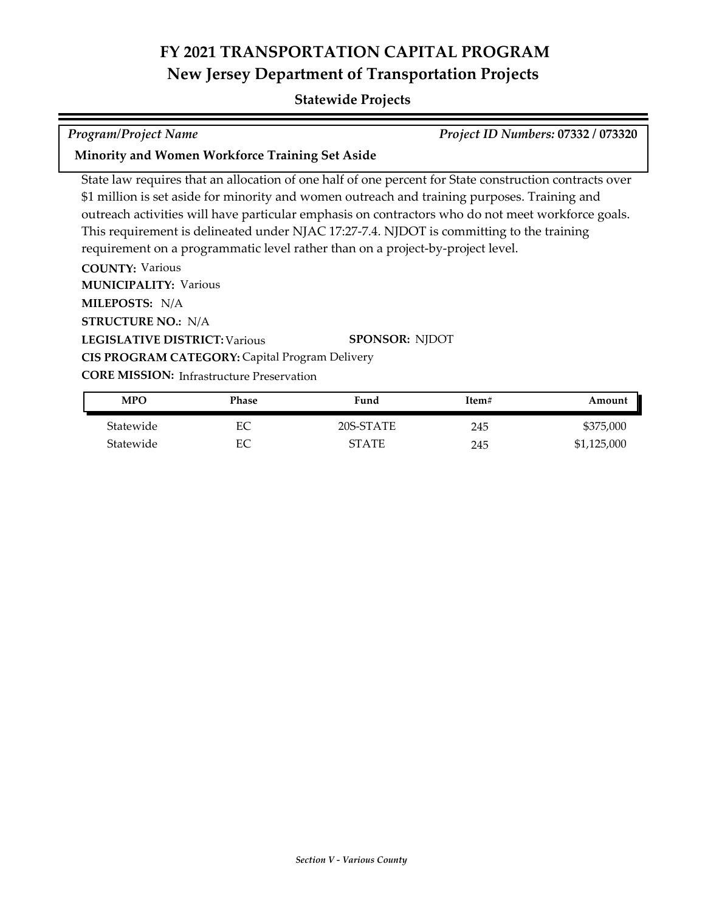## **Statewide Projects**

*Program/Project Name Project ID Numbers:* **07332 / 073320**

### **Minority and Women Workforce Training Set Aside**

State law requires that an allocation of one half of one percent for State construction contracts over \$1 million is set aside for minority and women outreach and training purposes. Training and outreach activities will have particular emphasis on contractors who do not meet workforce goals. This requirement is delineated under NJAC 17:27-7.4. NJDOT is committing to the training requirement on a programmatic level rather than on a project-by-project level.

**COUNTY:** Various **LEGISLATIVE DISTRICT:** Various **MILEPOSTS:** N/A **STRUCTURE NO.:** N/A **MUNICIPALITY: Various CORE MISSION: Infrastructure Preservation SPONSOR:** NJDOT **CIS PROGRAM CATEGORY:** Capital Program Delivery

| MPO       | Phase | Fund      | Item# | Amount      |
|-----------|-------|-----------|-------|-------------|
| Statewide | EС    | 20S-STATE | 245   | \$375,000   |
| Statewide | EС    | STATE     | 245   | \$1,125,000 |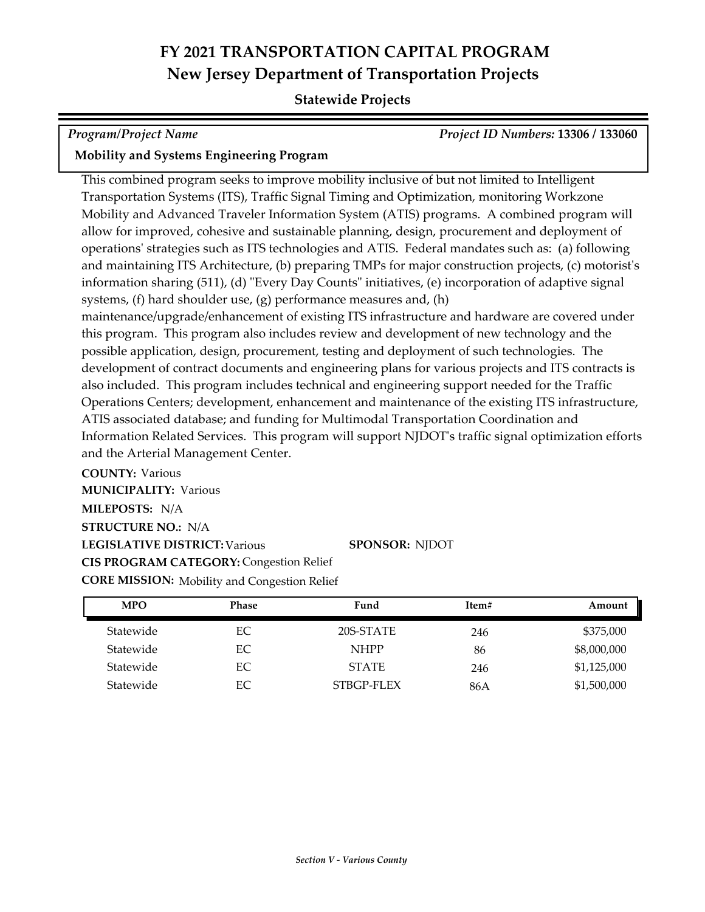## **Statewide Projects**

*Program/Project Name Project ID Numbers:* **13306 / 133060**

## **Mobility and Systems Engineering Program**

This combined program seeks to improve mobility inclusive of but not limited to Intelligent Transportation Systems (ITS), Traffic Signal Timing and Optimization, monitoring Workzone Mobility and Advanced Traveler Information System (ATIS) programs. A combined program will allow for improved, cohesive and sustainable planning, design, procurement and deployment of operations' strategies such as ITS technologies and ATIS. Federal mandates such as: (a) following and maintaining ITS Architecture, (b) preparing TMPs for major construction projects, (c) motorist's information sharing (511), (d) "Every Day Counts" initiatives, (e) incorporation of adaptive signal systems, (f) hard shoulder use, (g) performance measures and, (h) maintenance/upgrade/enhancement of existing ITS infrastructure and hardware are covered under this program. This program also includes review and development of new technology and the possible application, design, procurement, testing and deployment of such technologies. The development of contract documents and engineering plans for various projects and ITS contracts is also included. This program includes technical and engineering support needed for the Traffic Operations Centers; development, enhancement and maintenance of the existing ITS infrastructure, ATIS associated database; and funding for Multimodal Transportation Coordination and Information Related Services. This program will support NJDOT's traffic signal optimization efforts and the Arterial Management Center.

**COUNTY:** Various **LEGISLATIVE DISTRICT:** Various **MILEPOSTS:** N/A **STRUCTURE NO.:** N/A **MUNICIPALITY: Various CORE MISSION:** Mobility and Congestion Relief **SPONSOR:** NJDOT **CIS PROGRAM CATEGORY:** Congestion Relief

| <b>MPO</b> | <b>Phase</b> | Fund         | Item# | Amount      |
|------------|--------------|--------------|-------|-------------|
| Statewide  | EC           | 20S-STATE    | 246   | \$375,000   |
| Statewide  | EС           | <b>NHPP</b>  | 86    | \$8,000,000 |
| Statewide  | EC           | <b>STATE</b> | 246   | \$1,125,000 |
| Statewide  | EС           | STBGP-FLEX   | 86A   | \$1,500,000 |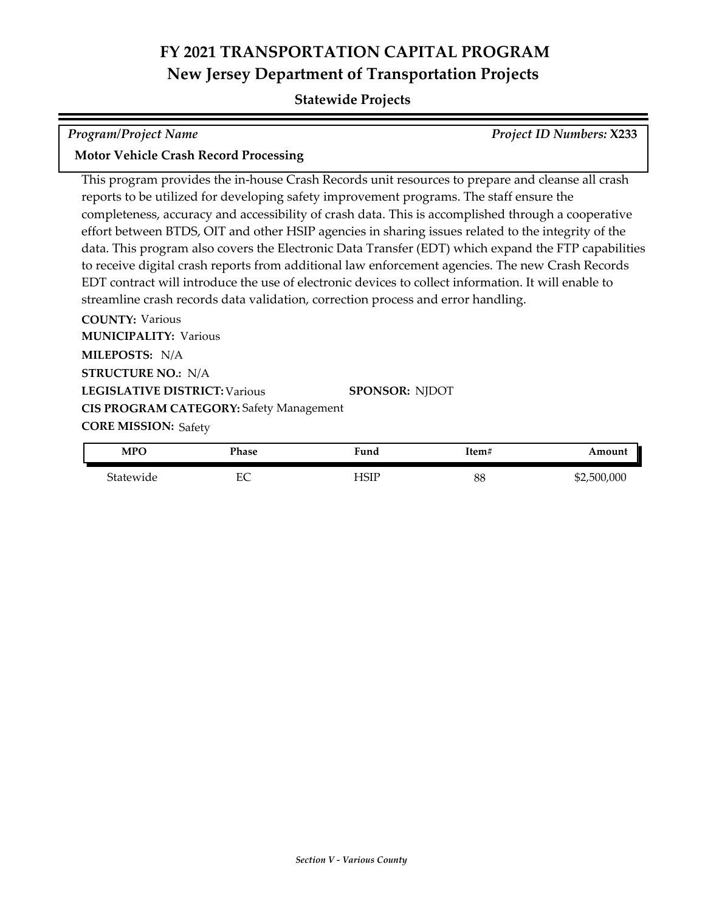### **Statewide Projects**

| <b>Program/Project Name</b> | <b>Project ID Numbers: X233</b> |
|-----------------------------|---------------------------------|
|                             |                                 |

### **Motor Vehicle Crash Record Processing**

This program provides the in-house Crash Records unit resources to prepare and cleanse all crash reports to be utilized for developing safety improvement programs. The staff ensure the completeness, accuracy and accessibility of crash data. This is accomplished through a cooperative effort between BTDS, OIT and other HSIP agencies in sharing issues related to the integrity of the data. This program also covers the Electronic Data Transfer (EDT) which expand the FTP capabilities to receive digital crash reports from additional law enforcement agencies. The new Crash Records EDT contract will introduce the use of electronic devices to collect information. It will enable to streamline crash records data validation, correction process and error handling.

**COUNTY:** Various **LEGISLATIVE DISTRICT:** Various **MILEPOSTS:** N/A **STRUCTURE NO.:** N/A **MUNICIPALITY: Various CORE MISSION: Safety SPONSOR:** NJDOT **CIS PROGRAM CATEGORY:** Safety Management

| <b>MPO</b> | Phase                               | Fund | Item# | Amount      |
|------------|-------------------------------------|------|-------|-------------|
| Statewide  | −∼<br>∽<br>$\overline{\phantom{a}}$ | HSIP | 88    | \$2,500,000 |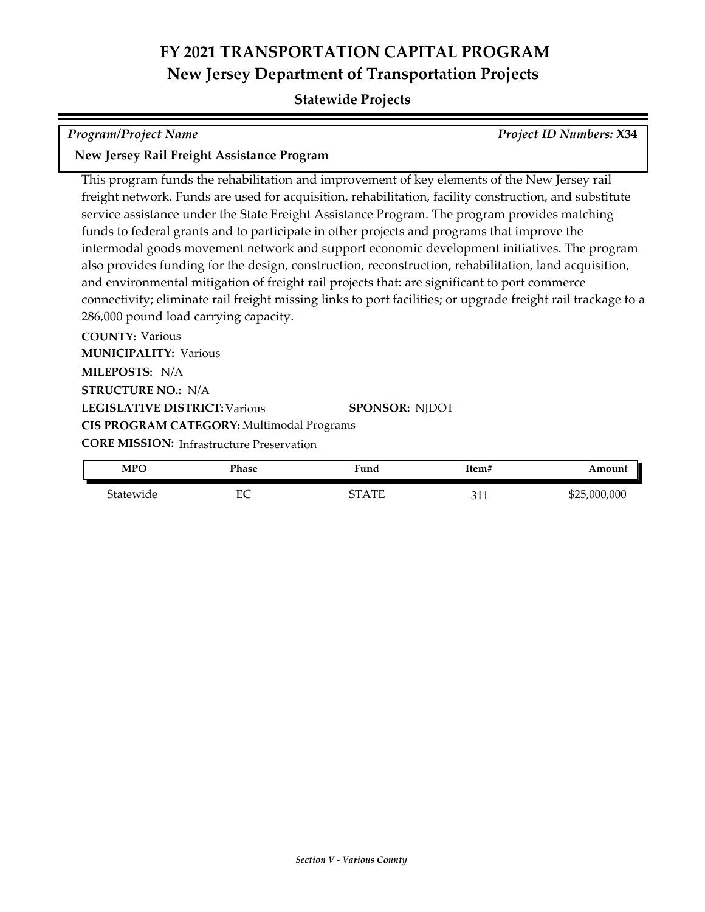## **Statewide Projects**

## *Program/Project Name Project ID Numbers:* **X34**

### **New Jersey Rail Freight Assistance Program**

This program funds the rehabilitation and improvement of key elements of the New Jersey rail freight network. Funds are used for acquisition, rehabilitation, facility construction, and substitute service assistance under the State Freight Assistance Program. The program provides matching funds to federal grants and to participate in other projects and programs that improve the intermodal goods movement network and support economic development initiatives. The program also provides funding for the design, construction, reconstruction, rehabilitation, land acquisition, and environmental mitigation of freight rail projects that: are significant to port commerce connectivity; eliminate rail freight missing links to port facilities; or upgrade freight rail trackage to a 286,000 pound load carrying capacity.

**COUNTY:** Various **LEGISLATIVE DISTRICT:** Various **MILEPOSTS:** N/A **STRUCTURE NO.:** N/A **MUNICIPALITY: Various CORE MISSION: Infrastructure Preservation SPONSOR:** NJDOT **CIS PROGRAM CATEGORY:** Multimodal Programs

| <b>MPO</b> | Phase   | ∀und               | ltem‡               | mouni        |
|------------|---------|--------------------|---------------------|--------------|
| Statewide  | □∩<br>◡ | ∼⊤<br>' A TT<br>ш. | $\mathbf{C}$<br>◡▴▴ | \$25,000,000 |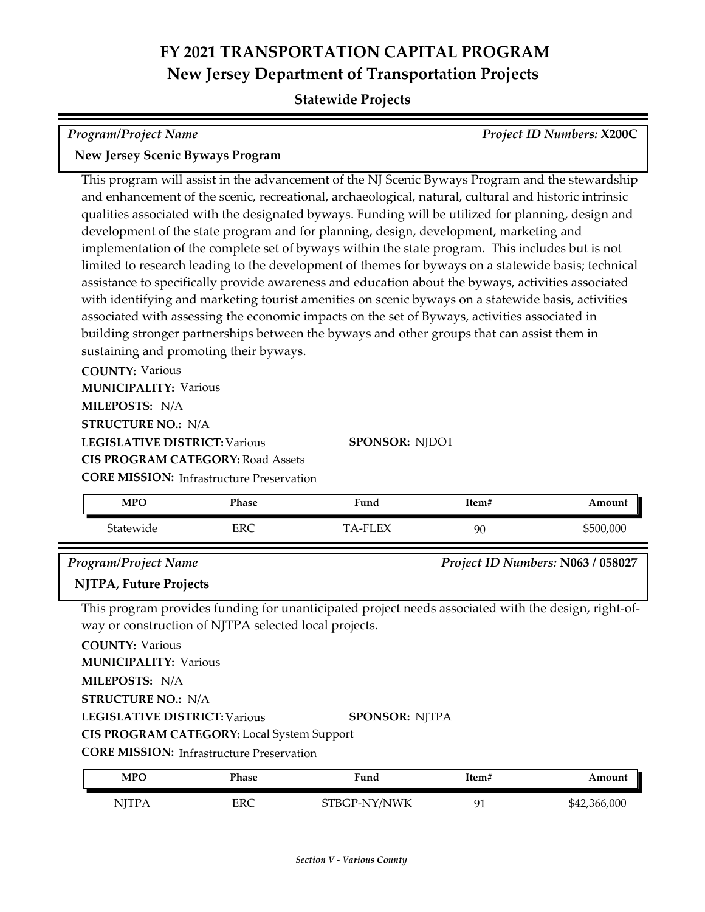### **Statewide Projects**

| <b>Program/Project Name</b>                                                                           | <b>Project ID Numbers: X200C</b> |
|-------------------------------------------------------------------------------------------------------|----------------------------------|
| <b>New Jersey Scenic Byways Program</b>                                                               |                                  |
| This program will assist in the advancement of the NJ Scenic Byways Program and the stewardship       |                                  |
| and enhancement of the scenic, recreational, archaeological, natural, cultural and historic intrinsic |                                  |
| qualities associated with the designated byways. Funding will be utilized for planning, design and    |                                  |
| development of the state program and for planning, design, development, marketing and                 |                                  |
| implementation of the complete set of byways within the state program. This includes but is not       |                                  |

limited to research leading to the development of themes for byways on a statewide basis; technical assistance to specifically provide awareness and education about the byways, activities associated with identifying and marketing tourist amenities on scenic byways on a statewide basis, activities associated with assessing the economic impacts on the set of Byways, activities associated in building stronger partnerships between the byways and other groups that can assist them in sustaining and promoting their byways.

**COUNTY:** Various **LEGISLATIVE DISTRICT:** Various **MILEPOSTS:** N/A **STRUCTURE NO.:** N/A **MUNICIPALITY: Various CORE MISSION:** Infrastructure Preservation **CIS PROGRAM CATEGORY:** Road Assets

**SPONSOR:** NJDOT

| <b>MPO</b> | Phase | Fund     | Item# | Amount    |
|------------|-------|----------|-------|-----------|
| Statewide  | ERC   | TA-FI EX | 90    | \$500,000 |

### *Program/Project Name Project ID Numbers:* **N063 / 058027**

## **NJTPA, Future Projects**

This program provides funding for unanticipated project needs associated with the design, right‐of‐ way or construction of NJTPA selected local projects.

**COUNTY:** Various

**MUNICIPALITY: Various** 

**MILEPOSTS:** N/A

**STRUCTURE NO.:** N/A

**LEGISLATIVE DISTRICT:** Various

### **SPONSOR:** NJTPA

**CIS PROGRAM CATEGORY:** Local System Support

**CORE MISSION:** Infrastructure Preservation

| MPO    | Phase | Fund         | ltem# | Amount       |
|--------|-------|--------------|-------|--------------|
| NITP 4 | ERC   | STBGP-NY/NWK | Q1    | \$42,366,000 |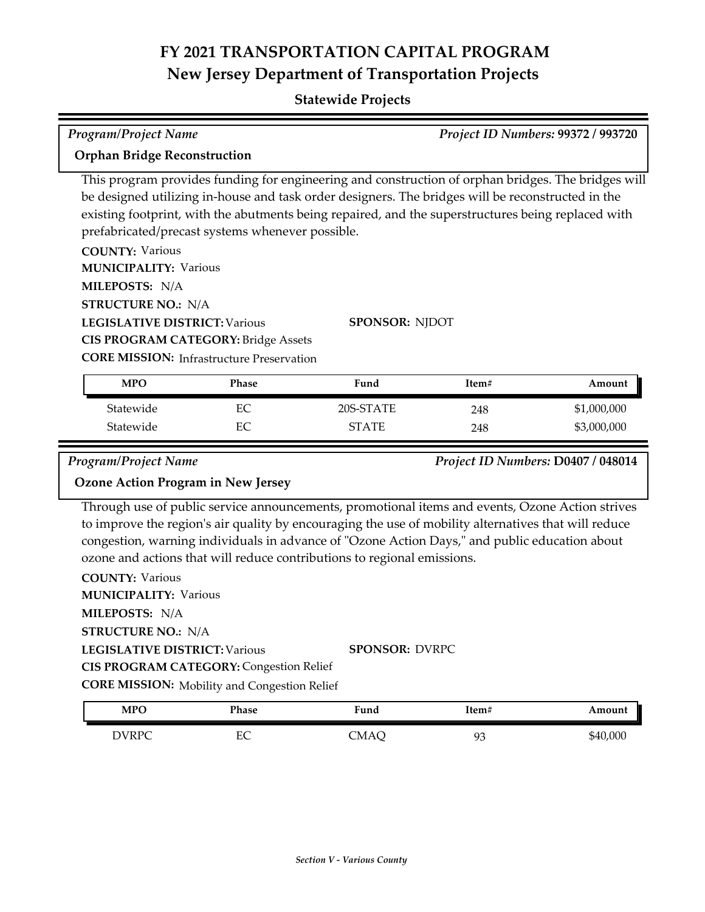## **Statewide Projects**

| <b>Program/Project Name</b>                                                                                                                                                                                                                                                                                                                                                                                                                                                |              |                       |       | <b>Project ID Numbers: 99372 / 993720</b> |  |
|----------------------------------------------------------------------------------------------------------------------------------------------------------------------------------------------------------------------------------------------------------------------------------------------------------------------------------------------------------------------------------------------------------------------------------------------------------------------------|--------------|-----------------------|-------|-------------------------------------------|--|
| <b>Orphan Bridge Reconstruction</b>                                                                                                                                                                                                                                                                                                                                                                                                                                        |              |                       |       |                                           |  |
| This program provides funding for engineering and construction of orphan bridges. The bridges will<br>be designed utilizing in-house and task order designers. The bridges will be reconstructed in the<br>existing footprint, with the abutments being repaired, and the superstructures being replaced with<br>prefabricated/precast systems whenever possible.<br><b>COUNTY: Various</b><br><b>MUNICIPALITY: Various</b><br>MILEPOSTS: N/A<br><b>STRUCTURE NO.: N/A</b> |              |                       |       |                                           |  |
| <b>LEGISLATIVE DISTRICT: Various</b>                                                                                                                                                                                                                                                                                                                                                                                                                                       |              | <b>SPONSOR: NJDOT</b> |       |                                           |  |
| <b>CIS PROGRAM CATEGORY: Bridge Assets</b>                                                                                                                                                                                                                                                                                                                                                                                                                                 |              |                       |       |                                           |  |
| <b>CORE MISSION:</b> Infrastructure Preservation                                                                                                                                                                                                                                                                                                                                                                                                                           |              |                       |       |                                           |  |
| <b>MPO</b>                                                                                                                                                                                                                                                                                                                                                                                                                                                                 | <b>Phase</b> | Fund                  | Item# | Amount                                    |  |
| Statewide                                                                                                                                                                                                                                                                                                                                                                                                                                                                  | EC           | 20S-STATE             | 248   | \$1,000,000                               |  |
| Statewide                                                                                                                                                                                                                                                                                                                                                                                                                                                                  | EC           | <b>STATE</b>          | 248   | \$3,000,000                               |  |

Ļ

### *Program/Project Name Project ID Numbers:* **D0407 / 048014**

### **Ozone Action Program in New Jersey**

Through use of public service announcements, promotional items and events, Ozone Action strives to improve the region's air quality by encouraging the use of mobility alternatives that will reduce congestion, warning individuals in advance of "Ozone Action Days," and public education about ozone and actions that will reduce contributions to regional emissions.

| <b>COUNTY: Various</b>       |                                                     |                       |  |
|------------------------------|-----------------------------------------------------|-----------------------|--|
| <b>MUNICIPALITY: Various</b> |                                                     |                       |  |
| MILEPOSTS: N/A               |                                                     |                       |  |
| <b>STRUCTURE NO.: N/A</b>    |                                                     |                       |  |
|                              | <b>LEGISLATIVE DISTRICT: Various</b>                | <b>SPONSOR: DVRPC</b> |  |
|                              | <b>CIS PROGRAM CATEGORY: Congestion Relief</b>      |                       |  |
|                              | <b>CORE MISSION:</b> Mobility and Congestion Relief |                       |  |
| $\cdots$                     | --                                                  |                       |  |

| <b>MPO</b> | Phase    | Fund | Item#    | Amount   |
|------------|----------|------|----------|----------|
| DVRPC      | гΩ<br>LŲ | CMAQ | ۵a<br>ノー | \$40,000 |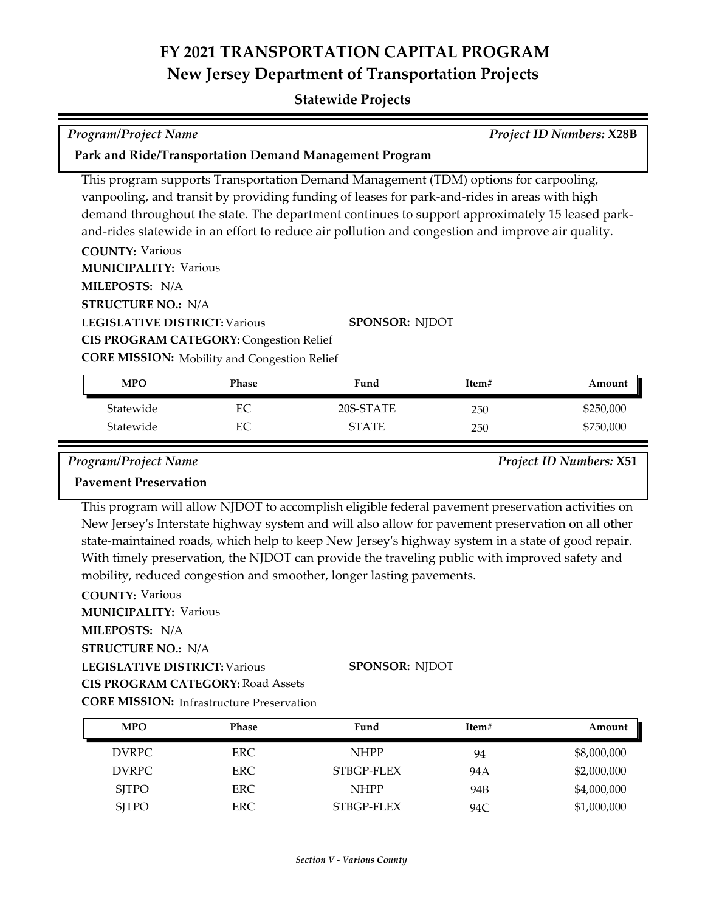### **Statewide Projects**

# *Program/Project Name Project ID Numbers:* **X28B**

### **Park and Ride/Transportation Demand Management Program**

This program supports Transportation Demand Management (TDM) options for carpooling, vanpooling, and transit by providing funding of leases for park-and-rides in areas with high demand throughout the state. The department continues to support approximately 15 leased parkand-rides statewide in an effort to reduce air pollution and congestion and improve air quality.

**COUNTY:** Various

**MUNICIPALITY: Various** 

**MILEPOSTS:** N/A

**STRUCTURE NO.:** N/A

**LEGISLATIVE DISTRICT:** Various

**SPONSOR:** NJDOT

**CIS PROGRAM CATEGORY:** Congestion Relief

**CORE MISSION:** Mobility and Congestion Relief

| <b>MPO</b> | Phase | Fund         | Item# | Amount    |
|------------|-------|--------------|-------|-----------|
| Statewide  | EC    | 20S-STATE    | 250   | \$250,000 |
| Statewide  | EС    | <b>STATE</b> | 250   | \$750,000 |

*Program/Project Name Project ID Numbers:* **X51**

### **Pavement Preservation**

This program will allow NJDOT to accomplish eligible federal pavement preservation activities on New Jersey's Interstate highway system and will also allow for pavement preservation on all other state-maintained roads, which help to keep New Jersey's highway system in a state of good repair. With timely preservation, the NJDOT can provide the traveling public with improved safety and mobility, reduced congestion and smoother, longer lasting pavements.

**COUNTY:** Various **LEGISLATIVE DISTRICT:** Various **MILEPOSTS:** N/A **STRUCTURE NO.:** N/A **MUNICIPALITY: Various CORE MISSION: Infrastructure Preservation SPONSOR:** NJDOT **CIS PROGRAM CATEGORY:** Road Assets

| <b>MPO</b>   | <b>Phase</b> | Fund        | Item# | Amount      |
|--------------|--------------|-------------|-------|-------------|
| DVRPC        | ERC.         | <b>NHPP</b> | 94    | \$8,000,000 |
| DVRPC        | ERC.         | STBGP-FLEX  | 94 A  | \$2,000,000 |
| <b>SJTPO</b> | ERC.         | <b>NHPP</b> | 94B   | \$4,000,000 |
| <b>SJTPO</b> | ERC          | STBGP-FLEX  | 94C   | \$1,000,000 |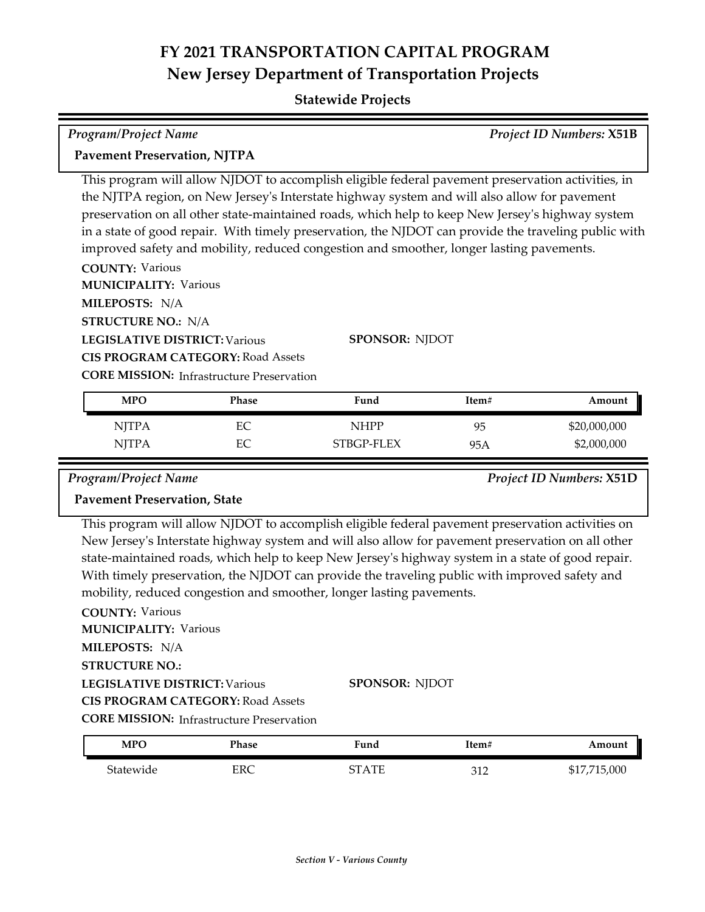### **Statewide Projects**

## **COUNTY:** Various **MILEPOSTS:** N/A **MUNICIPALITY: Various** This program will allow NJDOT to accomplish eligible federal pavement preservation activities, in the NJTPA region, on New Jersey's Interstate highway system and will also allow for pavement preservation on all other state-maintained roads, which help to keep New Jersey's highway system in a state of good repair. With timely preservation, the NJDOT can provide the traveling public with improved safety and mobility, reduced congestion and smoother, longer lasting pavements. *Program/Project Name Project ID Numbers:* **X51B Pavement Preservation, NJTPA**

**LEGISLATIVE DISTRICT:** Various **STRUCTURE NO.:** N/A **CIS PROGRAM CATEGORY:** Road Assets

**SPONSOR:** NJDOT

**CORE MISSION: Infrastructure Preservation** 

| <b>MPO</b>   | Phase | Fund        | Item# | Amount       |
|--------------|-------|-------------|-------|--------------|
| <b>NJTPA</b> | EС    | <b>NHPP</b> | 95    | \$20,000,000 |
| <b>NITPA</b> | EС    | STBGP-FLEX  | 95A   | \$2,000,000  |

*Program/Project Name Project ID Numbers:* **X51D**

## **Pavement Preservation, State**

This program will allow NJDOT to accomplish eligible federal pavement preservation activities on New Jersey's Interstate highway system and will also allow for pavement preservation on all other state-maintained roads, which help to keep New Jersey's highway system in a state of good repair. With timely preservation, the NJDOT can provide the traveling public with improved safety and mobility, reduced congestion and smoother, longer lasting pavements.

**COUNTY:** Various **LEGISLATIVE DISTRICT:** Various **MILEPOSTS:** N/A **STRUCTURE NO.: MUNICIPALITY: Various CORE MISSION:** Infrastructure Preservation **SPONSOR:** NJDOT **CIS PROGRAM CATEGORY:** Road Assets

| <b>MPO</b> | Phase | Fund         | Item#      | Amount                |
|------------|-------|--------------|------------|-----------------------|
| Statewide  | ERC   | <b>STATE</b> | 212<br>ے ر | \$17,715,000<br>911,1 |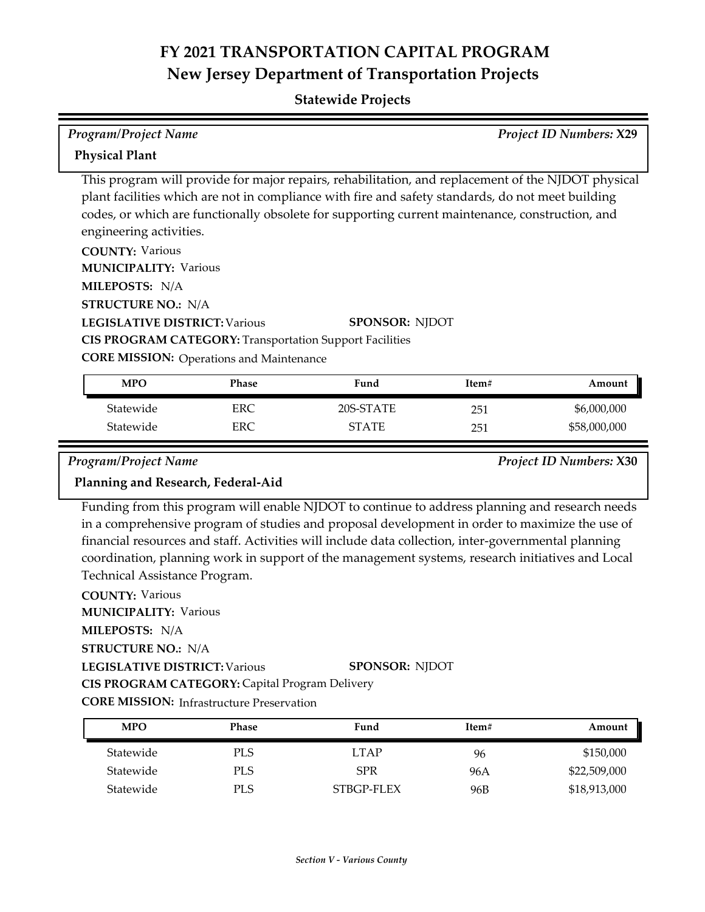| <b>Program/Project Name</b>                                                                                                                                                                                                                                                                                                                                                                                                                                                                                     |                          |                                                                                                                                                                                                                                                                                                                                                                                                                               |            | Project ID Numbers: X29     |
|-----------------------------------------------------------------------------------------------------------------------------------------------------------------------------------------------------------------------------------------------------------------------------------------------------------------------------------------------------------------------------------------------------------------------------------------------------------------------------------------------------------------|--------------------------|-------------------------------------------------------------------------------------------------------------------------------------------------------------------------------------------------------------------------------------------------------------------------------------------------------------------------------------------------------------------------------------------------------------------------------|------------|-----------------------------|
| <b>Physical Plant</b>                                                                                                                                                                                                                                                                                                                                                                                                                                                                                           |                          |                                                                                                                                                                                                                                                                                                                                                                                                                               |            |                             |
| This program will provide for major repairs, rehabilitation, and replacement of the NJDOT physical<br>plant facilities which are not in compliance with fire and safety standards, do not meet building<br>codes, or which are functionally obsolete for supporting current maintenance, construction, and<br>engineering activities.<br><b>COUNTY: Various</b><br><b>MUNICIPALITY: Various</b><br>MILEPOSTS: N/A<br><b>STRUCTURE NO.: N/A</b><br><b>LEGISLATIVE DISTRICT: Various</b><br><b>SPONSOR: NJDOT</b> |                          |                                                                                                                                                                                                                                                                                                                                                                                                                               |            |                             |
|                                                                                                                                                                                                                                                                                                                                                                                                                                                                                                                 |                          | <b>CIS PROGRAM CATEGORY: Transportation Support Facilities</b>                                                                                                                                                                                                                                                                                                                                                                |            |                             |
| <b>CORE MISSION:</b> Operations and Maintenance                                                                                                                                                                                                                                                                                                                                                                                                                                                                 |                          |                                                                                                                                                                                                                                                                                                                                                                                                                               |            |                             |
| <b>MPO</b>                                                                                                                                                                                                                                                                                                                                                                                                                                                                                                      | Phase                    | Fund                                                                                                                                                                                                                                                                                                                                                                                                                          | Item#      | Amount                      |
| Statewide<br>Statewide                                                                                                                                                                                                                                                                                                                                                                                                                                                                                          | <b>ERC</b><br><b>ERC</b> | 20S-STATE<br><b>STATE</b>                                                                                                                                                                                                                                                                                                                                                                                                     | 251<br>251 | \$6,000,000<br>\$58,000,000 |
| Program/Project Name<br>Planning and Research, Federal-Aid                                                                                                                                                                                                                                                                                                                                                                                                                                                      |                          |                                                                                                                                                                                                                                                                                                                                                                                                                               |            | Project ID Numbers: X30     |
| Technical Assistance Program.<br><b>COUNTY: Various</b><br><b>MUNICIPALITY: Various</b><br>MILEPOSTS: N/A<br><b>STRUCTURE NO.: N/A</b><br><b>LEGISLATIVE DISTRICT: Various</b><br>CIS PROGRAM CATEGORY: Capital Program Delivery                                                                                                                                                                                                                                                                                |                          | Funding from this program will enable NJDOT to continue to address planning and research needs<br>in a comprehensive program of studies and proposal development in order to maximize the use of<br>financial resources and staff. Activities will include data collection, inter-governmental planning<br>coordination, planning work in support of the management systems, research initiatives and Local<br>SPONSOR: NJDOT |            |                             |
| <b>CORE MISSION:</b> Infrastructure Preservation                                                                                                                                                                                                                                                                                                                                                                                                                                                                |                          |                                                                                                                                                                                                                                                                                                                                                                                                                               |            |                             |

| <b>MPO</b> | Phase      | Fund       | Item# | Amount       |
|------------|------------|------------|-------|--------------|
| Statewide  | <b>PLS</b> | LTAP       | 96    | \$150,000    |
| Statewide  | PLS        | <b>SPR</b> | 96A   | \$22,509,000 |
| Statewide  | PLS        | STBGP-FLEX | 96B   | \$18,913,000 |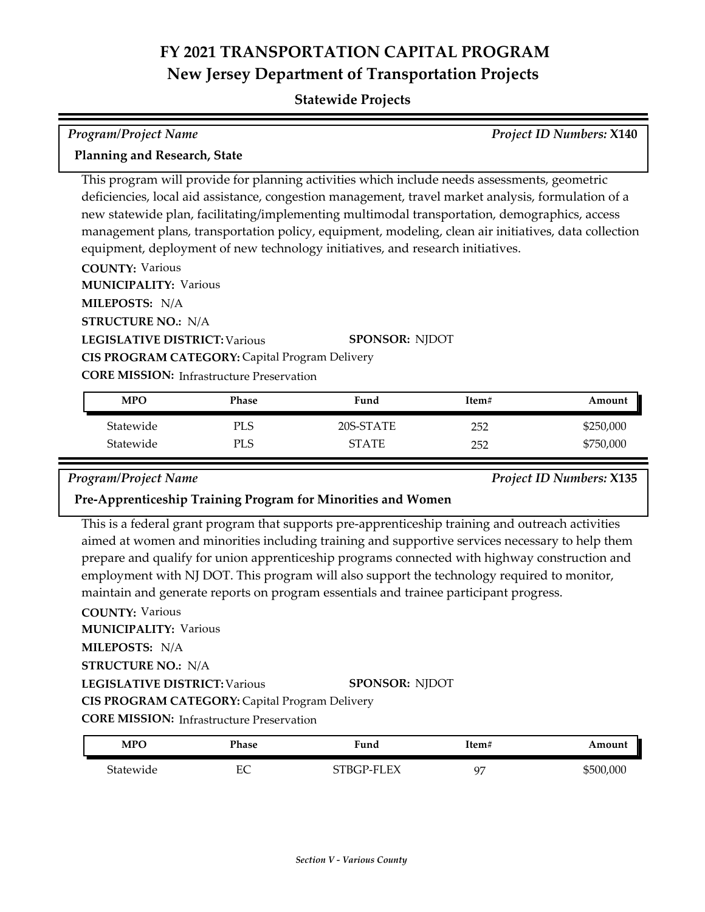## **Statewide Projects**

## *Program/Project Name Project ID Numbers:* **X140 Planning and Research, State**

This program will provide for planning activities which include needs assessments, geometric deficiencies, local aid assistance, congestion management, travel market analysis, formulation of a new statewide plan, facilitating/implementing multimodal transportation, demographics, access management plans, transportation policy, equipment, modeling, clean air initiatives, data collection equipment, deployment of new technology initiatives, and research initiatives.

**COUNTY:** Various **LEGISLATIVE DISTRICT:** Various **MILEPOSTS:** N/A **STRUCTURE NO.:** N/A **MUNICIPALITY: Various CORE MISSION: Infrastructure Preservation SPONSOR:** NJDOT **CIS PROGRAM CATEGORY:** Capital Program Delivery

| <b>MPO</b> | Phase | Fund         | Item# | Amount    |
|------------|-------|--------------|-------|-----------|
| Statewide  | PLS   | 20S-STATE    | 252   | \$250,000 |
| Statewide  | PLS   | <b>STATE</b> | 252   | \$750,000 |

*Program/Project Name Project ID Numbers:* **X135**

### **Pre-Apprenticeship Training Program for Minorities and Women**

This is a federal grant program that supports pre-apprenticeship training and outreach activities aimed at women and minorities including training and supportive services necessary to help them prepare and qualify for union apprenticeship programs connected with highway construction and employment with NJ DOT. This program will also support the technology required to monitor, maintain and generate reports on program essentials and trainee participant progress.

**COUNTY:** Various **LEGISLATIVE DISTRICT:** Various **MILEPOSTS:** N/A **STRUCTURE NO.:** N/A **MUNICIPALITY: Various CORE MISSION:** Infrastructure Preservation **SPONSOR:** NJDOT **CIS PROGRAM CATEGORY:** Capital Program Delivery

| MPO       | Phase | Fund       | Item#          | Amount    |
|-----------|-------|------------|----------------|-----------|
| Statewide | EС    | STBGP-FLEX | O <sub>7</sub> | \$500,000 |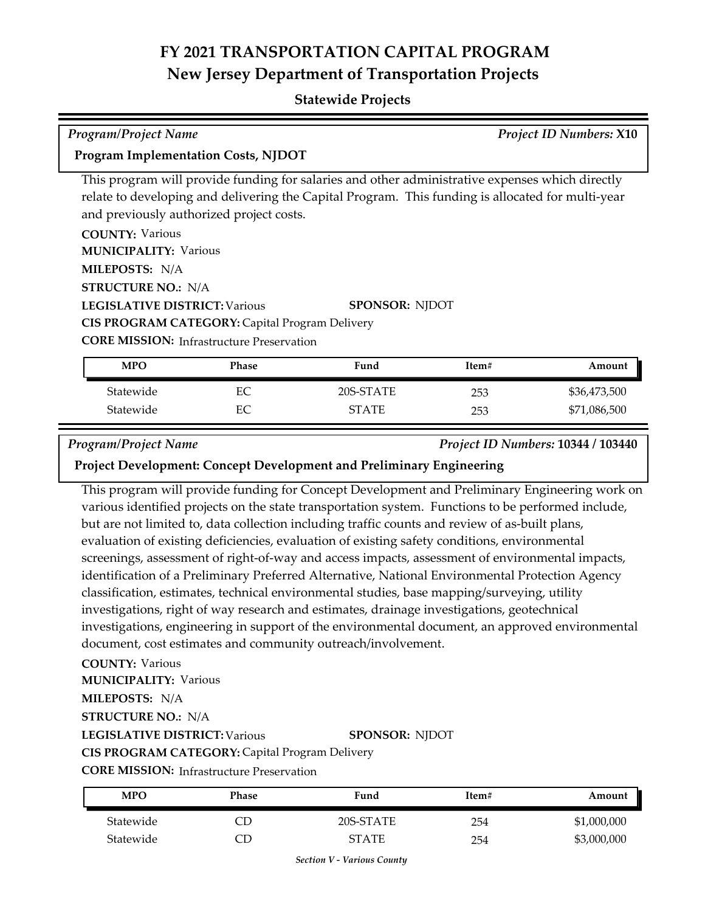### **Statewide Projects**

| <b>Program/Project Name</b>                                                                       |              |                                                                                                 |       | <b>Project ID Numbers: X10</b>     |
|---------------------------------------------------------------------------------------------------|--------------|-------------------------------------------------------------------------------------------------|-------|------------------------------------|
| <b>Program Implementation Costs, NJDOT</b>                                                        |              |                                                                                                 |       |                                    |
|                                                                                                   |              | This program will provide funding for salaries and other administrative expenses which directly |       |                                    |
| relate to developing and delivering the Capital Program. This funding is allocated for multi-year |              |                                                                                                 |       |                                    |
| and previously authorized project costs.                                                          |              |                                                                                                 |       |                                    |
| <b>COUNTY: Various</b>                                                                            |              |                                                                                                 |       |                                    |
| <b>MUNICIPALITY: Various</b>                                                                      |              |                                                                                                 |       |                                    |
| MILEPOSTS: N/A                                                                                    |              |                                                                                                 |       |                                    |
| <b>STRUCTURE NO.: N/A</b>                                                                         |              |                                                                                                 |       |                                    |
| <b>LEGISLATIVE DISTRICT: Various</b>                                                              |              | <b>SPONSOR: NJDOT</b>                                                                           |       |                                    |
| CIS PROGRAM CATEGORY: Capital Program Delivery                                                    |              |                                                                                                 |       |                                    |
| <b>CORE MISSION:</b> Infrastructure Preservation                                                  |              |                                                                                                 |       |                                    |
| <b>MPO</b>                                                                                        | <b>Phase</b> | Fund                                                                                            | Item# | Amount                             |
| Statewide                                                                                         | EC           | 20S-STATE                                                                                       | 253   | \$36,473,500                       |
| Statewide                                                                                         | EC           | <b>STATE</b>                                                                                    | 253   | \$71,086,500                       |
| <b>Program/Project Name</b>                                                                       |              |                                                                                                 |       | Project ID Numbers: 10344 / 103440 |

### **Project Development: Concept Development and Preliminary Engineering**

This program will provide funding for Concept Development and Preliminary Engineering work on various identified projects on the state transportation system. Functions to be performed include, but are not limited to, data collection including traffic counts and review of as-built plans, evaluation of existing deficiencies, evaluation of existing safety conditions, environmental screenings, assessment of right-of-way and access impacts, assessment of environmental impacts, identification of a Preliminary Preferred Alternative, National Environmental Protection Agency classification, estimates, technical environmental studies, base mapping/surveying, utility investigations, right of way research and estimates, drainage investigations, geotechnical investigations, engineering in support of the environmental document, an approved environmental document, cost estimates and community outreach/involvement.

### **COUNTY:** Various

E

**MUNICIPALITY: Various** 

### **MILEPOSTS:** N/A

**STRUCTURE NO.:** N/A

### **LEGISLATIVE DISTRICT:** Various

### **SPONSOR:** NJDOT

## **CIS PROGRAM CATEGORY:** Capital Program Delivery

**CORE MISSION:** Infrastructure Preservation

| MPO       | Phase | Fund      | Item# | Amount      |
|-----------|-------|-----------|-------|-------------|
| Statewide |       | 20S-STATE | 254   | \$1,000,000 |
| Statewide |       | STATE     | 254   | \$3,000,000 |

*Section V - Various County*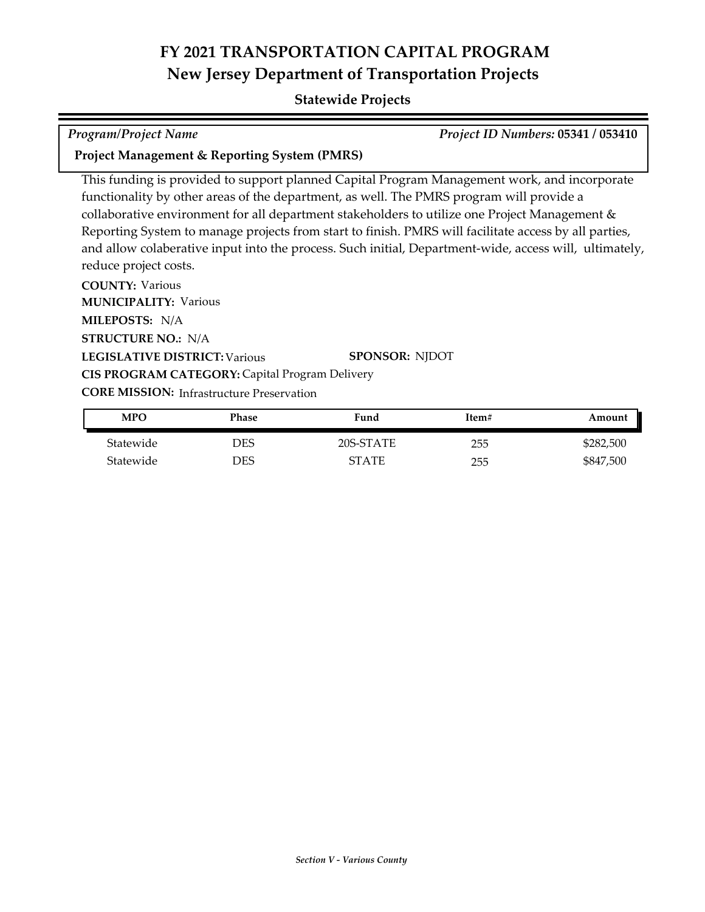## **Statewide Projects**

*Program/Project Name Project ID Numbers:* **05341 / 053410**

**Project Management & Reporting System (PMRS)**

This funding is provided to support planned Capital Program Management work, and incorporate functionality by other areas of the department, as well. The PMRS program will provide a collaborative environment for all department stakeholders to utilize one Project Management & Reporting System to manage projects from start to finish. PMRS will facilitate access by all parties, and allow colaberative input into the process. Such initial, Department-wide, access will, ultimately, reduce project costs.

**COUNTY:** Various **LEGISLATIVE DISTRICT:** Various **MILEPOSTS:** N/A **STRUCTURE NO.:** N/A **MUNICIPALITY: Various CORE MISSION:** Infrastructure Preservation **SPONSOR:** NJDOT **CIS PROGRAM CATEGORY:** Capital Program Delivery

| <b>MPO</b> | Phase | Fund         | Item# | Amount    |
|------------|-------|--------------|-------|-----------|
| Statewide  | DES   | 20S-STATE    | 255   | \$282,500 |
| Statewide  | DES   | <b>STATE</b> | 255   | \$847,500 |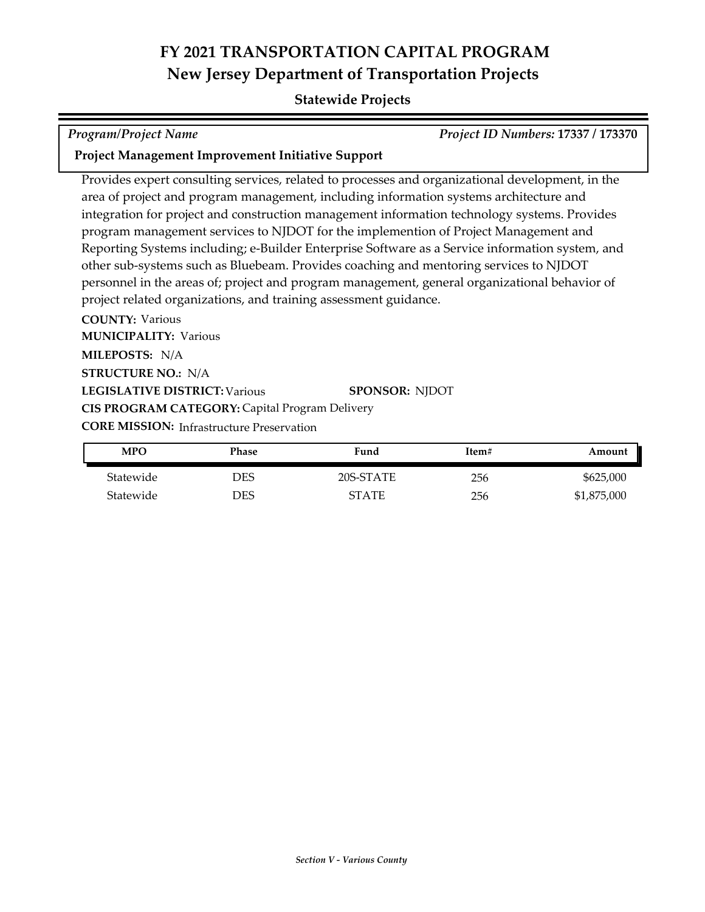## **Statewide Projects**

*Program/Project Name Project ID Numbers:* **17337 / 173370**

## **Project Management Improvement Initiative Support**

Provides expert consulting services, related to processes and organizational development, in the area of project and program management, including information systems architecture and integration for project and construction management information technology systems. Provides program management services to NJDOT for the implemention of Project Management and Reporting Systems including; e-Builder Enterprise Software as a Service information system, and other sub-systems such as Bluebeam. Provides coaching and mentoring services to NJDOT personnel in the areas of; project and program management, general organizational behavior of project related organizations, and training assessment guidance.

**COUNTY:** Various **LEGISLATIVE DISTRICT:** Various **MILEPOSTS:** N/A **STRUCTURE NO.:** N/A **MUNICIPALITY: Various CORE MISSION:** Infrastructure Preservation **SPONSOR:** NJDOT **CIS PROGRAM CATEGORY:** Capital Program Delivery

| <b>MPO</b> | Phase | Fund         | Item# | Amount      |
|------------|-------|--------------|-------|-------------|
| Statewide  | DES   | 20S-STATE    | 256   | \$625,000   |
| Statewide  | DES   | <b>STATE</b> | 256   | \$1,875,000 |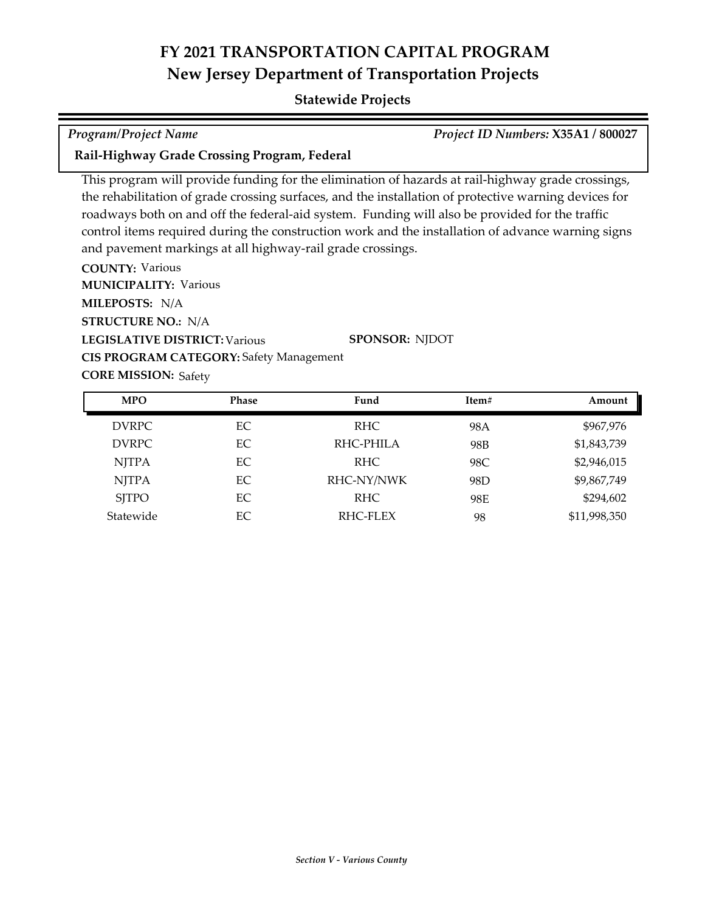## **Statewide Projects**

*Program/Project Name Project ID Numbers:* **X35A1 / 800027**

**Rail-Highway Grade Crossing Program, Federal**

This program will provide funding for the elimination of hazards at rail-highway grade crossings, the rehabilitation of grade crossing surfaces, and the installation of protective warning devices for roadways both on and off the federal-aid system. Funding will also be provided for the traffic control items required during the construction work and the installation of advance warning signs and pavement markings at all highway-rail grade crossings.

**COUNTY:** Various **LEGISLATIVE DISTRICT:** Various **MILEPOSTS:** N/A **STRUCTURE NO.:** N/A **MUNICIPALITY: Various CORE MISSION: Safety SPONSOR:** NJDOT **CIS PROGRAM CATEGORY:** Safety Management

| <b>MPO</b>   | <b>Phase</b> | Fund       | Item# | Amount       |
|--------------|--------------|------------|-------|--------------|
| <b>DVRPC</b> | EC           | RHC.       | 98A   | \$967,976    |
| <b>DVRPC</b> | EC           | RHC-PHILA  | 98B   | \$1,843,739  |
| <b>NJTPA</b> | EC           | RHC.       | 98C   | \$2,946,015  |
| <b>NJTPA</b> | EC           | RHC-NY/NWK | 98D   | \$9,867,749  |
| <b>SITPO</b> | EC           | RHC.       | 98E   | \$294,602    |
| Statewide    | EC           | RHC-FLEX   | 98    | \$11,998,350 |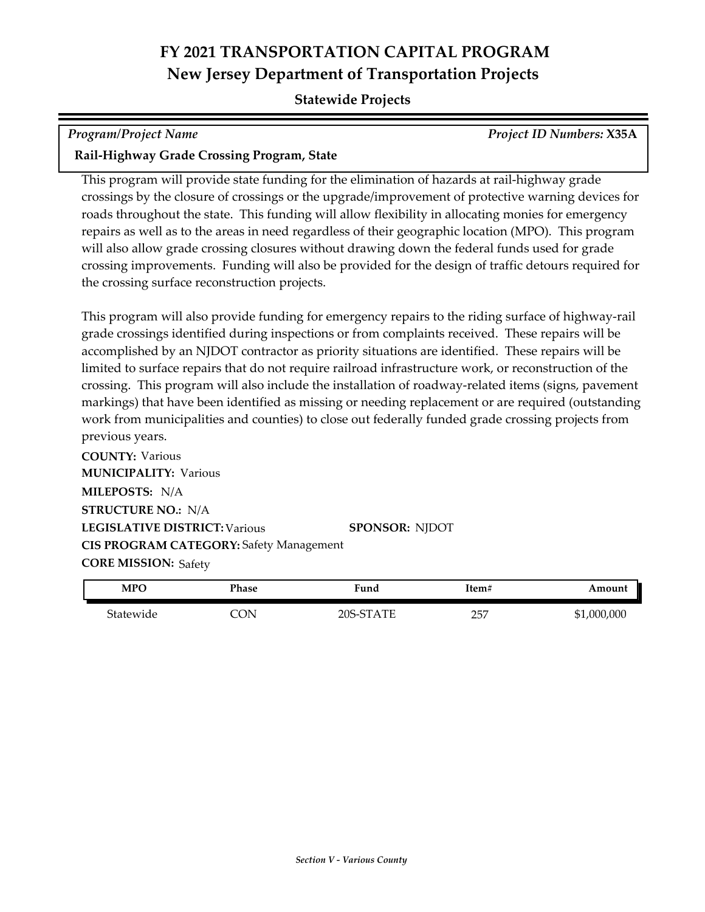### **Statewide Projects**

### *Program/Project Name Project ID Numbers:* **X35A**

### **Rail-Highway Grade Crossing Program, State**

This program will provide state funding for the elimination of hazards at rail-highway grade crossings by the closure of crossings or the upgrade/improvement of protective warning devices for roads throughout the state. This funding will allow flexibility in allocating monies for emergency repairs as well as to the areas in need regardless of their geographic location (MPO). This program will also allow grade crossing closures without drawing down the federal funds used for grade crossing improvements. Funding will also be provided for the design of traffic detours required for the crossing surface reconstruction projects.

This program will also provide funding for emergency repairs to the riding surface of highway-rail grade crossings identified during inspections or from complaints received. These repairs will be accomplished by an NJDOT contractor as priority situations are identified. These repairs will be limited to surface repairs that do not require railroad infrastructure work, or reconstruction of the crossing. This program will also include the installation of roadway-related items (signs, pavement markings) that have been identified as missing or needing replacement or are required (outstanding work from municipalities and counties) to close out federally funded grade crossing projects from previous years.

**COUNTY:** Various **LEGISLATIVE DISTRICT:** Various **MILEPOSTS:** N/A **STRUCTURE NO.:** N/A **MUNICIPALITY: Various CORE MISSION: Safety SPONSOR:** NJDOT **CIS PROGRAM CATEGORY:** Safety Management

| <b>MPO</b> | Phase | Fund      | Item# | Amount      |
|------------|-------|-----------|-------|-------------|
| Statewide  | `ON   | 20S-STATE | 257   | \$1,000,000 |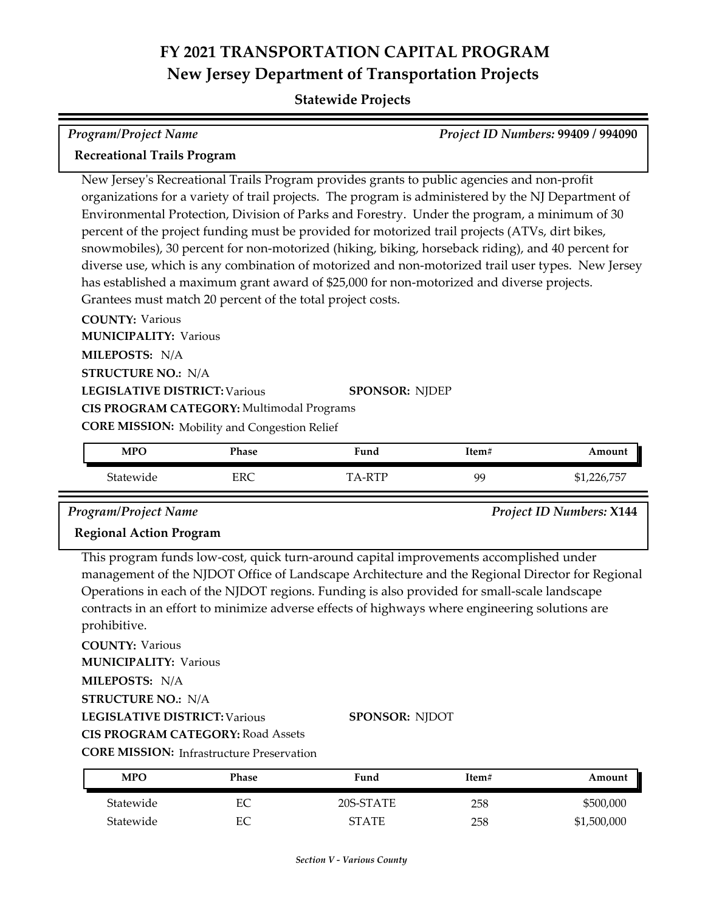## **Statewide Projects**

| Program/Project Name               | <b>Project ID Numbers: 99409 / 994090</b> |
|------------------------------------|-------------------------------------------|
| <b>Recreational Trails Program</b> |                                           |

New Jersey's Recreational Trails Program provides grants to public agencies and non-profit organizations for a variety of trail projects. The program is administered by the NJ Department of Environmental Protection, Division of Parks and Forestry. Under the program, a minimum of 30 percent of the project funding must be provided for motorized trail projects (ATVs, dirt bikes, snowmobiles), 30 percent for non-motorized (hiking, biking, horseback riding), and 40 percent for diverse use, which is any combination of motorized and non-motorized trail user types. New Jersey has established a maximum grant award of \$25,000 for non-motorized and diverse projects. Grantees must match 20 percent of the total project costs.

**COUNTY:** Various **LEGISLATIVE DISTRICT:** Various **MILEPOSTS:** N/A **STRUCTURE NO.:** N/A **MUNICIPALITY: Various CORE MISSION:** Mobility and Congestion Relief **SPONSOR:** NJDEP **CIS PROGRAM CATEGORY:** Multimodal Programs

| <b>MPO</b> | Phase | Fund  | Item# | Amount                   |
|------------|-------|-------|-------|--------------------------|
| Statewide  | ERC   | A-RTP | QC    | , 226.757<br>71,∠∠∪, / ∪ |

*Program/Project Name Project ID Numbers:* **X144**

### **Regional Action Program**

This program funds low‐cost, quick turn-around capital improvements accomplished under management of the NJDOT Office of Landscape Architecture and the Regional Director for Regional Operations in each of the NJDOT regions. Funding is also provided for small‐scale landscape contracts in an effort to minimize adverse effects of highways where engineering solutions are prohibitive.

**COUNTY:** Various

**MUNICIPALITY: Various** 

**MILEPOSTS:** N/A

**STRUCTURE NO.:** N/A

**LEGISLATIVE DISTRICT:** Various

**SPONSOR:** NJDOT

**CIS PROGRAM CATEGORY:** Road Assets

**CORE MISSION:** Infrastructure Preservation

| <b>MPO</b> | Phase | Fund         | Item# | Amount      |
|------------|-------|--------------|-------|-------------|
| Statewide  | ЕC    | 20S-STATE    | 258   | \$500,000   |
| Statewide  | EС    | <b>STATE</b> | 258   | \$1,500,000 |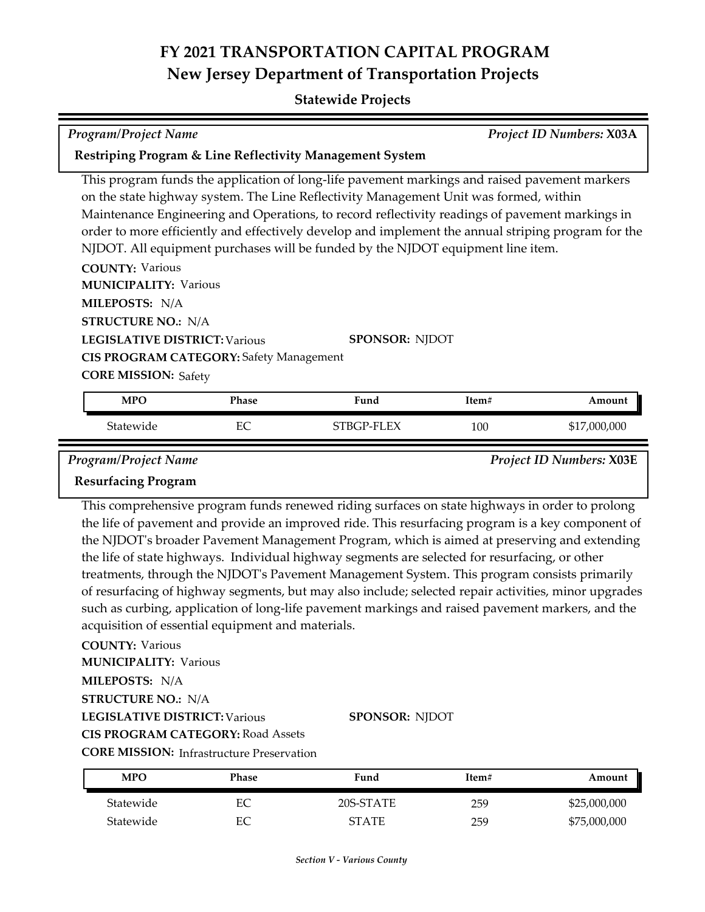### **Statewide Projects**

| <b>Program/Project Name</b>                                         | Project ID Numbers: X03A |
|---------------------------------------------------------------------|--------------------------|
| <b>Restriping Program &amp; Line Reflectivity Management System</b> |                          |

This program funds the application of long-life pavement markings and raised pavement markers on the state highway system. The Line Reflectivity Management Unit was formed, within Maintenance Engineering and Operations, to record reflectivity readings of pavement markings in order to more efficiently and effectively develop and implement the annual striping program for the NJDOT. All equipment purchases will be funded by the NJDOT equipment line item.

**COUNTY:** Various **LEGISLATIVE DISTRICT:** Various **MILEPOSTS:** N/A **STRUCTURE NO.:** N/A **MUNICIPALITY: Various CORE MISSION: Safety SPONSOR:** NJDOT **CIS PROGRAM CATEGORY:** Safety Management

| <b>MPC</b> | Phase     | Fund      | Item# | Amount                  |
|------------|-----------|-----------|-------|-------------------------|
| Statewide  | гσ<br>CV. | TBGP-FLEX | 100   | ,000,000<br>J 17<br>/⊥⊄ |

*Program/Project Name Project ID Numbers:* **X03E**

### **Resurfacing Program**

This comprehensive program funds renewed riding surfaces on state highways in order to prolong the life of pavement and provide an improved ride. This resurfacing program is a key component of the NJDOT's broader Pavement Management Program, which is aimed at preserving and extending the life of state highways. Individual highway segments are selected for resurfacing, or other treatments, through the NJDOT's Pavement Management System. This program consists primarily of resurfacing of highway segments, but may also include; selected repair activities, minor upgrades such as curbing, application of long‐life pavement markings and raised pavement markers, and the acquisition of essential equipment and materials.

**COUNTY:** Various

**MUNICIPALITY: Various** 

**MILEPOSTS:** N/A

**STRUCTURE NO.:** N/A

**LEGISLATIVE DISTRICT:** Various

**SPONSOR:** NJDOT

**CIS PROGRAM CATEGORY:** Road Assets

**CORE MISSION:** Infrastructure Preservation

| MPO       | Phase | Fund         | Item# | Amount       |
|-----------|-------|--------------|-------|--------------|
| Statewide | EС    | 20S-STATE    | 259   | \$25,000,000 |
| Statewide | EС    | <b>STATE</b> | 259   | \$75,000,000 |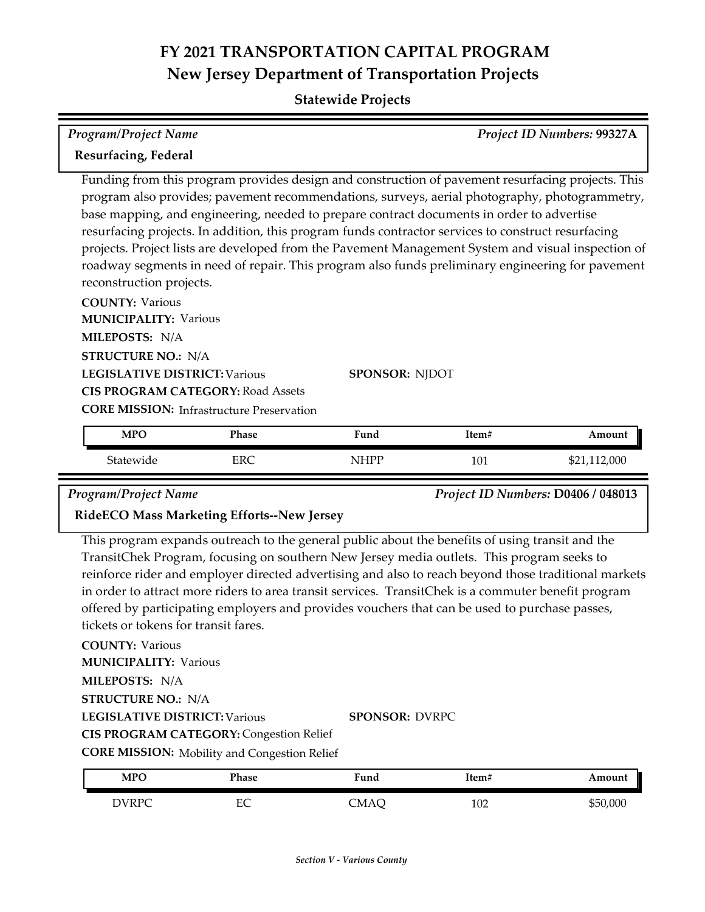**Statewide Projects**

| <b>Program/Project Name</b><br>Project ID Numbers: 99327A                          |                                                  |                                                                                                                                                                                                                                                                                                                                                                                                                                                                                                                                                                                                                 |       |              |
|------------------------------------------------------------------------------------|--------------------------------------------------|-----------------------------------------------------------------------------------------------------------------------------------------------------------------------------------------------------------------------------------------------------------------------------------------------------------------------------------------------------------------------------------------------------------------------------------------------------------------------------------------------------------------------------------------------------------------------------------------------------------------|-------|--------------|
| <b>Resurfacing, Federal</b>                                                        |                                                  |                                                                                                                                                                                                                                                                                                                                                                                                                                                                                                                                                                                                                 |       |              |
| reconstruction projects.<br><b>COUNTY: Various</b><br><b>MUNICIPALITY: Various</b> |                                                  | Funding from this program provides design and construction of pavement resurfacing projects. This<br>program also provides; pavement recommendations, surveys, aerial photography, photogrammetry,<br>base mapping, and engineering, needed to prepare contract documents in order to advertise<br>resurfacing projects. In addition, this program funds contractor services to construct resurfacing<br>projects. Project lists are developed from the Pavement Management System and visual inspection of<br>roadway segments in need of repair. This program also funds preliminary engineering for pavement |       |              |
| MILEPOSTS: N/A                                                                     |                                                  |                                                                                                                                                                                                                                                                                                                                                                                                                                                                                                                                                                                                                 |       |              |
| <b>STRUCTURE NO.: N/A</b>                                                          |                                                  |                                                                                                                                                                                                                                                                                                                                                                                                                                                                                                                                                                                                                 |       |              |
| <b>LEGISLATIVE DISTRICT: Various</b>                                               |                                                  | SPONSOR: NJDOT                                                                                                                                                                                                                                                                                                                                                                                                                                                                                                                                                                                                  |       |              |
|                                                                                    | <b>CIS PROGRAM CATEGORY: Road Assets</b>         |                                                                                                                                                                                                                                                                                                                                                                                                                                                                                                                                                                                                                 |       |              |
|                                                                                    | <b>CORE MISSION:</b> Infrastructure Preservation |                                                                                                                                                                                                                                                                                                                                                                                                                                                                                                                                                                                                                 |       |              |
| <b>MPO</b>                                                                         | <b>Phase</b>                                     | Fund                                                                                                                                                                                                                                                                                                                                                                                                                                                                                                                                                                                                            | Item# | Amount       |
| Statewide                                                                          | <b>ERC</b>                                       | <b>NHPP</b>                                                                                                                                                                                                                                                                                                                                                                                                                                                                                                                                                                                                     | 101   | \$21,112,000 |

*Program/Project Name Project ID Numbers:* **D0406 / 048013**

### **RideECO Mass Marketing Efforts--New Jersey**

This program expands outreach to the general public about the benefits of using transit and the TransitChek Program, focusing on southern New Jersey media outlets. This program seeks to reinforce rider and employer directed advertising and also to reach beyond those traditional markets in order to attract more riders to area transit services. TransitChek is a commuter benefit program offered by participating employers and provides vouchers that can be used to purchase passes, tickets or tokens for transit fares.

**COUNTY:** Various

**MUNICIPALITY: Various** 

**MILEPOSTS:** N/A

**STRUCTURE NO.:** N/A

**LEGISLATIVE DISTRICT:** Various

**SPONSOR:** DVRPC

**CIS PROGRAM CATEGORY:** Congestion Relief

**CORE MISSION:** Mobility and Congestion Relief

| <b>MPO</b>   | Phase  | Fund | Item# | Amount   |
|--------------|--------|------|-------|----------|
| <b>DVRPC</b> | ᠇<br>∽ | CMAÇ | 102   | \$50,000 |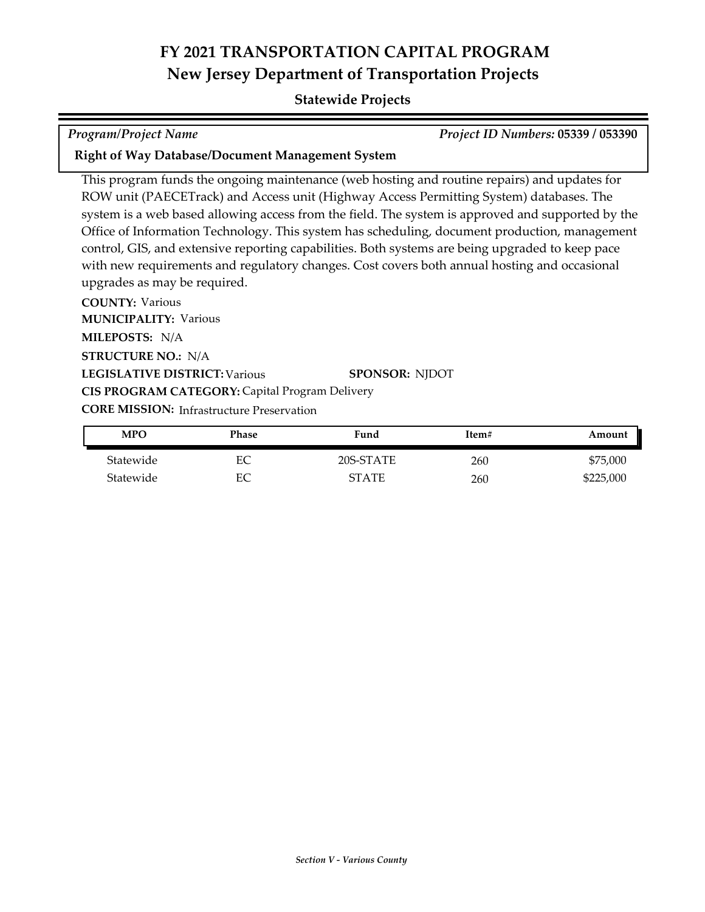### **Statewide Projects**

*Program/Project Name Project ID Numbers:* **05339 / 053390**

### **Right of Way Database/Document Management System**

This program funds the ongoing maintenance (web hosting and routine repairs) and updates for ROW unit (PAECETrack) and Access unit (Highway Access Permitting System) databases. The system is a web based allowing access from the field. The system is approved and supported by the Office of Information Technology. This system has scheduling, document production, management control, GIS, and extensive reporting capabilities. Both systems are being upgraded to keep pace with new requirements and regulatory changes. Cost covers both annual hosting and occasional upgrades as may be required.

**COUNTY:** Various **LEGISLATIVE DISTRICT:** Various **MILEPOSTS:** N/A **STRUCTURE NO.:** N/A **MUNICIPALITY: Various CORE MISSION: Infrastructure Preservation SPONSOR:** NJDOT **CIS PROGRAM CATEGORY:** Capital Program Delivery

| <b>MPO</b> | Phase | Fund         | Item# | Amount    |
|------------|-------|--------------|-------|-----------|
| Statewide  | EC    | 20S-STATE    | 260   | \$75,000  |
| Statewide  | EС    | <b>STATE</b> | 260   | \$225,000 |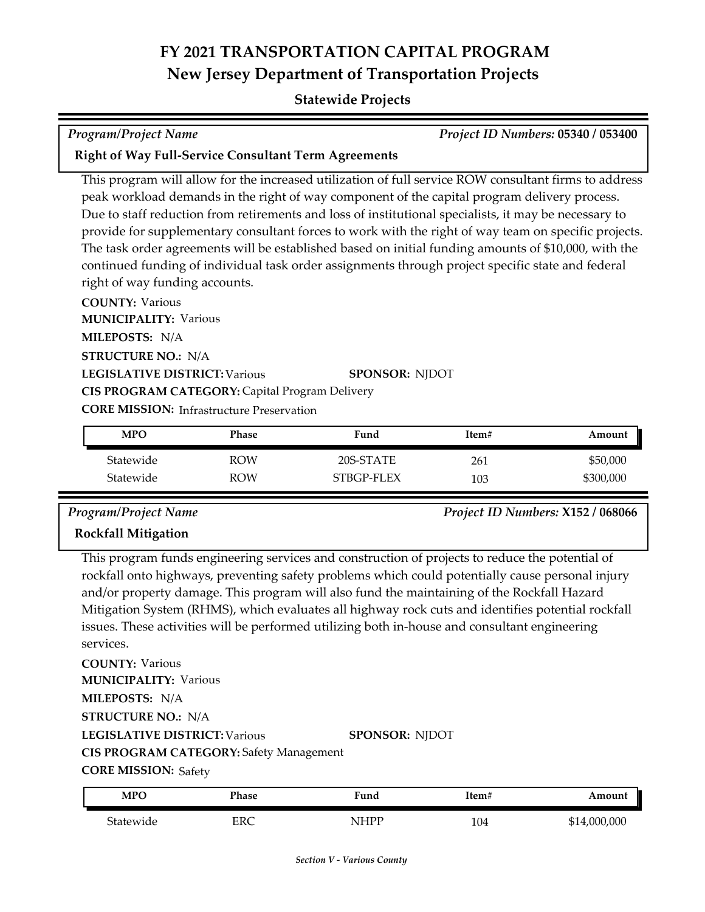### **Statewide Projects**

| Program/Project Name | <b>Project ID Numbers: 05340 / 053400</b> |
|----------------------|-------------------------------------------|

### **Right of Way Full-Service Consultant Term Agreements**

This program will allow for the increased utilization of full service ROW consultant firms to address peak workload demands in the right of way component of the capital program delivery process. Due to staff reduction from retirements and loss of institutional specialists, it may be necessary to provide for supplementary consultant forces to work with the right of way team on specific projects. The task order agreements will be established based on initial funding amounts of \$10,000, with the continued funding of individual task order assignments through project specific state and federal right of way funding accounts.

**COUNTY:** Various **LEGISLATIVE DISTRICT:** Various **MILEPOSTS:** N/A **STRUCTURE NO.:** N/A **MUNICIPALITY: Various CORE MISSION: Infrastructure Preservation SPONSOR:** NJDOT **CIS PROGRAM CATEGORY:** Capital Program Delivery

| <b>MPO</b> | Phase      | Fund       | Item# | Amount    |
|------------|------------|------------|-------|-----------|
| Statewide  | <b>ROW</b> | 20S-STATE  | 261   | \$50,000  |
| Statewide  | ROW        | STBGP-FLEX | 103   | \$300,000 |

# **Rockfall Mitigation**

*Program/Project Name Project ID Numbers:* **X152 / 068066**

## This program funds engineering services and construction of projects to reduce the potential of rockfall onto highways, preventing safety problems which could potentially cause personal injury and/or property damage. This program will also fund the maintaining of the Rockfall Hazard Mitigation System (RHMS), which evaluates all highway rock cuts and identifies potential rockfall issues. These activities will be performed utilizing both in‐house and consultant engineering services.

**COUNTY:** Various **LEGISLATIVE DISTRICT:** Various **MILEPOSTS:** N/A **STRUCTURE NO.:** N/A **MUNICIPALITY: Various CIS PROGRAM CATEGORY:** Safety Management

**SPONSOR:** NJDOT

**CORE MISSION: Safety** 

| MPO       | Phase | ∀und | Item# | Amount       |
|-----------|-------|------|-------|--------------|
| Statewide | ERC   | NHPP | 104   | \$14,000,000 |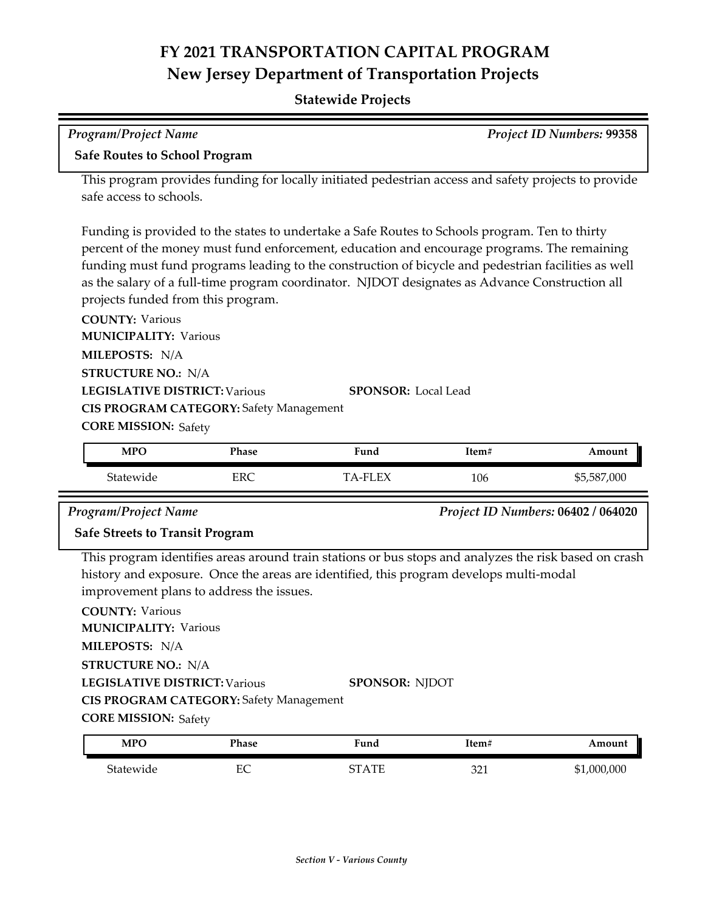| <b>Program/Project Name</b>                                                                           |                                                                                                                                                                                                                                                                                                                                                                                                                                              |                       |       | Project ID Numbers: 99358          |  |  |
|-------------------------------------------------------------------------------------------------------|----------------------------------------------------------------------------------------------------------------------------------------------------------------------------------------------------------------------------------------------------------------------------------------------------------------------------------------------------------------------------------------------------------------------------------------------|-----------------------|-------|------------------------------------|--|--|
| <b>Safe Routes to School Program</b>                                                                  |                                                                                                                                                                                                                                                                                                                                                                                                                                              |                       |       |                                    |  |  |
| safe access to schools.                                                                               | This program provides funding for locally initiated pedestrian access and safety projects to provide                                                                                                                                                                                                                                                                                                                                         |                       |       |                                    |  |  |
|                                                                                                       | Funding is provided to the states to undertake a Safe Routes to Schools program. Ten to thirty<br>percent of the money must fund enforcement, education and encourage programs. The remaining<br>funding must fund programs leading to the construction of bicycle and pedestrian facilities as well<br>as the salary of a full-time program coordinator. NJDOT designates as Advance Construction all<br>projects funded from this program. |                       |       |                                    |  |  |
| <b>COUNTY: Various</b><br><b>MUNICIPALITY: Various</b><br>MILEPOSTS: N/A<br><b>STRUCTURE NO.: N/A</b> |                                                                                                                                                                                                                                                                                                                                                                                                                                              |                       |       |                                    |  |  |
| <b>LEGISLATIVE DISTRICT: Various</b><br><b>SPONSOR:</b> Local Lead                                    |                                                                                                                                                                                                                                                                                                                                                                                                                                              |                       |       |                                    |  |  |
| <b>CIS PROGRAM CATEGORY: Safety Management</b>                                                        |                                                                                                                                                                                                                                                                                                                                                                                                                                              |                       |       |                                    |  |  |
|                                                                                                       | <b>CORE MISSION: Safety</b>                                                                                                                                                                                                                                                                                                                                                                                                                  |                       |       |                                    |  |  |
| <b>MPO</b>                                                                                            | Phase                                                                                                                                                                                                                                                                                                                                                                                                                                        | Fund                  | Item# | Amount                             |  |  |
| Statewide                                                                                             | <b>ERC</b>                                                                                                                                                                                                                                                                                                                                                                                                                                   | <b>TA-FLEX</b>        | 106   | \$5,587,000                        |  |  |
| <b>Program/Project Name</b>                                                                           |                                                                                                                                                                                                                                                                                                                                                                                                                                              |                       |       | Project ID Numbers: 06402 / 064020 |  |  |
| <b>Safe Streets to Transit Program</b>                                                                |                                                                                                                                                                                                                                                                                                                                                                                                                                              |                       |       |                                    |  |  |
| <b>COUNTY: Various</b>                                                                                | This program identifies areas around train stations or bus stops and analyzes the risk based on crash<br>history and exposure. Once the areas are identified, this program develops multi-modal<br>improvement plans to address the issues.                                                                                                                                                                                                  |                       |       |                                    |  |  |
| <b>MUNICIPALITY: Various</b><br>MILEPOSTS: N/A                                                        |                                                                                                                                                                                                                                                                                                                                                                                                                                              |                       |       |                                    |  |  |
| <b>STRUCTURE NO.: N/A</b>                                                                             |                                                                                                                                                                                                                                                                                                                                                                                                                                              |                       |       |                                    |  |  |
| <b>LEGISLATIVE DISTRICT: Various</b>                                                                  |                                                                                                                                                                                                                                                                                                                                                                                                                                              | <b>SPONSOR: NJDOT</b> |       |                                    |  |  |
|                                                                                                       | <b>CIS PROGRAM CATEGORY: Safety Management</b>                                                                                                                                                                                                                                                                                                                                                                                               |                       |       |                                    |  |  |
| <b>CORE MISSION: Safety</b>                                                                           |                                                                                                                                                                                                                                                                                                                                                                                                                                              |                       |       |                                    |  |  |
| <b>MPO</b>                                                                                            | Phase                                                                                                                                                                                                                                                                                                                                                                                                                                        | Fund                  | Item# | Amount                             |  |  |
| Statewide                                                                                             | $\rm EC$                                                                                                                                                                                                                                                                                                                                                                                                                                     |                       |       |                                    |  |  |
|                                                                                                       |                                                                                                                                                                                                                                                                                                                                                                                                                                              | <b>STATE</b>          | 321   | \$1,000,000                        |  |  |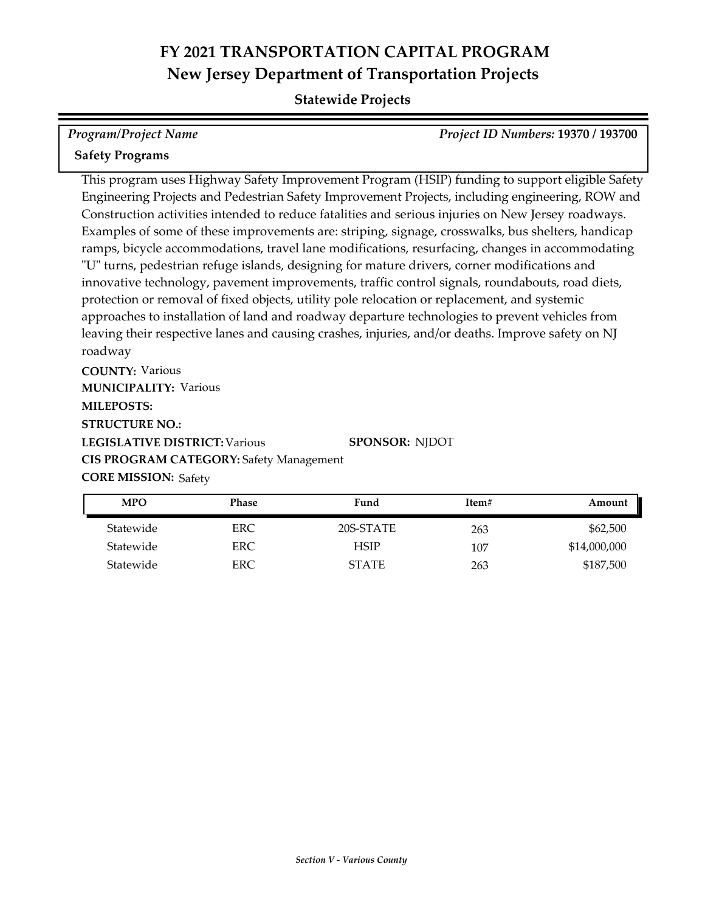## **Statewide Projects**

| <b>Program/Project Name</b>                                                                        | Project ID Numbers: 19370 / 193700 |
|----------------------------------------------------------------------------------------------------|------------------------------------|
| <b>Safety Programs</b>                                                                             |                                    |
| This program uses Highway Safety Improvement Program (HSIP) funding to support eligible Safety     |                                    |
| Engineering Projects and Pedestrian Safety Improvement Projects, including engineering, ROW and    |                                    |
| Construction activities intended to reduce fatalities and serious injuries on New Jersey roadways. |                                    |
| Examples of some of these improvements are: striping, signage, crosswalks, bus shelters, handicap  |                                    |
| ramps, bicycle accommodations, travel lane modifications, resurfacing, changes in accommodating    |                                    |
| "U" turns, pedestrian refuge islands, designing for mature drivers, corner modifications and       |                                    |
| innovative technology, pavement improvements, traffic control signals, roundabouts, road diets,    |                                    |
| protection or removal of fixed objects, utility pole relocation or replacement, and systemic       |                                    |
| approaches to installation of land and roadway departure technologies to prevent vehicles from     |                                    |
| leaving their respective lanes and causing crashes, injuries, and/or deaths. Improve safety on NJ  |                                    |

roadway

**COUNTY:** Various **LEGISLATIVE DISTRICT:** Various **MILEPOSTS: STRUCTURE NO.: MUNICIPALITY: Various CORE MISSION: Safety SPONSOR:** NJDOT **CIS PROGRAM CATEGORY:** Safety Management

Statewide ERC 20S-STATE 263 \$62,500 Statewide ERC HSIP 107 \$14,000,000 Statewide ERC ERC STATE 263 \$187,500 **MPO Phase Fund Item# Amount**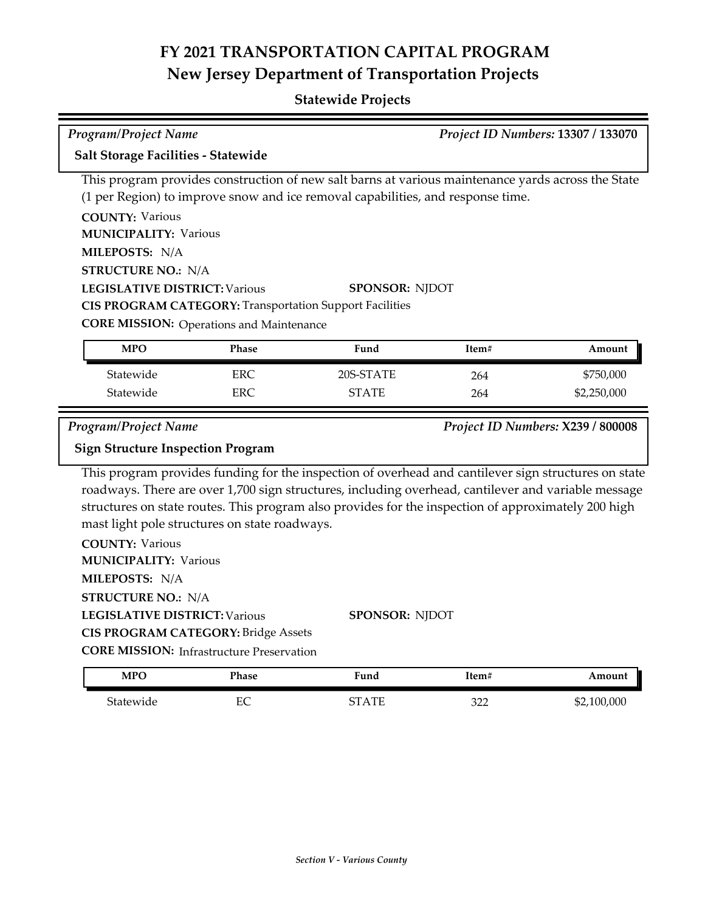|                                                                                                                                               | Program/Project Name<br>Project ID Numbers: 13307 / 133070                                                                                                                                                                                                                                                                                                                                                                                                                                 |                                                                                                                                                                                                                                                                                                                                      |            |                                   |  |  |
|-----------------------------------------------------------------------------------------------------------------------------------------------|--------------------------------------------------------------------------------------------------------------------------------------------------------------------------------------------------------------------------------------------------------------------------------------------------------------------------------------------------------------------------------------------------------------------------------------------------------------------------------------------|--------------------------------------------------------------------------------------------------------------------------------------------------------------------------------------------------------------------------------------------------------------------------------------------------------------------------------------|------------|-----------------------------------|--|--|
| Salt Storage Facilities - Statewide                                                                                                           |                                                                                                                                                                                                                                                                                                                                                                                                                                                                                            |                                                                                                                                                                                                                                                                                                                                      |            |                                   |  |  |
| <b>COUNTY: Various</b><br>MILEPOSTS: N/A                                                                                                      | This program provides construction of new salt barns at various maintenance yards across the State<br>(1 per Region) to improve snow and ice removal capabilities, and response time.<br><b>MUNICIPALITY: Various</b><br><b>STRUCTURE NO.: N/A</b><br><b>LEGISLATIVE DISTRICT: Various</b><br><b>SPONSOR: NJDOT</b><br><b>CIS PROGRAM CATEGORY: Transportation Support Facilities</b><br><b>CORE MISSION:</b> Operations and Maintenance<br><b>MPO</b><br>Phase<br>Fund<br>Item#<br>Amount |                                                                                                                                                                                                                                                                                                                                      |            |                                   |  |  |
|                                                                                                                                               |                                                                                                                                                                                                                                                                                                                                                                                                                                                                                            |                                                                                                                                                                                                                                                                                                                                      |            |                                   |  |  |
| Statewide<br>Statewide                                                                                                                        | <b>ERC</b><br><b>ERC</b>                                                                                                                                                                                                                                                                                                                                                                                                                                                                   | 20S-STATE<br><b>STATE</b>                                                                                                                                                                                                                                                                                                            | 264<br>264 | \$750,000<br>\$2,250,000          |  |  |
| Program/Project Name<br><b>Sign Structure Inspection Program</b>                                                                              |                                                                                                                                                                                                                                                                                                                                                                                                                                                                                            |                                                                                                                                                                                                                                                                                                                                      |            | Project ID Numbers: X239 / 800008 |  |  |
| <b>COUNTY: Various</b><br><b>MUNICIPALITY: Various</b><br>MILEPOSTS: N/A<br><b>STRUCTURE NO.: N/A</b><br><b>LEGISLATIVE DISTRICT: Various</b> | mast light pole structures on state roadways.<br><b>CIS PROGRAM CATEGORY: Bridge Assets</b><br><b>CORE MISSION:</b> Infrastructure Preservation                                                                                                                                                                                                                                                                                                                                            | This program provides funding for the inspection of overhead and cantilever sign structures on state<br>roadways. There are over 1,700 sign structures, including overhead, cantilever and variable message<br>structures on state routes. This program also provides for the inspection of approximately 200 high<br>SPONSOR: NJDOT |            |                                   |  |  |
| <b>MPO</b>                                                                                                                                    | Phase                                                                                                                                                                                                                                                                                                                                                                                                                                                                                      | Fund                                                                                                                                                                                                                                                                                                                                 | Item#      | Amount                            |  |  |
| Statewide                                                                                                                                     | EC                                                                                                                                                                                                                                                                                                                                                                                                                                                                                         | <b>STATE</b>                                                                                                                                                                                                                                                                                                                         | 322        | \$2,100,000                       |  |  |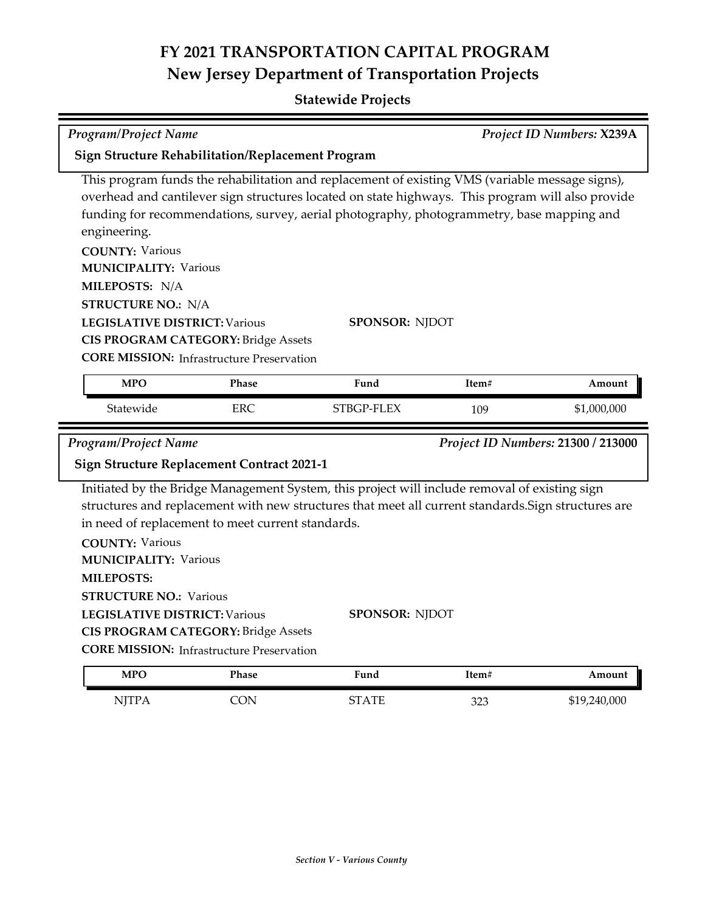| <b>Program/Project Name</b>                                                                                                                                     |                                                                                                 |                                                                                                                                                                                                                                                                                                   |       | Project ID Numbers: X239A |  |  |
|-----------------------------------------------------------------------------------------------------------------------------------------------------------------|-------------------------------------------------------------------------------------------------|---------------------------------------------------------------------------------------------------------------------------------------------------------------------------------------------------------------------------------------------------------------------------------------------------|-------|---------------------------|--|--|
|                                                                                                                                                                 | <b>Sign Structure Rehabilitation/Replacement Program</b>                                        |                                                                                                                                                                                                                                                                                                   |       |                           |  |  |
| engineering.                                                                                                                                                    |                                                                                                 | This program funds the rehabilitation and replacement of existing VMS (variable message signs),<br>overhead and cantilever sign structures located on state highways. This program will also provide<br>funding for recommendations, survey, aerial photography, photogrammetry, base mapping and |       |                           |  |  |
| <b>COUNTY: Various</b><br><b>MUNICIPALITY: Various</b><br>MILEPOSTS: N/A                                                                                        |                                                                                                 |                                                                                                                                                                                                                                                                                                   |       |                           |  |  |
| <b>STRUCTURE NO.: N/A</b>                                                                                                                                       |                                                                                                 |                                                                                                                                                                                                                                                                                                   |       |                           |  |  |
| <b>LEGISLATIVE DISTRICT: Various</b><br><b>SPONSOR: NJDOT</b><br><b>CIS PROGRAM CATEGORY: Bridge Assets</b><br><b>CORE MISSION:</b> Infrastructure Preservation |                                                                                                 |                                                                                                                                                                                                                                                                                                   |       |                           |  |  |
| <b>MPO</b>                                                                                                                                                      | Phase                                                                                           | Fund                                                                                                                                                                                                                                                                                              | Item# | Amount                    |  |  |
| Statewide                                                                                                                                                       | <b>ERC</b>                                                                                      | STBGP-FLEX                                                                                                                                                                                                                                                                                        | 109   | \$1,000,000               |  |  |
| Program/Project Name<br>Project ID Numbers: 21300 / 213000<br><b>Sign Structure Replacement Contract 2021-1</b>                                                 |                                                                                                 |                                                                                                                                                                                                                                                                                                   |       |                           |  |  |
|                                                                                                                                                                 |                                                                                                 |                                                                                                                                                                                                                                                                                                   |       |                           |  |  |
| <b>COUNTY: Various</b><br><b>MUNICIPALITY: Various</b><br><b>MILEPOSTS:</b><br><b>STRUCTURE NO.: Various</b><br><b>LEGISLATIVE DISTRICT: Various</b>            | in need of replacement to meet current standards.<br><b>CIS PROGRAM CATEGORY: Bridge Assets</b> | Initiated by the Bridge Management System, this project will include removal of existing sign<br>structures and replacement with new structures that meet all current standards. Sign structures are<br><b>SPONSOR: NJDOT</b>                                                                     |       |                           |  |  |
|                                                                                                                                                                 | <b>CORE MISSION:</b> Infrastructure Preservation                                                |                                                                                                                                                                                                                                                                                                   |       |                           |  |  |
| <b>MPO</b>                                                                                                                                                      | Phase                                                                                           | Fund                                                                                                                                                                                                                                                                                              | Item# | Amount                    |  |  |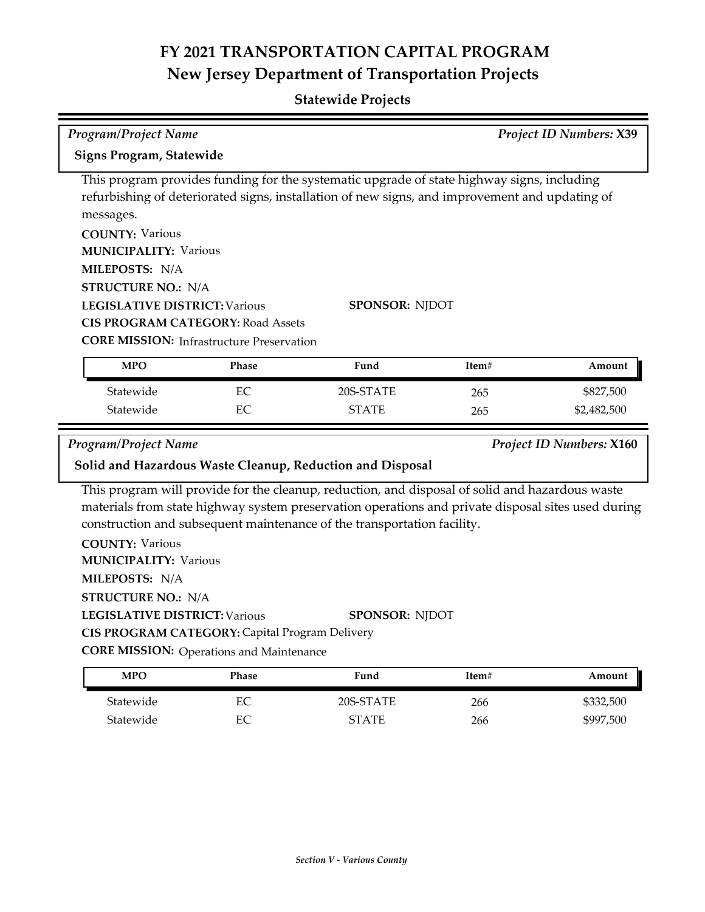| <b>Program/Project Name</b>                                                                                                                                                                                                                                                                                                                                                               |       |                                                                                                                                                                                                                       |       | <b>Project ID Numbers: X39</b>  |  |
|-------------------------------------------------------------------------------------------------------------------------------------------------------------------------------------------------------------------------------------------------------------------------------------------------------------------------------------------------------------------------------------------|-------|-----------------------------------------------------------------------------------------------------------------------------------------------------------------------------------------------------------------------|-------|---------------------------------|--|
| Signs Program, Statewide                                                                                                                                                                                                                                                                                                                                                                  |       |                                                                                                                                                                                                                       |       |                                 |  |
| messages.<br><b>COUNTY: Various</b><br><b>MUNICIPALITY: Various</b><br>MILEPOSTS: N/A<br><b>STRUCTURE NO.: N/A</b><br><b>LEGISLATIVE DISTRICT: Various</b><br><b>CIS PROGRAM CATEGORY: Road Assets</b><br><b>CORE MISSION:</b> Infrastructure Preservation                                                                                                                                |       | This program provides funding for the systematic upgrade of state highway signs, including<br>refurbishing of deteriorated signs, installation of new signs, and improvement and updating of<br><b>SPONSOR: NJDOT</b> |       |                                 |  |
| <b>MPO</b>                                                                                                                                                                                                                                                                                                                                                                                | Phase | Fund                                                                                                                                                                                                                  | Item# | Amount                          |  |
| Statewide                                                                                                                                                                                                                                                                                                                                                                                 | EC    | 20S-STATE                                                                                                                                                                                                             | 265   | \$827,500                       |  |
| Statewide                                                                                                                                                                                                                                                                                                                                                                                 | EC    | <b>STATE</b>                                                                                                                                                                                                          | 265   | \$2,482,500                     |  |
| Program/Project Name                                                                                                                                                                                                                                                                                                                                                                      |       | Solid and Hazardous Waste Cleanup, Reduction and Disposal                                                                                                                                                             |       | <b>Project ID Numbers: X160</b> |  |
| This program will provide for the cleanup, reduction, and disposal of solid and hazardous waste<br>materials from state highway system preservation operations and private disposal sites used during<br>construction and subsequent maintenance of the transportation facility.<br><b>COUNTY: Various</b><br><b>MUNICIPALITY: Various</b><br>MILEPOSTS: N/A<br><b>STRUCTURE NO.: N/A</b> |       |                                                                                                                                                                                                                       |       |                                 |  |
| <b>LEGISLATIVE DISTRICT: Various</b>                                                                                                                                                                                                                                                                                                                                                      |       | <b>SPONSOR: NJDOT</b>                                                                                                                                                                                                 |       |                                 |  |
| CIS PROGRAM CATEGORY: Capital Program Delivery<br><b>CORE MISSION:</b> Operations and Maintenance                                                                                                                                                                                                                                                                                         |       |                                                                                                                                                                                                                       |       |                                 |  |
| <b>MPO</b>                                                                                                                                                                                                                                                                                                                                                                                | Phase | Fund                                                                                                                                                                                                                  | Item# | Amount                          |  |

| MFO       | l'hase | Fund      | 1tem# | Amount    |
|-----------|--------|-----------|-------|-----------|
| Statewide | EС     | 20S-STATE | 266   | \$332,500 |
| Statewide | EС     | STATE     | 266   | \$997,500 |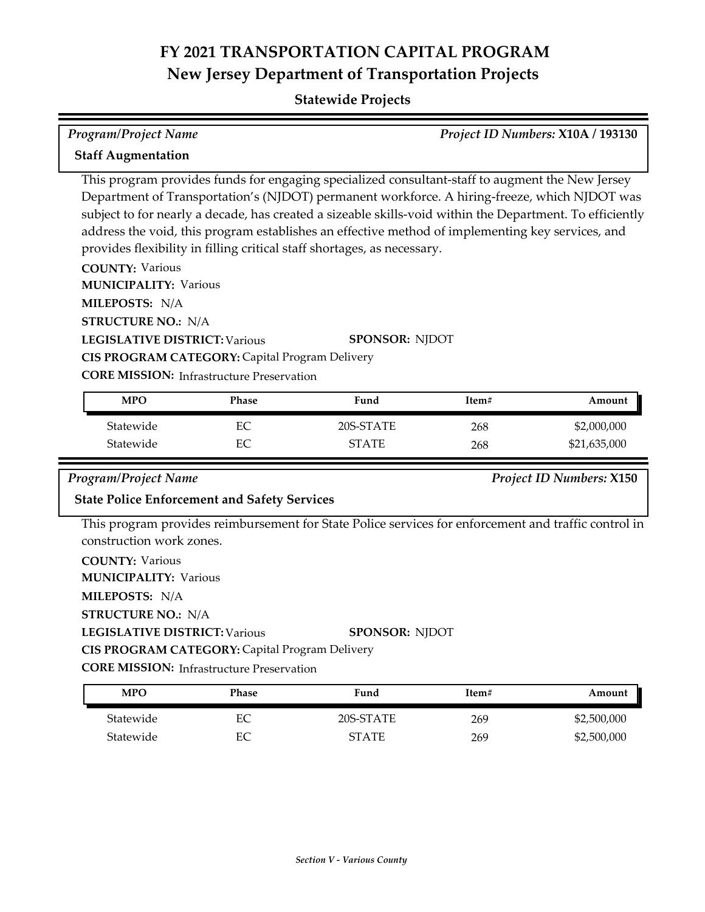## **Statewide Projects**

| Program/Project Name                                                                                                                                                                                                                                                                                                                                                                                                                                                                                                                                                                                                                                                                                                                                                       |                                                                                                                                                                  |              |       | Project ID Numbers: X10A / 193130 |  |
|----------------------------------------------------------------------------------------------------------------------------------------------------------------------------------------------------------------------------------------------------------------------------------------------------------------------------------------------------------------------------------------------------------------------------------------------------------------------------------------------------------------------------------------------------------------------------------------------------------------------------------------------------------------------------------------------------------------------------------------------------------------------------|------------------------------------------------------------------------------------------------------------------------------------------------------------------|--------------|-------|-----------------------------------|--|
| <b>Staff Augmentation</b>                                                                                                                                                                                                                                                                                                                                                                                                                                                                                                                                                                                                                                                                                                                                                  |                                                                                                                                                                  |              |       |                                   |  |
| This program provides funds for engaging specialized consultant-staff to augment the New Jersey<br>Department of Transportation's (NJDOT) permanent workforce. A hiring-freeze, which NJDOT was<br>subject to for nearly a decade, has created a sizeable skills-void within the Department. To efficiently<br>address the void, this program establishes an effective method of implementing key services, and<br>provides flexibility in filling critical staff shortages, as necessary.<br><b>COUNTY: Various</b><br><b>MUNICIPALITY: Various</b><br>MILEPOSTS: N/A<br><b>STRUCTURE NO.: N/A</b><br><b>LEGISLATIVE DISTRICT: Various</b><br><b>SPONSOR: NJDOT</b><br>CIS PROGRAM CATEGORY: Capital Program Delivery<br><b>CORE MISSION:</b> Infrastructure Preservation |                                                                                                                                                                  |              |       |                                   |  |
| <b>MPO</b>                                                                                                                                                                                                                                                                                                                                                                                                                                                                                                                                                                                                                                                                                                                                                                 | Phase                                                                                                                                                            | Fund         | Item# | Amount                            |  |
| Statewide                                                                                                                                                                                                                                                                                                                                                                                                                                                                                                                                                                                                                                                                                                                                                                  | EC                                                                                                                                                               | 20S-STATE    | 268   | \$2,000,000                       |  |
| Statewide                                                                                                                                                                                                                                                                                                                                                                                                                                                                                                                                                                                                                                                                                                                                                                  | EC                                                                                                                                                               | <b>STATE</b> | 268   | \$21,635,000                      |  |
| <b>Program/Project Name</b><br><b>Project ID Numbers: X150</b><br><b>State Police Enforcement and Safety Services</b>                                                                                                                                                                                                                                                                                                                                                                                                                                                                                                                                                                                                                                                      |                                                                                                                                                                  |              |       |                                   |  |
| <b>COUNTY: Various</b><br>MILEPOSTS: N/A                                                                                                                                                                                                                                                                                                                                                                                                                                                                                                                                                                                                                                                                                                                                   | This program provides reimbursement for State Police services for enforcement and traffic control in<br>construction work zones.<br><b>MUNICIPALITY: Various</b> |              |       |                                   |  |

**STRUCTURE NO.:** N/A

**LEGISLATIVE DISTRICT:** Various

**SPONSOR:** NJDOT

**CIS PROGRAM CATEGORY:** Capital Program Delivery

**CORE MISSION:** Infrastructure Preservation

| <b>MPO</b> | Phase | Fund         | Item# | Amount      |
|------------|-------|--------------|-------|-------------|
| Statewide  | EС    | 20S-STATE    | 269   | \$2,500,000 |
| Statewide  | EС    | <b>STATE</b> | 269   | \$2,500,000 |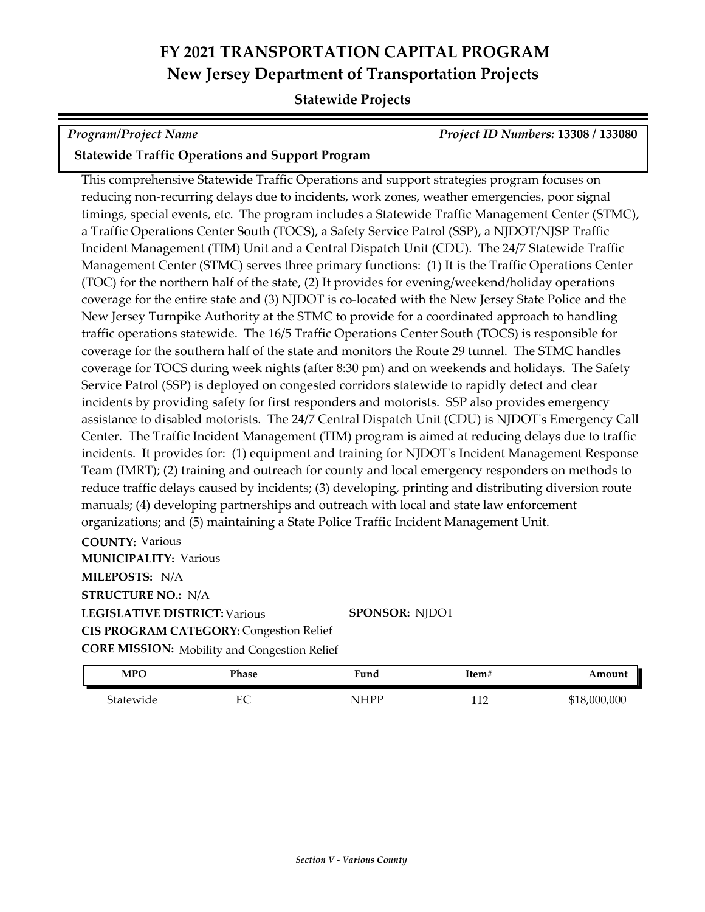## **Statewide Projects**

*Program/Project Name Project ID Numbers:* **13308 / 133080**

## **Statewide Traffic Operations and Support Program**

This comprehensive Statewide Traffic Operations and support strategies program focuses on reducing non-recurring delays due to incidents, work zones, weather emergencies, poor signal timings, special events, etc. The program includes a Statewide Traffic Management Center (STMC), a Traffic Operations Center South (TOCS), a Safety Service Patrol (SSP), a NJDOT/NJSP Traffic Incident Management (TIM) Unit and a Central Dispatch Unit (CDU). The 24/7 Statewide Traffic Management Center (STMC) serves three primary functions: (1) It is the Traffic Operations Center (TOC) for the northern half of the state, (2) It provides for evening/weekend/holiday operations coverage for the entire state and (3) NJDOT is co-located with the New Jersey State Police and the New Jersey Turnpike Authority at the STMC to provide for a coordinated approach to handling traffic operations statewide. The 16/5 Traffic Operations Center South (TOCS) is responsible for coverage for the southern half of the state and monitors the Route 29 tunnel. The STMC handles coverage for TOCS during week nights (after 8:30 pm) and on weekends and holidays. The Safety Service Patrol (SSP) is deployed on congested corridors statewide to rapidly detect and clear incidents by providing safety for first responders and motorists. SSP also provides emergency assistance to disabled motorists. The 24/7 Central Dispatch Unit (CDU) is NJDOT's Emergency Call Center. The Traffic Incident Management (TIM) program is aimed at reducing delays due to traffic incidents. It provides for: (1) equipment and training for NJDOT's Incident Management Response Team (IMRT); (2) training and outreach for county and local emergency responders on methods to reduce traffic delays caused by incidents; (3) developing, printing and distributing diversion route manuals; (4) developing partnerships and outreach with local and state law enforcement organizations; and (5) maintaining a State Police Traffic Incident Management Unit.

**COUNTY:** Various **LEGISLATIVE DISTRICT:** Various **MILEPOSTS:** N/A **STRUCTURE NO.:** N/A **MUNICIPALITY: Various CORE MISSION:** Mobility and Congestion Relief **SPONSOR:** NJDOT **CIS PROGRAM CATEGORY:** Congestion Relief

| <b>MPC</b> | Phase   | Fund                        | Item# | Amount            |
|------------|---------|-----------------------------|-------|-------------------|
| Statewide  | гΩ<br>∼ | NIHPP<br>$\cdot$ 11 $\cdot$ | 110   | 518,000,000<br>ιD |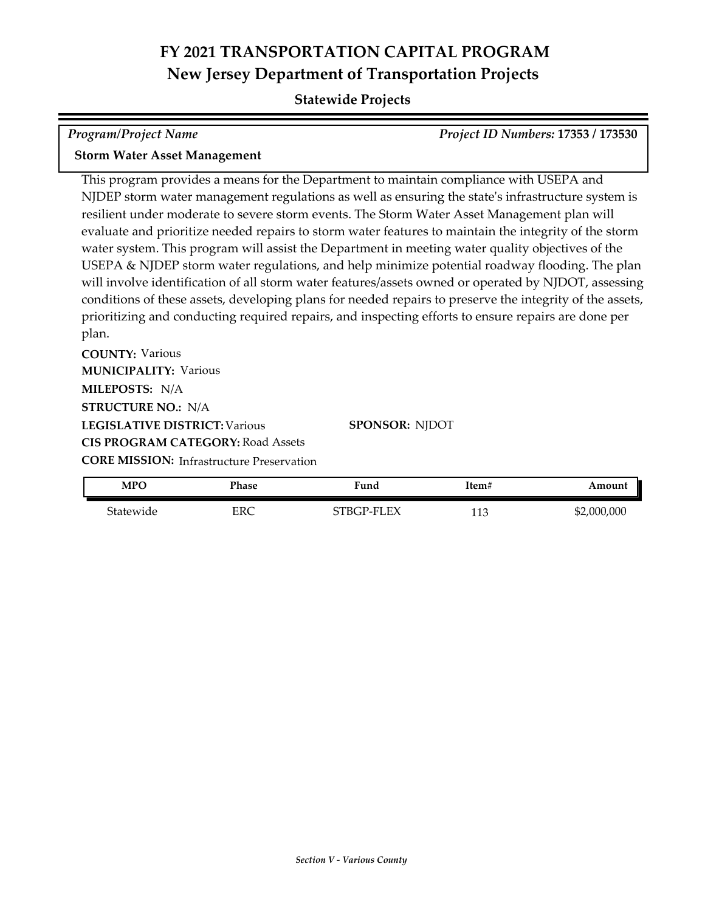## **Statewide Projects**

| Program/Project Name                                         | Project ID Numbers: 17353 / 173530 |
|--------------------------------------------------------------|------------------------------------|
| $\overline{C}$ is that is a set of the set of $\overline{C}$ |                                    |

### **Storm Water Asset Management**

This program provides a means for the Department to maintain compliance with USEPA and NJDEP storm water management regulations as well as ensuring the state's infrastructure system is resilient under moderate to severe storm events. The Storm Water Asset Management plan will evaluate and prioritize needed repairs to storm water features to maintain the integrity of the storm water system. This program will assist the Department in meeting water quality objectives of the USEPA & NJDEP storm water regulations, and help minimize potential roadway flooding. The plan will involve identification of all storm water features/assets owned or operated by NJDOT, assessing conditions of these assets, developing plans for needed repairs to preserve the integrity of the assets, prioritizing and conducting required repairs, and inspecting efforts to ensure repairs are done per plan.

**COUNTY:** Various **LEGISLATIVE DISTRICT:** Various **MILEPOSTS:** N/A **STRUCTURE NO.:** N/A **MUNICIPALITY: Various CIS PROGRAM CATEGORY:** Road Assets

**SPONSOR:** NJDOT

**CORE MISSION: Infrastructure Preservation** 

| MPC       | Phase | <b>Fund</b> | Item#        | Amount      |
|-----------|-------|-------------|--------------|-------------|
| Statewide | ERC   | STBGP-FLEX  | 110<br>1 I J | \$2,000,000 |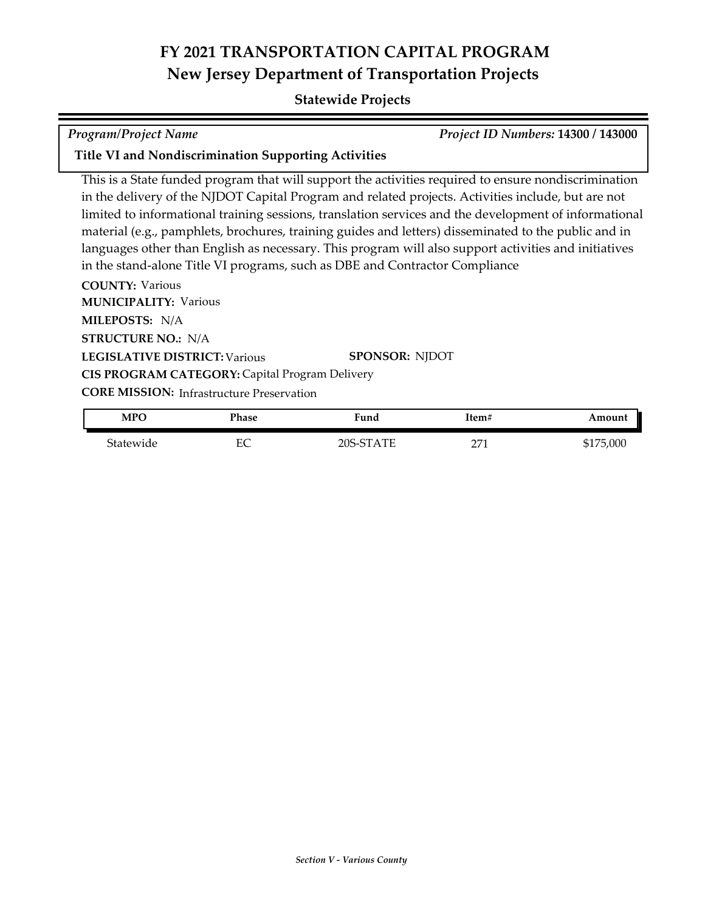## **Statewide Projects**

*Program/Project Name Project ID Numbers:* **14300 / 143000**

## **Title VI and Nondiscrimination Supporting Activities**

This is a State funded program that will support the activities required to ensure nondiscrimination in the delivery of the NJDOT Capital Program and related projects. Activities include, but are not limited to informational training sessions, translation services and the development of informational material (e.g., pamphlets, brochures, training guides and letters) disseminated to the public and in languages other than English as necessary. This program will also support activities and initiatives in the stand-alone Title VI programs, such as DBE and Contractor Compliance

**COUNTY:** Various **LEGISLATIVE DISTRICT:** Various **MILEPOSTS:** N/A **STRUCTURE NO.:** N/A **MUNICIPALITY: Various CORE MISSION:** Infrastructure Preservation **SPONSOR:** NJDOT **CIS PROGRAM CATEGORY:** Capital Program Delivery

| <b>MPO</b> | Phase | ∺und      | Item#    | Amount    |
|------------|-------|-----------|----------|-----------|
| Statewide  | EС    | 20S-STATE | 271<br>∸ | \$175,000 |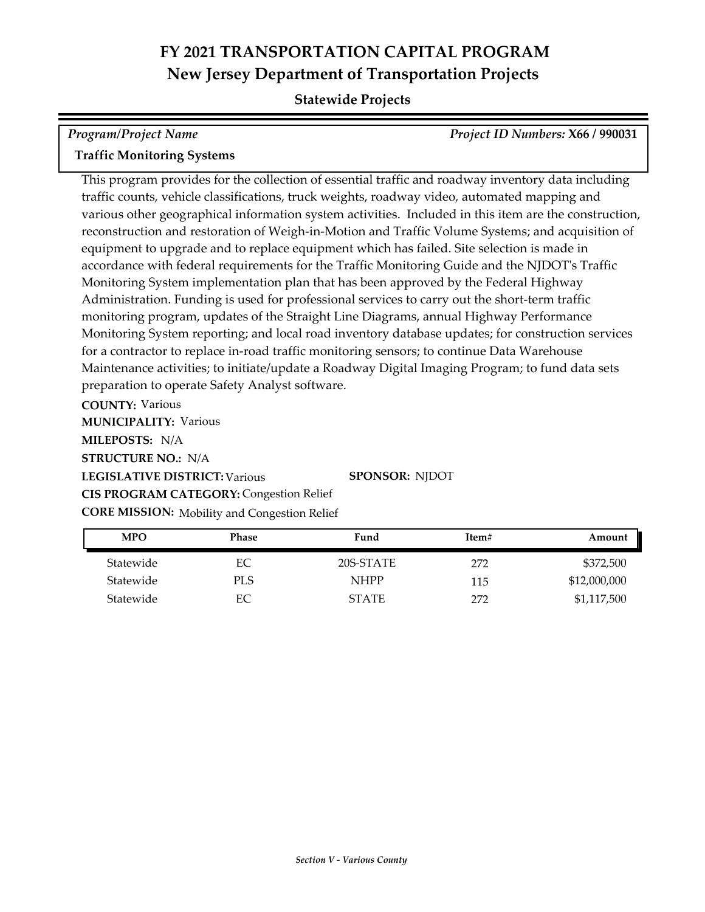## **Statewide Projects**

| Program/Project Name              | Project ID Numbers: X66 / 990031 |
|-----------------------------------|----------------------------------|
| <b>Traffic Monitoring Systems</b> |                                  |

This program provides for the collection of essential traffic and roadway inventory data including traffic counts, vehicle classifications, truck weights, roadway video, automated mapping and various other geographical information system activities. Included in this item are the construction, reconstruction and restoration of Weigh-in-Motion and Traffic Volume Systems; and acquisition of equipment to upgrade and to replace equipment which has failed. Site selection is made in accordance with federal requirements for the Traffic Monitoring Guide and the NJDOT's Traffic Monitoring System implementation plan that has been approved by the Federal Highway Administration. Funding is used for professional services to carry out the short-term traffic monitoring program, updates of the Straight Line Diagrams, annual Highway Performance Monitoring System reporting; and local road inventory database updates; for construction services for a contractor to replace in-road traffic monitoring sensors; to continue Data Warehouse Maintenance activities; to initiate/update a Roadway Digital Imaging Program; to fund data sets preparation to operate Safety Analyst software.

**COUNTY:** Various

**MUNICIPALITY: Various** 

**MILEPOSTS:** N/A

**STRUCTURE NO.:** N/A

**LEGISLATIVE DISTRICT:** Various **SPONSOR:** NJDOT

**CIS PROGRAM CATEGORY:** Congestion Relief

**CORE MISSION:** Mobility and Congestion Relief

| <b>MPO</b> | Phase | Fund         | Item# | Amount       |
|------------|-------|--------------|-------|--------------|
| Statewide  | EС    | 20S-STATE    | 272   | \$372,500    |
| Statewide  | PLS   | <b>NHPP</b>  | 115   | \$12,000,000 |
| Statewide  | EС    | <b>STATE</b> | 272   | \$1,117,500  |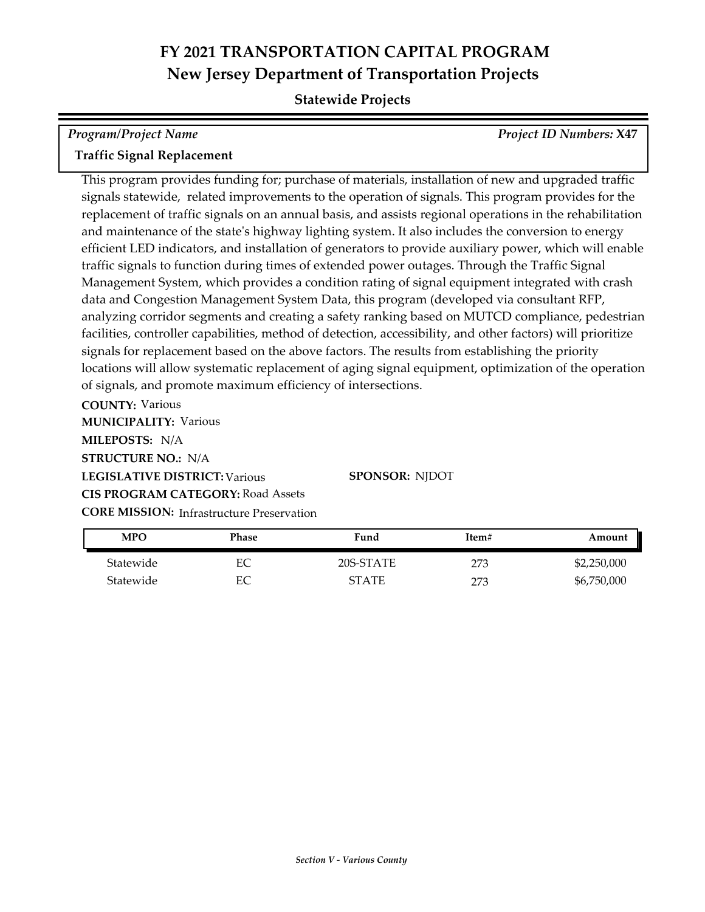### **Statewide Projects**

| Program/Project Name              | <b>Project ID Numbers: X47</b> |
|-----------------------------------|--------------------------------|
| <b>Traffic Signal Replacement</b> |                                |

This program provides funding for; purchase of materials, installation of new and upgraded traffic signals statewide, related improvements to the operation of signals. This program provides for the replacement of traffic signals on an annual basis, and assists regional operations in the rehabilitation and maintenance of the state's highway lighting system. It also includes the conversion to energy efficient LED indicators, and installation of generators to provide auxiliary power, which will enable traffic signals to function during times of extended power outages. Through the Traffic Signal Management System, which provides a condition rating of signal equipment integrated with crash data and Congestion Management System Data, this program (developed via consultant RFP, analyzing corridor segments and creating a safety ranking based on MUTCD compliance, pedestrian facilities, controller capabilities, method of detection, accessibility, and other factors) will prioritize signals for replacement based on the above factors. The results from establishing the priority locations will allow systematic replacement of aging signal equipment, optimization of the operation of signals, and promote maximum efficiency of intersections.

**COUNTY:** Various **LEGISLATIVE DISTRICT:** Various **MILEPOSTS:** N/A **STRUCTURE NO.:** N/A **MUNICIPALITY: Various CORE MISSION:** Infrastructure Preservation **SPONSOR:** NJDOT **CIS PROGRAM CATEGORY:** Road Assets

| MPO       | Phase | Fund         | Item# | Amount      |
|-----------|-------|--------------|-------|-------------|
| Statewide | EС    | 20S-STATE    | 273   | \$2,250,000 |
| Statewide | EС    | <b>STATE</b> | 273   | \$6,750,000 |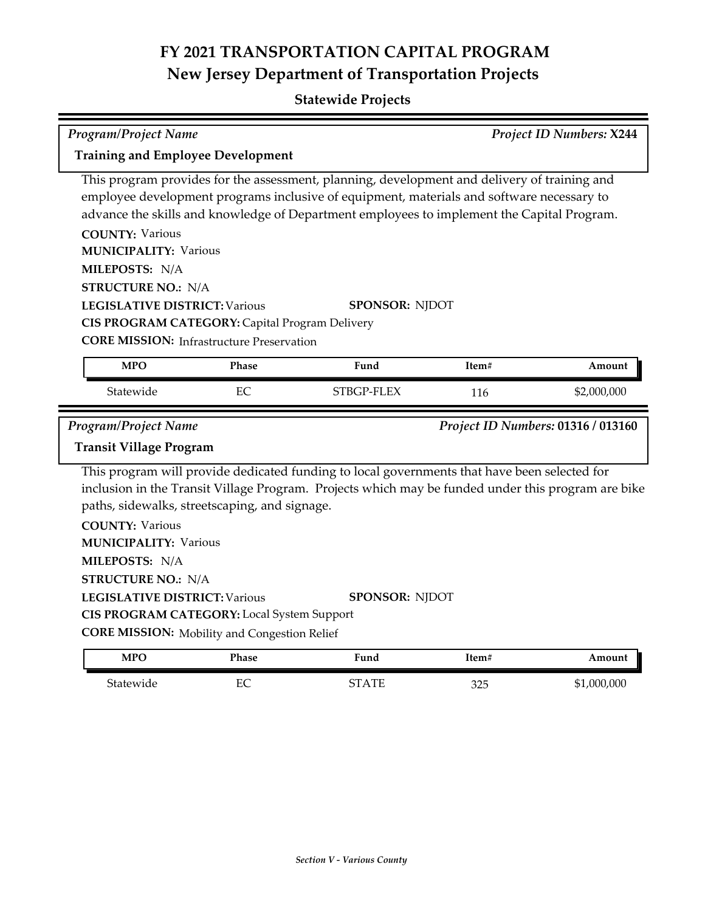| <b>Program/Project Name</b>                                                                                                                                                                                                                                                             |                                                     |                                                                                                                                                                                                    |       | Project ID Numbers: X244           |
|-----------------------------------------------------------------------------------------------------------------------------------------------------------------------------------------------------------------------------------------------------------------------------------------|-----------------------------------------------------|----------------------------------------------------------------------------------------------------------------------------------------------------------------------------------------------------|-------|------------------------------------|
| <b>Training and Employee Development</b>                                                                                                                                                                                                                                                |                                                     |                                                                                                                                                                                                    |       |                                    |
| This program provides for the assessment, planning, development and delivery of training and<br>employee development programs inclusive of equipment, materials and software necessary to<br>advance the skills and knowledge of Department employees to implement the Capital Program. |                                                     |                                                                                                                                                                                                    |       |                                    |
| <b>COUNTY: Various</b><br><b>MUNICIPALITY: Various</b>                                                                                                                                                                                                                                  |                                                     |                                                                                                                                                                                                    |       |                                    |
| MILEPOSTS: N/A                                                                                                                                                                                                                                                                          |                                                     |                                                                                                                                                                                                    |       |                                    |
| <b>STRUCTURE NO.: N/A</b>                                                                                                                                                                                                                                                               |                                                     |                                                                                                                                                                                                    |       |                                    |
| <b>LEGISLATIVE DISTRICT: Various</b>                                                                                                                                                                                                                                                    |                                                     | <b>SPONSOR: NJDOT</b>                                                                                                                                                                              |       |                                    |
|                                                                                                                                                                                                                                                                                         | CIS PROGRAM CATEGORY: Capital Program Delivery      |                                                                                                                                                                                                    |       |                                    |
|                                                                                                                                                                                                                                                                                         | <b>CORE MISSION:</b> Infrastructure Preservation    |                                                                                                                                                                                                    |       |                                    |
| <b>MPO</b>                                                                                                                                                                                                                                                                              | Phase                                               | Fund                                                                                                                                                                                               | Item# | Amount                             |
| Statewide                                                                                                                                                                                                                                                                               | EC                                                  | STBGP-FLEX                                                                                                                                                                                         | 116   | \$2,000,000                        |
|                                                                                                                                                                                                                                                                                         |                                                     |                                                                                                                                                                                                    |       |                                    |
| <b>Program/Project Name</b>                                                                                                                                                                                                                                                             |                                                     |                                                                                                                                                                                                    |       | Project ID Numbers: 01316 / 013160 |
| <b>Transit Village Program</b>                                                                                                                                                                                                                                                          |                                                     |                                                                                                                                                                                                    |       |                                    |
|                                                                                                                                                                                                                                                                                         | paths, sidewalks, streetscaping, and signage.       | This program will provide dedicated funding to local governments that have been selected for<br>inclusion in the Transit Village Program. Projects which may be funded under this program are bike |       |                                    |
| <b>COUNTY: Various</b>                                                                                                                                                                                                                                                                  |                                                     |                                                                                                                                                                                                    |       |                                    |
| <b>MUNICIPALITY: Various</b>                                                                                                                                                                                                                                                            |                                                     |                                                                                                                                                                                                    |       |                                    |
| MILEPOSTS: N/A                                                                                                                                                                                                                                                                          |                                                     |                                                                                                                                                                                                    |       |                                    |
| <b>STRUCTURE NO.: N/A</b><br><b>LEGISLATIVE DISTRICT: Various</b>                                                                                                                                                                                                                       |                                                     | <b>SPONSOR: NJDOT</b>                                                                                                                                                                              |       |                                    |
|                                                                                                                                                                                                                                                                                         | CIS PROGRAM CATEGORY: Local System Support          |                                                                                                                                                                                                    |       |                                    |
|                                                                                                                                                                                                                                                                                         | <b>CORE MISSION:</b> Mobility and Congestion Relief |                                                                                                                                                                                                    |       |                                    |
| <b>MPO</b>                                                                                                                                                                                                                                                                              | Phase                                               | Fund                                                                                                                                                                                               | Item# | Amount                             |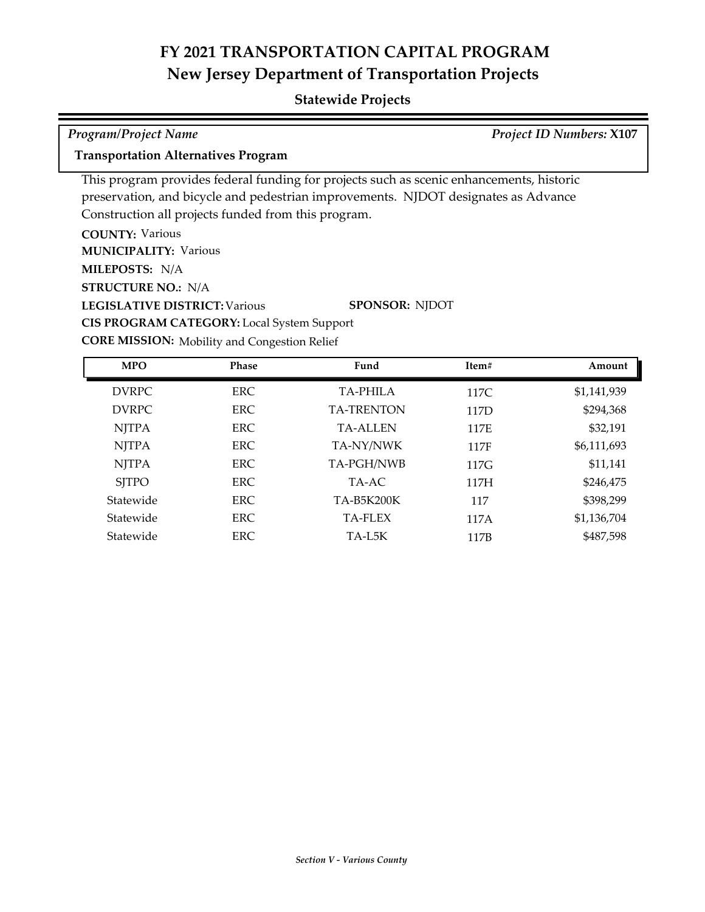## **Statewide Projects**

| <b>Program/Project Name</b>                                                        | <b>Project ID Numbers: X107</b>                                                          |
|------------------------------------------------------------------------------------|------------------------------------------------------------------------------------------|
| <b>Transportation Alternatives Program</b>                                         |                                                                                          |
|                                                                                    | This program provides federal funding for projects such as scenic enhancements, historic |
| preservation, and bicycle and pedestrian improvements. NJDOT designates as Advance |                                                                                          |
| Construction all projects funded from this program.                                |                                                                                          |
| <b>COUNTY: Various</b>                                                             |                                                                                          |
| <b>MUNICIPALITY: Various</b>                                                       |                                                                                          |
| <b>MILEPOSTS: N/A</b>                                                              |                                                                                          |
| <b>STRUCTURE NO.: N/A</b>                                                          |                                                                                          |
| <b>LEGISLATIVE DISTRICT: Various</b>                                               | <b>SPONSOR: NJDOT</b>                                                                    |
| <b>CIS PROGRAM CATEGORY:</b> Local System Support                                  |                                                                                          |

**CORE MISSION:** Mobility and Congestion Relief

| <b>MPO</b>   | <b>Phase</b> | Fund              | Item# | Amount      |
|--------------|--------------|-------------------|-------|-------------|
| <b>DVRPC</b> | ERC.         | <b>TA-PHILA</b>   | 117C  | \$1,141,939 |
| <b>DVRPC</b> | <b>ERC</b>   | <b>TA-TRENTON</b> | 117D  | \$294,368   |
| <b>NJTPA</b> | ERC.         | <b>TA-ALLEN</b>   | 117E  | \$32,191    |
| <b>NJTPA</b> | ERC.         | TA-NY/NWK         | 117F  | \$6,111,693 |
| <b>NJTPA</b> | <b>ERC</b>   | TA-PGH/NWB        | 117G  | \$11,141    |
| <b>SITPO</b> | ERC.         | TA-AC             | 117H  | \$246,475   |
| Statewide    | ERC.         | TA-B5K200K        | 117   | \$398,299   |
| Statewide    | ERC.         | TA-FLEX           | 117A  | \$1,136,704 |
| Statewide    | <b>ERC</b>   | TA-L5K            | 117B  | \$487,598   |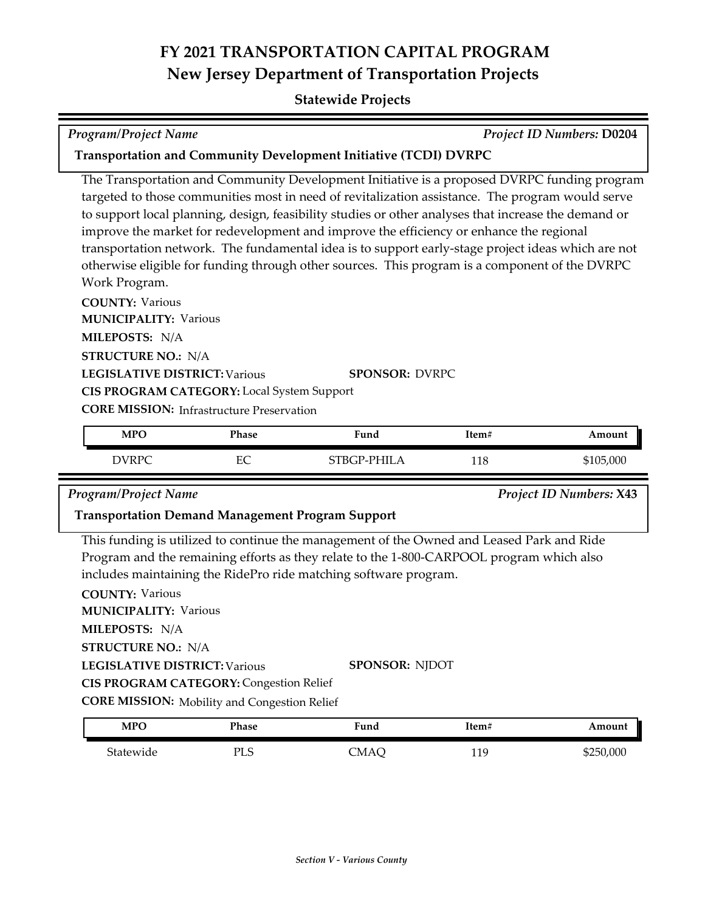### **Statewide Projects**

*Program/Project Name Project ID Numbers:* **D0204**

### **Transportation and Community Development Initiative (TCDI) DVRPC**

The Transportation and Community Development Initiative is a proposed DVRPC funding program targeted to those communities most in need of revitalization assistance. The program would serve to support local planning, design, feasibility studies or other analyses that increase the demand or improve the market for redevelopment and improve the efficiency or enhance the regional transportation network. The fundamental idea is to support early-stage project ideas which are not otherwise eligible for funding through other sources. This program is a component of the DVRPC Work Program.

**COUNTY:** Various **LEGISLATIVE DISTRICT:** Various **MILEPOSTS:** N/A **STRUCTURE NO.:** N/A **MUNICIPALITY: Various CORE MISSION: Infrastructure Preservation SPONSOR:** DVRPC **CIS PROGRAM CATEGORY:** Local System Support

| <b>MPO</b> | Phase  | Fund        | Item# | Amount    |
|------------|--------|-------------|-------|-----------|
| DVRPC      | ᄄ<br>∽ | STBGP-PHILA | 118   | \$105,000 |

*Program/Project Name Project ID Numbers:* **X43**

### **Transportation Demand Management Program Support**

This funding is utilized to continue the management of the Owned and Leased Park and Ride Program and the remaining efforts as they relate to the 1‐800‐CARPOOL program which also includes maintaining the RidePro ride matching software program.

| <b>COUNTY: Various</b>                              |                       |
|-----------------------------------------------------|-----------------------|
| <b>MUNICIPALITY: Various</b>                        |                       |
| <b>MILEPOSTS: N/A</b>                               |                       |
| <b>STRUCTURE NO.: N/A</b>                           |                       |
| <b>LEGISLATIVE DISTRICT: Various</b>                | <b>SPONSOR: NIDOT</b> |
| <b>CIS PROGRAM CATEGORY: Congestion Relief</b>      |                       |
| <b>CORE MISSION:</b> Mobility and Congestion Relief |                       |

| MPO       | Phase | -<br>Fund                       | Item#           | Amount    |
|-----------|-------|---------------------------------|-----------------|-----------|
| Statewide | PLS   | . 'MA $\Lambda$<br><b>JVIAU</b> | 119<br>ᆂᆂ<br>-- | \$250,000 |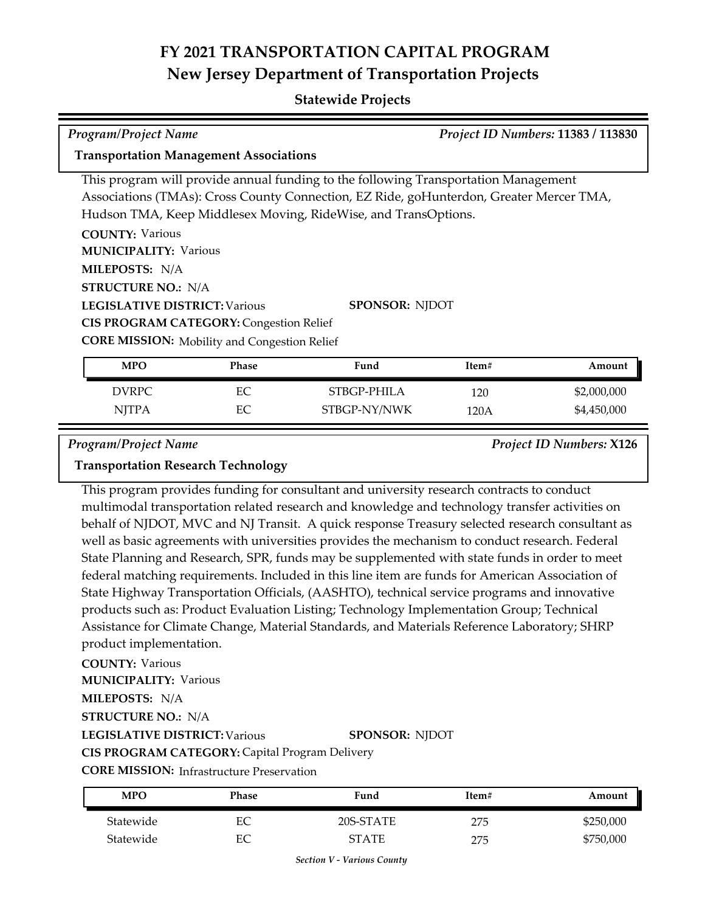### **Statewide Projects**

| <b>Program/Project Name</b>                                                             |                       | Project ID Numbers: 11383 / 113830 |       |             |  |  |  |
|-----------------------------------------------------------------------------------------|-----------------------|------------------------------------|-------|-------------|--|--|--|
| <b>Transportation Management Associations</b>                                           |                       |                                    |       |             |  |  |  |
| This program will provide annual funding to the following Transportation Management     |                       |                                    |       |             |  |  |  |
| Associations (TMAs): Cross County Connection, EZ Ride, goHunterdon, Greater Mercer TMA, |                       |                                    |       |             |  |  |  |
| Hudson TMA, Keep Middlesex Moving, RideWise, and TransOptions.                          |                       |                                    |       |             |  |  |  |
| <b>COUNTY: Various</b>                                                                  |                       |                                    |       |             |  |  |  |
| <b>MUNICIPALITY: Various</b>                                                            |                       |                                    |       |             |  |  |  |
| <b>MILEPOSTS: N/A</b>                                                                   |                       |                                    |       |             |  |  |  |
| <b>STRUCTURE NO.: N/A</b>                                                               |                       |                                    |       |             |  |  |  |
| <b>LEGISLATIVE DISTRICT: Various</b>                                                    | <b>SPONSOR: NJDOT</b> |                                    |       |             |  |  |  |
| <b>CIS PROGRAM CATEGORY: Congestion Relief</b>                                          |                       |                                    |       |             |  |  |  |
| <b>CORE MISSION:</b> Mobility and Congestion Relief                                     |                       |                                    |       |             |  |  |  |
| <b>MPO</b>                                                                              | Phase                 | Fund                               | Item# | Amount      |  |  |  |
| <b>DVRPC</b>                                                                            | EC                    | STBGP-PHILA                        | 120   | \$2,000,000 |  |  |  |
| <b>NJTPA</b>                                                                            | EC                    | STBGP-NY/NWK                       | 120A  | \$4,450,000 |  |  |  |

*Program/Project Name Project ID Numbers:* **X126**

### **Transportation Research Technology**

This program provides funding for consultant and university research contracts to conduct multimodal transportation related research and knowledge and technology transfer activities on behalf of NJDOT, MVC and NJ Transit. A quick response Treasury selected research consultant as well as basic agreements with universities provides the mechanism to conduct research. Federal State Planning and Research, SPR, funds may be supplemented with state funds in order to meet federal matching requirements. Included in this line item are funds for American Association of State Highway Transportation Officials, (AASHTO), technical service programs and innovative products such as: Product Evaluation Listing; Technology Implementation Group; Technical Assistance for Climate Change, Material Standards, and Materials Reference Laboratory; SHRP product implementation.

### **COUNTY:** Various

**MUNICIPALITY: Various** 

### **MILEPOSTS:** N/A

**STRUCTURE NO.:** N/A

### **LEGISLATIVE DISTRICT:** Various

### **SPONSOR:** NJDOT

**CIS PROGRAM CATEGORY:** Capital Program Delivery

**CORE MISSION:** Infrastructure Preservation

| <b>MPO</b> | Phase | Fund         | Item# | Amount    |
|------------|-------|--------------|-------|-----------|
| Statewide  | EС    | 20S-STATE    | 275   | \$250,000 |
| Statewide  | EС    | <b>STATE</b> | 275   | \$750,000 |

*Section V - Various County*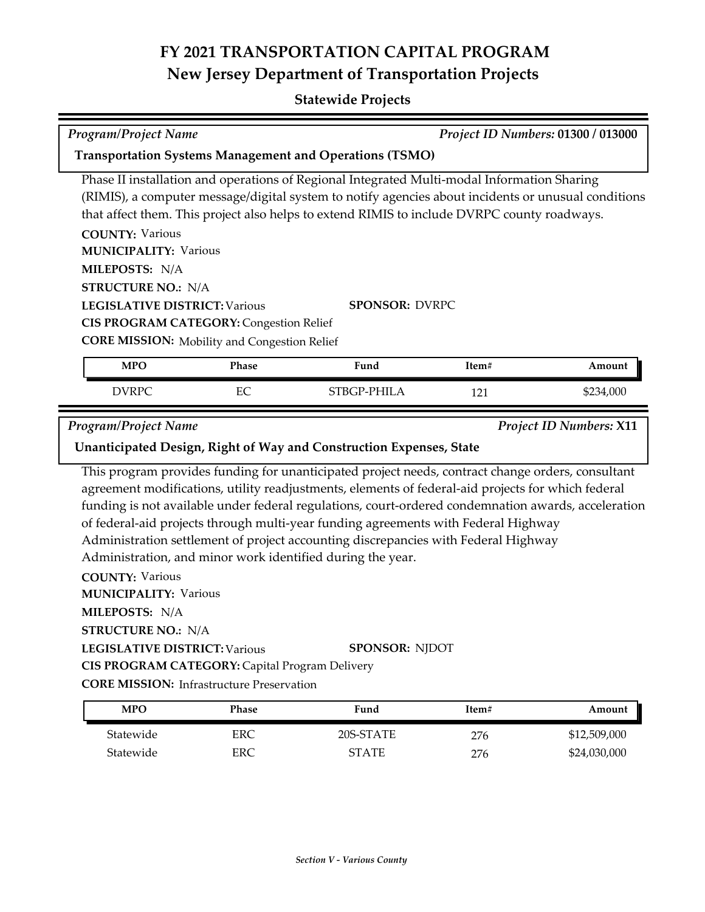## **FY 2021 TRANSPORTATION CAPITAL PROGRAM New Jersey Department of Transportation Projects**

### **Statewide Projects**

| <b>Program/Project Name</b>                                                                                                                                                |       |                                                                                                                                                                                                                                                                                                                |       | Project ID Numbers: 01300 / 013000 |
|----------------------------------------------------------------------------------------------------------------------------------------------------------------------------|-------|----------------------------------------------------------------------------------------------------------------------------------------------------------------------------------------------------------------------------------------------------------------------------------------------------------------|-------|------------------------------------|
|                                                                                                                                                                            |       | <b>Transportation Systems Management and Operations (TSMO)</b>                                                                                                                                                                                                                                                 |       |                                    |
|                                                                                                                                                                            |       | Phase II installation and operations of Regional Integrated Multi-modal Information Sharing<br>(RIMIS), a computer message/digital system to notify agencies about incidents or unusual conditions<br>that affect them. This project also helps to extend RIMIS to include DVRPC county roadways.              |       |                                    |
| <b>COUNTY: Various</b><br><b>MUNICIPALITY: Various</b>                                                                                                                     |       |                                                                                                                                                                                                                                                                                                                |       |                                    |
| MILEPOSTS: N/A                                                                                                                                                             |       |                                                                                                                                                                                                                                                                                                                |       |                                    |
| <b>STRUCTURE NO.: N/A</b><br><b>LEGISLATIVE DISTRICT: Various</b><br><b>CIS PROGRAM CATEGORY: Congestion Relief</b><br><b>CORE MISSION:</b> Mobility and Congestion Relief |       | <b>SPONSOR: DVRPC</b>                                                                                                                                                                                                                                                                                          |       |                                    |
| <b>MPO</b>                                                                                                                                                                 | Phase | Fund                                                                                                                                                                                                                                                                                                           | Item# | Amount                             |
| <b>DVRPC</b>                                                                                                                                                               | EC    | STBGP-PHILA                                                                                                                                                                                                                                                                                                    | 121   | \$234,000                          |
| <b>Program/Project Name</b>                                                                                                                                                |       |                                                                                                                                                                                                                                                                                                                |       | <b>Project ID Numbers: X11</b>     |
|                                                                                                                                                                            |       | Unanticipated Design, Right of Way and Construction Expenses, State                                                                                                                                                                                                                                            |       |                                    |
|                                                                                                                                                                            |       | This program provides funding for unanticipated project needs, contract change orders, consultant<br>agreement modifications, utility readjustments, elements of federal-aid projects for which federal<br>funding is not available under federal regulations, court-ordered condemnation awards, acceleration |       |                                    |

**CIS PROGRAM CATEGORY:** Capital Program Delivery

**LEGISLATIVE DISTRICT:** Various

 $\overline{\phantom{a}}$ 

**CORE MISSION: Infrastructure Preservation** 

| <b>MPO</b> | Phase | Fund         | Item# | Amount       |
|------------|-------|--------------|-------|--------------|
| Statewide  | ERC   | 20S-STATE    | 276   | \$12,509,000 |
| Statewide  | ERC   | <b>STATE</b> | 276   | \$24,030,000 |

**SPONSOR:** NJDOT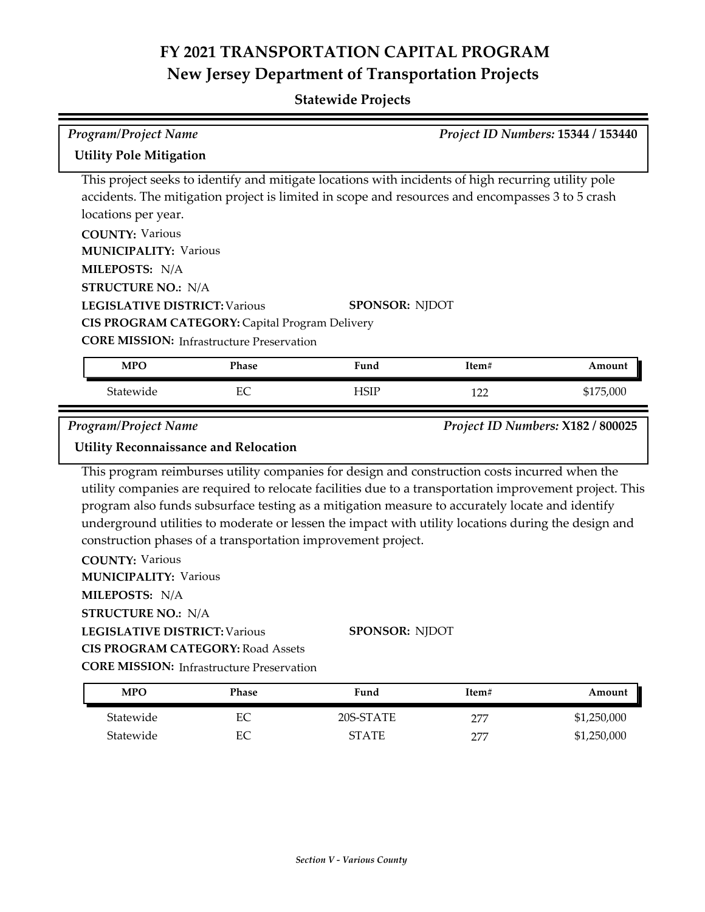# **FY 2021 TRANSPORTATION CAPITAL PROGRAM New Jersey Department of Transportation Projects**

## **Statewide Projects**

| <b>Program/Project Name</b>                                                                                                                                                                                                                   |                      |                                                                                                                                                                                                                                                                                                                                                                                                                                                                                                      |            | Project ID Numbers: 15344 / 153440 |
|-----------------------------------------------------------------------------------------------------------------------------------------------------------------------------------------------------------------------------------------------|----------------------|------------------------------------------------------------------------------------------------------------------------------------------------------------------------------------------------------------------------------------------------------------------------------------------------------------------------------------------------------------------------------------------------------------------------------------------------------------------------------------------------------|------------|------------------------------------|
| <b>Utility Pole Mitigation</b>                                                                                                                                                                                                                |                      |                                                                                                                                                                                                                                                                                                                                                                                                                                                                                                      |            |                                    |
| locations per year.<br><b>COUNTY: Various</b><br><b>MUNICIPALITY: Various</b><br>MILEPOSTS: N/A<br><b>STRUCTURE NO.: N/A</b><br><b>LEGISLATIVE DISTRICT: Various</b>                                                                          |                      | This project seeks to identify and mitigate locations with incidents of high recurring utility pole<br>accidents. The mitigation project is limited in scope and resources and encompasses 3 to 5 crash<br><b>SPONSOR: NJDOT</b>                                                                                                                                                                                                                                                                     |            |                                    |
| CIS PROGRAM CATEGORY: Capital Program Delivery<br><b>CORE MISSION: Infrastructure Preservation</b>                                                                                                                                            |                      |                                                                                                                                                                                                                                                                                                                                                                                                                                                                                                      |            |                                    |
| <b>MPO</b>                                                                                                                                                                                                                                    | Phase                | Fund                                                                                                                                                                                                                                                                                                                                                                                                                                                                                                 | Item#      | Amount                             |
| Statewide                                                                                                                                                                                                                                     | EC                   | <b>HSIP</b>                                                                                                                                                                                                                                                                                                                                                                                                                                                                                          | 122        | \$175,000                          |
|                                                                                                                                                                                                                                               |                      |                                                                                                                                                                                                                                                                                                                                                                                                                                                                                                      |            |                                    |
| <b>Program/Project Name</b><br><b>Utility Reconnaissance and Relocation</b>                                                                                                                                                                   |                      |                                                                                                                                                                                                                                                                                                                                                                                                                                                                                                      |            | Project ID Numbers: X182 / 800025  |
| <b>COUNTY: Various</b><br><b>MUNICIPALITY: Various</b><br>MILEPOSTS: N/A<br><b>STRUCTURE NO.: N/A</b><br><b>LEGISLATIVE DISTRICT: Various</b><br><b>CIS PROGRAM CATEGORY: Road Assets</b><br><b>CORE MISSION: Infrastructure Preservation</b> |                      | This program reimburses utility companies for design and construction costs incurred when the<br>utility companies are required to relocate facilities due to a transportation improvement project. This<br>program also funds subsurface testing as a mitigation measure to accurately locate and identify<br>underground utilities to moderate or lessen the impact with utility locations during the design and<br>construction phases of a transportation improvement project.<br>SPONSOR: NJDOT |            |                                    |
| <b>MPO</b>                                                                                                                                                                                                                                    | Phase                | Fund                                                                                                                                                                                                                                                                                                                                                                                                                                                                                                 | Item#      | Amount                             |
| Statewide<br>Statewide                                                                                                                                                                                                                        | $\rm EC$<br>$\rm EC$ | 20S-STATE<br><b>STATE</b>                                                                                                                                                                                                                                                                                                                                                                                                                                                                            | 277<br>277 | \$1,250,000<br>\$1,250,000         |